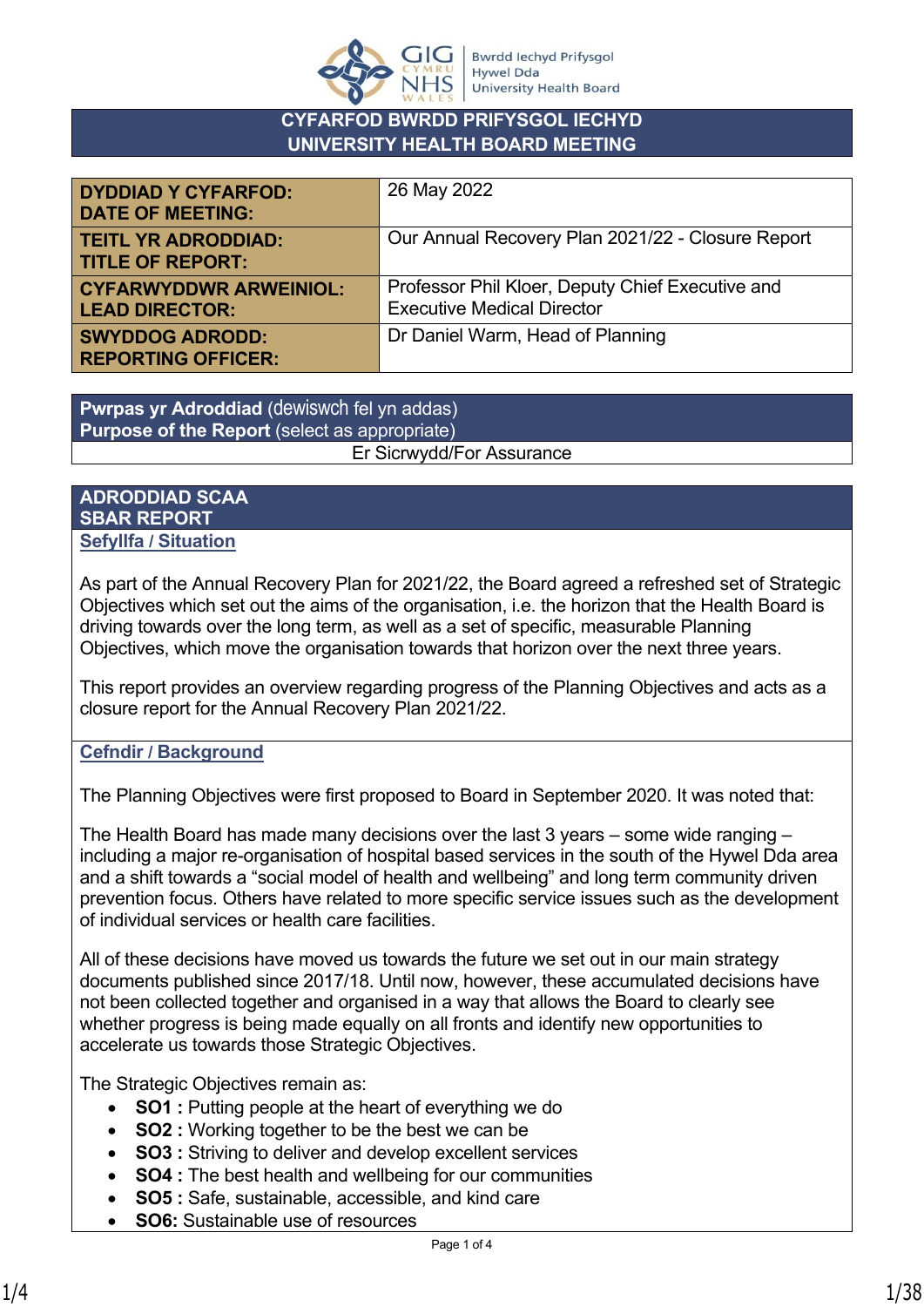

# **CYFARFOD BWRDD PRIFYSGOL IECHYD UNIVERSITY HEALTH BOARD MEETING**

| <b>DYDDIAD Y CYFARFOD:</b><br><b>DATE OF MEETING:</b>  | 26 May 2022                                                                           |
|--------------------------------------------------------|---------------------------------------------------------------------------------------|
| <b>TEITL YR ADRODDIAD:</b><br><b>TITLE OF REPORT:</b>  | Our Annual Recovery Plan 2021/22 - Closure Report                                     |
| <b>CYFARWYDDWR ARWEINIOL:</b><br><b>LEAD DIRECTOR:</b> | Professor Phil Kloer, Deputy Chief Executive and<br><b>Executive Medical Director</b> |
| <b>SWYDDOG ADRODD:</b><br><b>REPORTING OFFICER:</b>    | Dr Daniel Warm, Head of Planning                                                      |

**Pwrpas yr Adroddiad** (dewiswch fel yn addas) **Purpose of the Report** (select as appropriate) Er Sicrwydd/For Assurance

## **ADRODDIAD SCAA SBAR REPORT Sefyllfa / Situation**

As part of the Annual Recovery Plan for 2021/22, the Board agreed a refreshed set of Strategic Objectives which set out the aims of the organisation, i.e. the horizon that the Health Board is driving towards over the long term, as well as a set of specific, measurable Planning Objectives, which move the organisation towards that horizon over the next three years.

This report provides an overview regarding progress of the Planning Objectives and acts as a closure report for the Annual Recovery Plan 2021/22.

# **Cefndir / Background**

The Planning Objectives were first proposed to Board in September 2020. It was noted that:

The Health Board has made many decisions over the last 3 years – some wide ranging – including a major re-organisation of hospital based services in the south of the Hywel Dda area and a shift towards a "social model of health and wellbeing" and long term community driven prevention focus. Others have related to more specific service issues such as the development of individual services or health care facilities.

All of these decisions have moved us towards the future we set out in our main strategy documents published since 2017/18. Until now, however, these accumulated decisions have not been collected together and organised in a way that allows the Board to clearly see whether progress is being made equally on all fronts and identify new opportunities to accelerate us towards those Strategic Objectives.

The Strategic Objectives remain as:

- **SO1** : Putting people at the heart of everything we do
- **SO2 :** Working together to be the best we can be
- **SO3 :** Striving to deliver and develop excellent services
- **SO4 :** The best health and wellbeing for our communities
	- **SO5 :** Safe, sustainable, accessible, and kind care
- **SO6:** Sustainable use of resources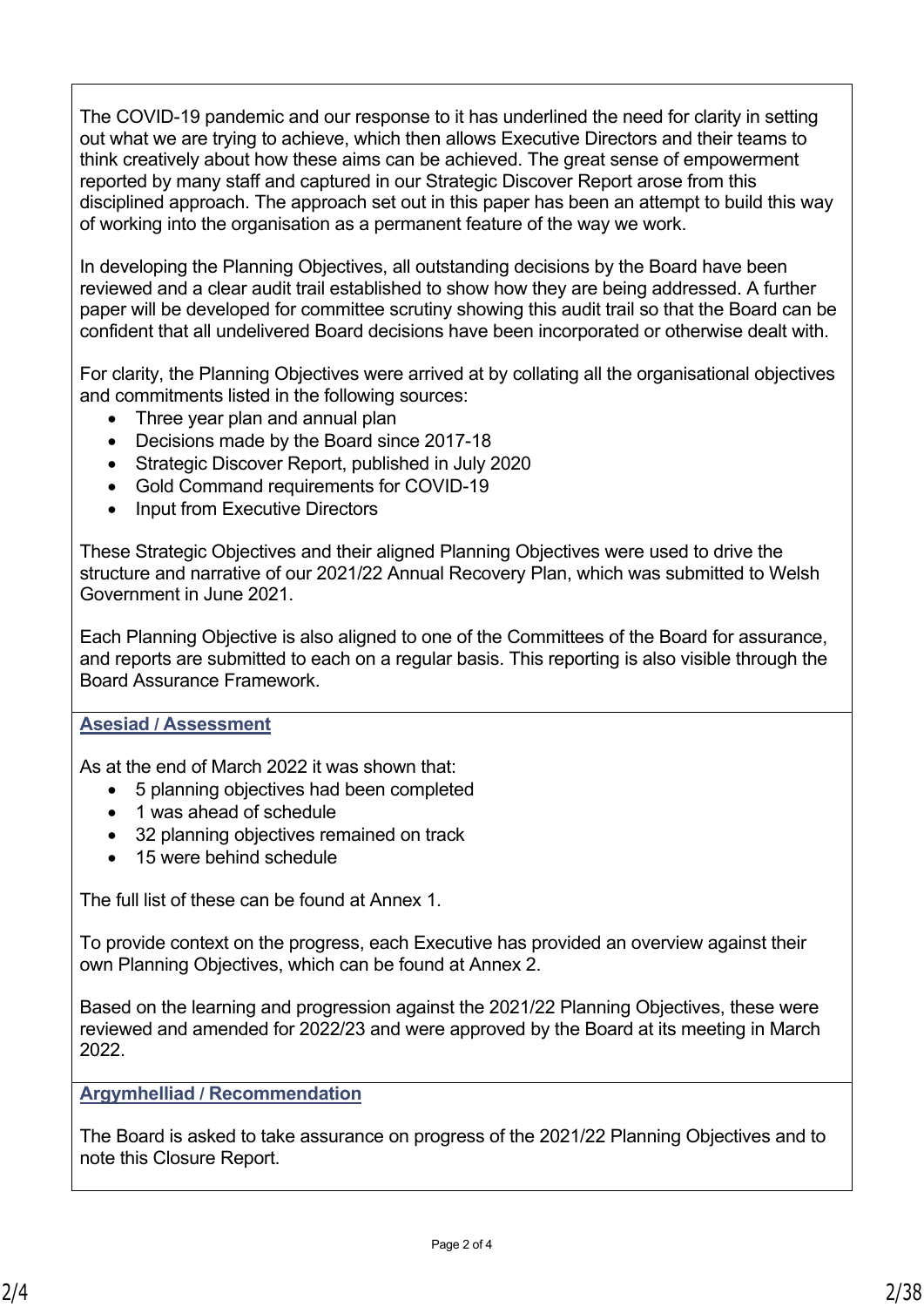The COVID-19 pandemic and our response to it has underlined the need for clarity in setting out what we are trying to achieve, which then allows Executive Directors and their teams to think creatively about how these aims can be achieved. The great sense of empowerment reported by many staff and captured in our Strategic Discover Report arose from this disciplined approach. The approach set out in this paper has been an attempt to build this way of working into the organisation as a permanent feature of the way we work.

In developing the Planning Objectives, all outstanding decisions by the Board have been reviewed and a clear audit trail established to show how they are being addressed. A further paper will be developed for committee scrutiny showing this audit trail so that the Board can be confident that all undelivered Board decisions have been incorporated or otherwise dealt with.

For clarity, the Planning Objectives were arrived at by collating all the organisational objectives and commitments listed in the following sources:

- Three year plan and annual plan
- Decisions made by the Board since 2017-18
- Strategic Discover Report, published in July 2020
- Gold Command requirements for COVID-19
- Input from Executive Directors

These Strategic Objectives and their aligned Planning Objectives were used to drive the structure and narrative of our 2021/22 Annual Recovery Plan, which was submitted to Welsh Government in June 2021.

Each Planning Objective is also aligned to one of the Committees of the Board for assurance, and reports are submitted to each on a regular basis. This reporting is also visible through the Board Assurance Framework.

## **Asesiad / Assessment**

As at the end of March 2022 it was shown that:

- 5 planning objectives had been completed
- 1 was ahead of schedule
- 32 planning objectives remained on track
- 15 were behind schedule

The full list of these can be found at Annex 1.

To provide context on the progress, each Executive has provided an overview against their own Planning Objectives, which can be found at Annex 2.

Based on the learning and progression against the 2021/22 Planning Objectives, these were reviewed and amended for 2022/23 and were approved by the Board at its meeting in March 2022.

**Argymhelliad / Recommendation**

The Board is asked to take assurance on progress of the 2021/22 Planning Objectives and to note this Closure Report.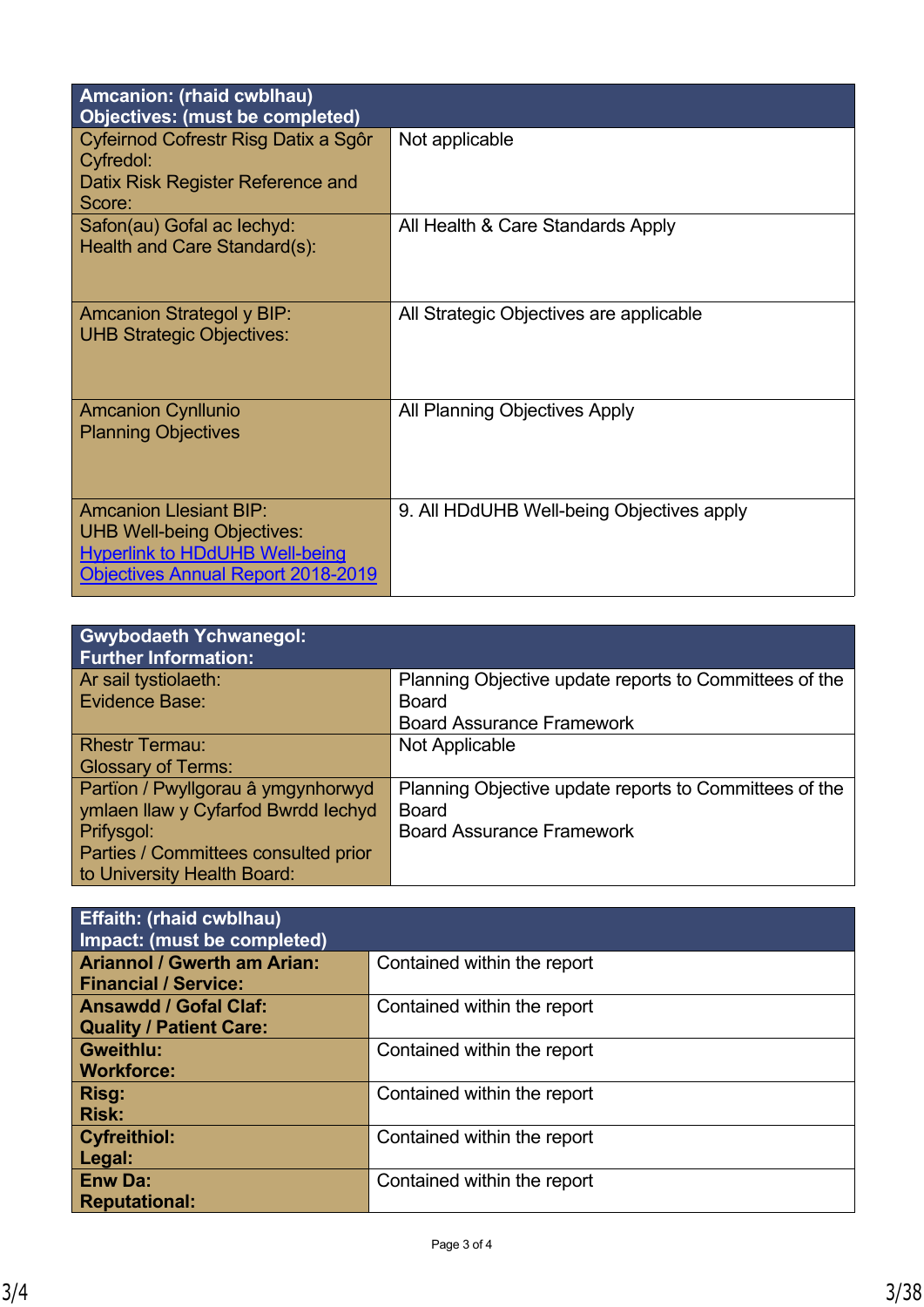| Amcanion: (rhaid cwblhau)<br><b>Objectives: (must be completed)</b>                                                                                      |                                           |
|----------------------------------------------------------------------------------------------------------------------------------------------------------|-------------------------------------------|
| Cyfeirnod Cofrestr Risg Datix a Sgôr<br>Cyfredol:<br>Datix Risk Register Reference and<br>Score:                                                         | Not applicable                            |
| Safon(au) Gofal ac lechyd:<br>Health and Care Standard(s):                                                                                               | All Health & Care Standards Apply         |
| <b>Amcanion Strategol y BIP:</b><br><b>UHB Strategic Objectives:</b>                                                                                     | All Strategic Objectives are applicable   |
| <b>Amcanion Cynllunio</b><br><b>Planning Objectives</b>                                                                                                  | All Planning Objectives Apply             |
| <b>Amcanion Llesiant BIP:</b><br><b>UHB Well-being Objectives:</b><br><b>Hyperlink to HDdUHB Well-being</b><br><b>Objectives Annual Report 2018-2019</b> | 9. All HDdUHB Well-being Objectives apply |

| <b>Gwybodaeth Ychwanegol:</b><br><b>Further Information:</b> |                                                        |
|--------------------------------------------------------------|--------------------------------------------------------|
| Ar sail tystiolaeth:                                         | Planning Objective update reports to Committees of the |
| <b>Evidence Base:</b>                                        | Board                                                  |
|                                                              | <b>Board Assurance Framework</b>                       |
| <b>Rhestr Termau:</b>                                        | Not Applicable                                         |
| <b>Glossary of Terms:</b>                                    |                                                        |
| Partïon / Pwyllgorau â ymgynhorwyd                           | Planning Objective update reports to Committees of the |
| ymlaen llaw y Cyfarfod Bwrdd Iechyd                          | <b>Board</b>                                           |
| Prifysgol:                                                   | <b>Board Assurance Framework</b>                       |
| Parties / Committees consulted prior                         |                                                        |
| to University Health Board:                                  |                                                        |

| <b>Effaith: (rhaid cwblhau)</b><br>Impact: (must be completed) |                             |
|----------------------------------------------------------------|-----------------------------|
| <b>Ariannol / Gwerth am Arian:</b>                             | Contained within the report |
| <b>Financial / Service:</b>                                    |                             |
| <b>Ansawdd / Gofal Claf:</b>                                   | Contained within the report |
| <b>Quality / Patient Care:</b>                                 |                             |
| <b>Gweithlu:</b>                                               | Contained within the report |
| <b>Workforce:</b>                                              |                             |
| Risg:                                                          | Contained within the report |
| <b>Risk:</b>                                                   |                             |
| <b>Cyfreithiol:</b>                                            | Contained within the report |
| Legal:                                                         |                             |
| <b>Enw Da:</b>                                                 | Contained within the report |
| <b>Reputational:</b>                                           |                             |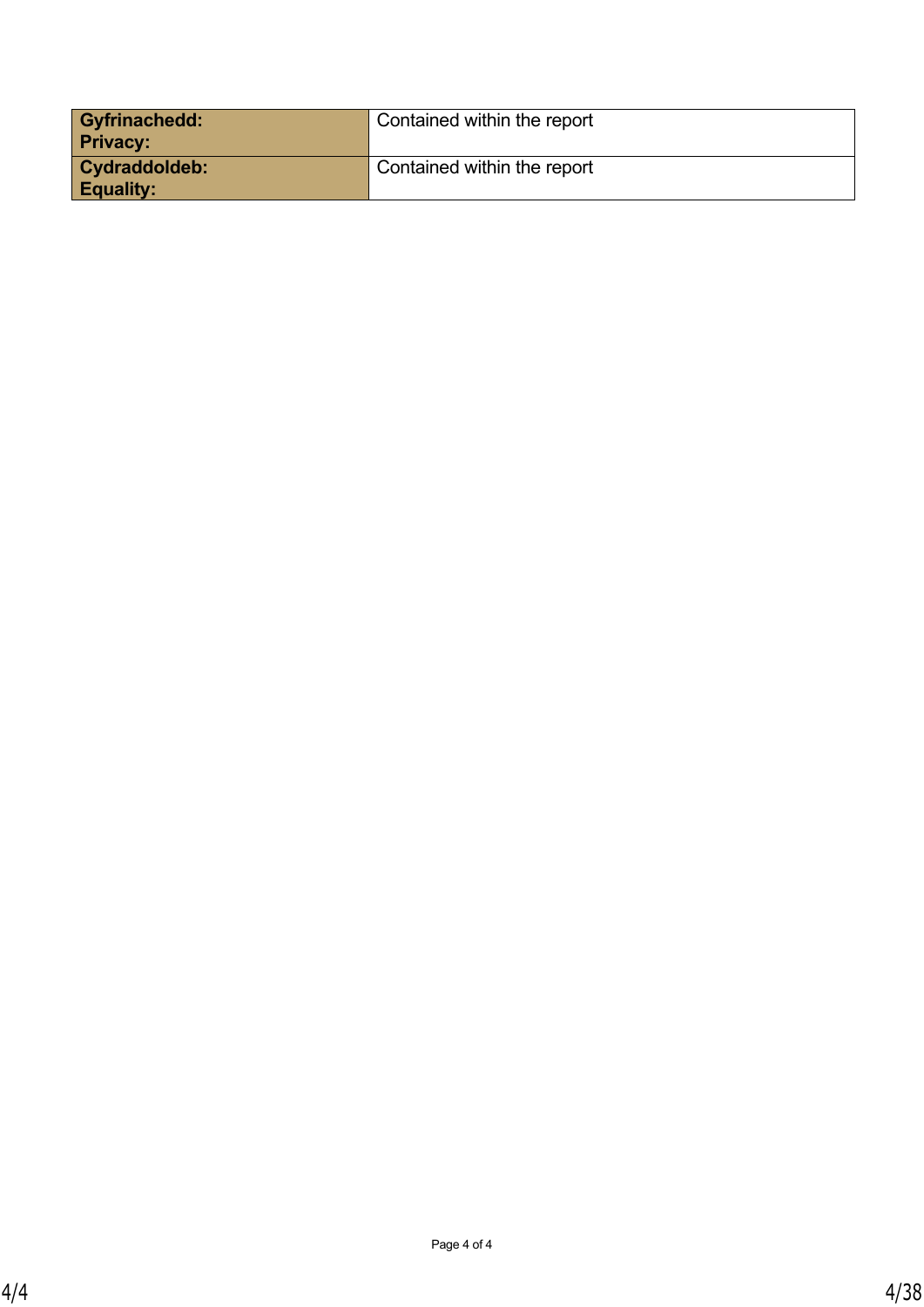| <b>Gyfrinachedd:</b><br><b>Privacy:</b>  | Contained within the report |
|------------------------------------------|-----------------------------|
| <b>Cydraddoldeb:</b><br><b>Equality:</b> | Contained within the report |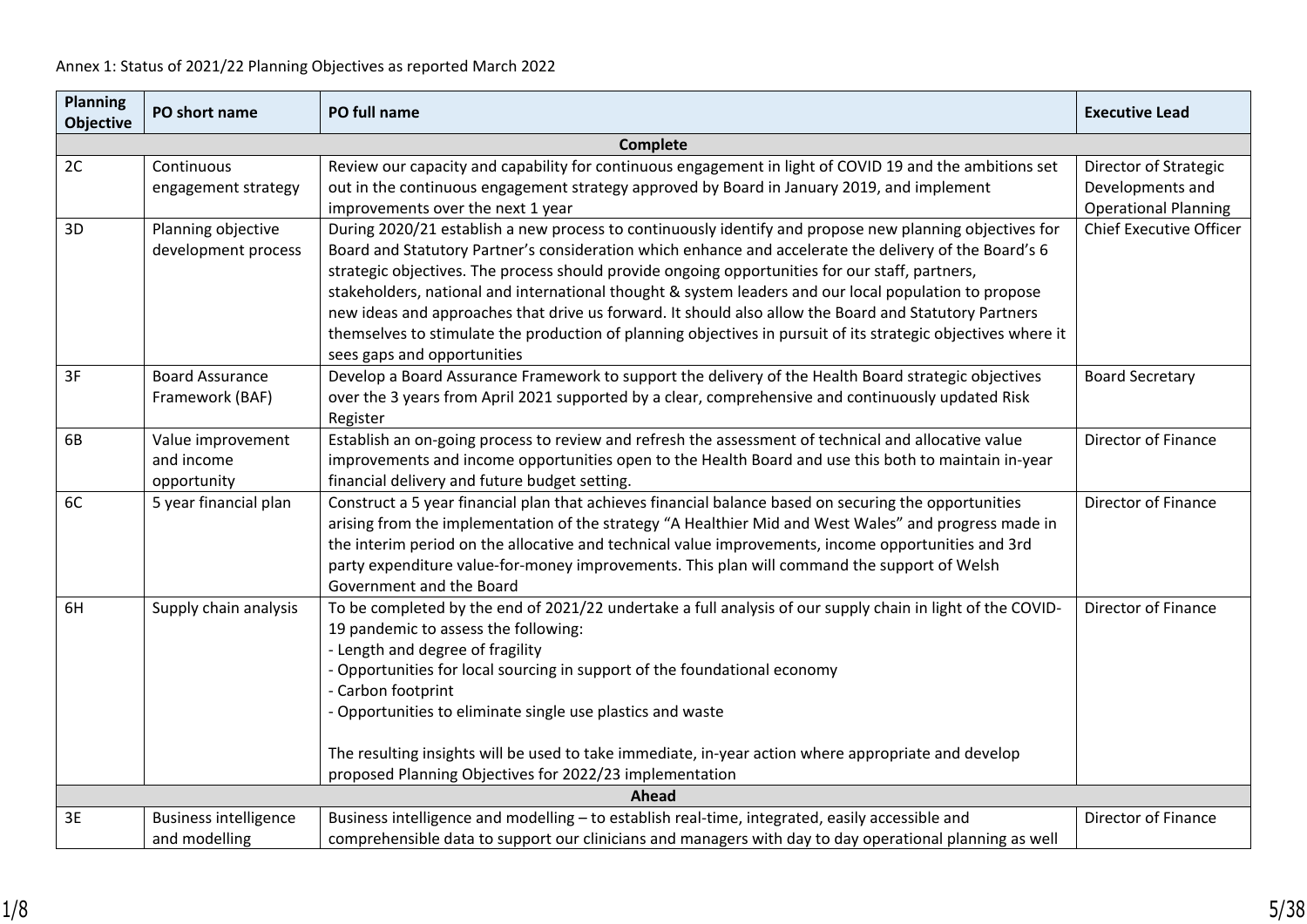| <b>Planning</b><br><b>Objective</b> | PO short name                                  | PO full name                                                                                                                                                                                                                                                                                                                                                                                                                                                                                                                                                                                                                                                                           | <b>Executive Lead</b>                                                    |
|-------------------------------------|------------------------------------------------|----------------------------------------------------------------------------------------------------------------------------------------------------------------------------------------------------------------------------------------------------------------------------------------------------------------------------------------------------------------------------------------------------------------------------------------------------------------------------------------------------------------------------------------------------------------------------------------------------------------------------------------------------------------------------------------|--------------------------------------------------------------------------|
|                                     |                                                | <b>Complete</b>                                                                                                                                                                                                                                                                                                                                                                                                                                                                                                                                                                                                                                                                        |                                                                          |
| 2C                                  | Continuous<br>engagement strategy              | Review our capacity and capability for continuous engagement in light of COVID 19 and the ambitions set<br>out in the continuous engagement strategy approved by Board in January 2019, and implement<br>improvements over the next 1 year                                                                                                                                                                                                                                                                                                                                                                                                                                             | Director of Strategic<br>Developments and<br><b>Operational Planning</b> |
| 3D                                  | Planning objective<br>development process      | During 2020/21 establish a new process to continuously identify and propose new planning objectives for<br>Board and Statutory Partner's consideration which enhance and accelerate the delivery of the Board's 6<br>strategic objectives. The process should provide ongoing opportunities for our staff, partners,<br>stakeholders, national and international thought & system leaders and our local population to propose<br>new ideas and approaches that drive us forward. It should also allow the Board and Statutory Partners<br>themselves to stimulate the production of planning objectives in pursuit of its strategic objectives where it<br>sees gaps and opportunities | <b>Chief Executive Officer</b>                                           |
| 3F                                  | <b>Board Assurance</b><br>Framework (BAF)      | Develop a Board Assurance Framework to support the delivery of the Health Board strategic objectives<br>over the 3 years from April 2021 supported by a clear, comprehensive and continuously updated Risk<br>Register                                                                                                                                                                                                                                                                                                                                                                                                                                                                 | <b>Board Secretary</b>                                                   |
| 6B                                  | Value improvement<br>and income<br>opportunity | Establish an on-going process to review and refresh the assessment of technical and allocative value<br>improvements and income opportunities open to the Health Board and use this both to maintain in-year<br>financial delivery and future budget setting.                                                                                                                                                                                                                                                                                                                                                                                                                          | Director of Finance                                                      |
| 6C                                  | 5 year financial plan                          | Construct a 5 year financial plan that achieves financial balance based on securing the opportunities<br>arising from the implementation of the strategy "A Healthier Mid and West Wales" and progress made in<br>the interim period on the allocative and technical value improvements, income opportunities and 3rd<br>party expenditure value-for-money improvements. This plan will command the support of Welsh<br>Government and the Board                                                                                                                                                                                                                                       | Director of Finance                                                      |
| 6H                                  | Supply chain analysis                          | To be completed by the end of 2021/22 undertake a full analysis of our supply chain in light of the COVID-<br>19 pandemic to assess the following:<br>- Length and degree of fragility<br>- Opportunities for local sourcing in support of the foundational economy<br>- Carbon footprint<br>- Opportunities to eliminate single use plastics and waste<br>The resulting insights will be used to take immediate, in-year action where appropriate and develop                                                                                                                                                                                                                         | Director of Finance                                                      |
|                                     |                                                | proposed Planning Objectives for 2022/23 implementation                                                                                                                                                                                                                                                                                                                                                                                                                                                                                                                                                                                                                                |                                                                          |
|                                     |                                                | Ahead                                                                                                                                                                                                                                                                                                                                                                                                                                                                                                                                                                                                                                                                                  |                                                                          |
| 3E                                  | <b>Business intelligence</b><br>and modelling  | Business intelligence and modelling - to establish real-time, integrated, easily accessible and<br>comprehensible data to support our clinicians and managers with day to day operational planning as well                                                                                                                                                                                                                                                                                                                                                                                                                                                                             | Director of Finance                                                      |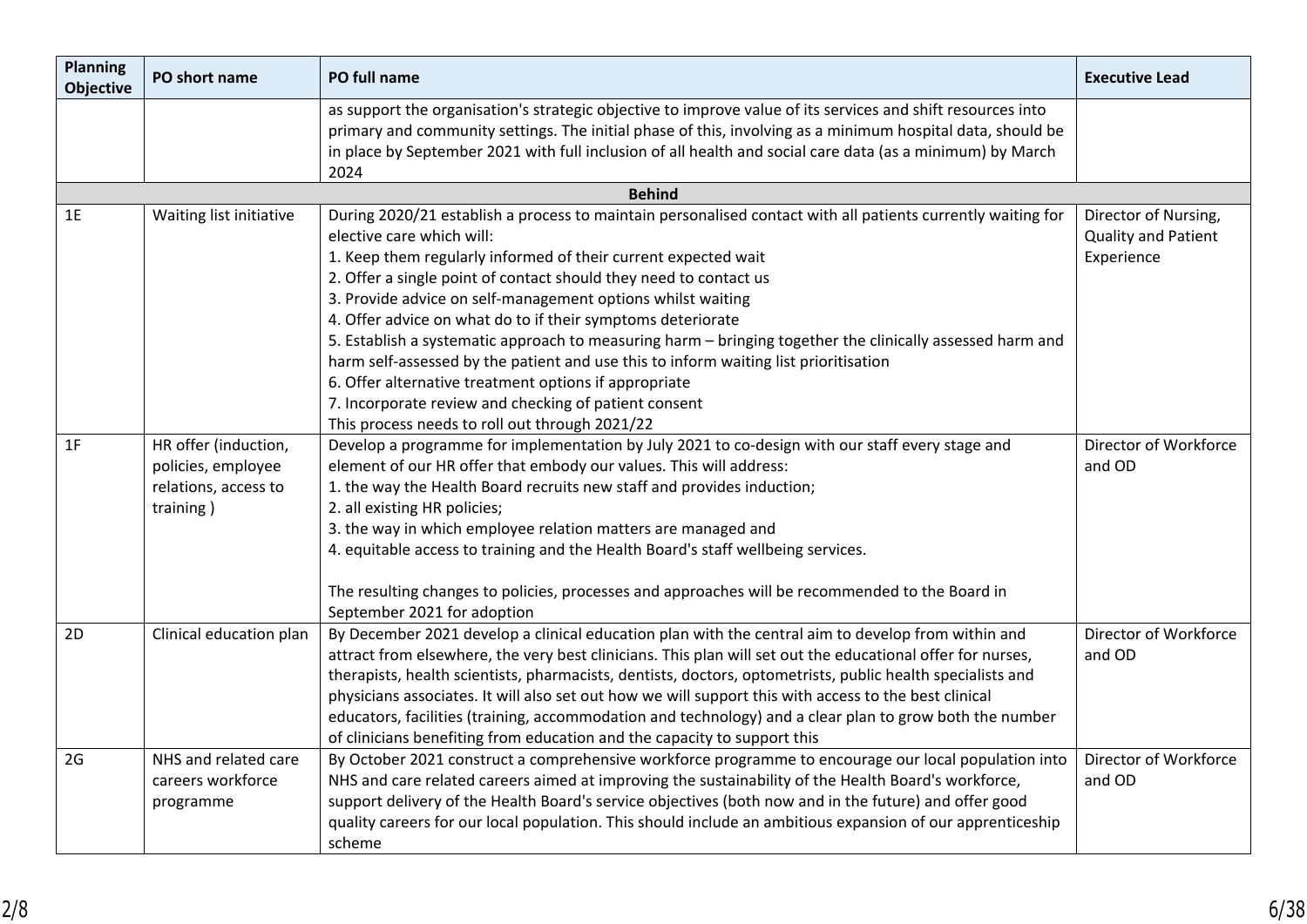| PO short name           | PO full name                                                                                                                   | <b>Executive Lead</b>                                                                                                                                                                                                                                                                                                                                                                                                                                                                                                                                                                                                                                                                                                                                                                                                                                                                                                                                                                                                                                                                                                                                                                                                                                                                                                                                                                                                                                                                                                                                                                                                                                                                                                                                                                                                                                    |
|-------------------------|--------------------------------------------------------------------------------------------------------------------------------|----------------------------------------------------------------------------------------------------------------------------------------------------------------------------------------------------------------------------------------------------------------------------------------------------------------------------------------------------------------------------------------------------------------------------------------------------------------------------------------------------------------------------------------------------------------------------------------------------------------------------------------------------------------------------------------------------------------------------------------------------------------------------------------------------------------------------------------------------------------------------------------------------------------------------------------------------------------------------------------------------------------------------------------------------------------------------------------------------------------------------------------------------------------------------------------------------------------------------------------------------------------------------------------------------------------------------------------------------------------------------------------------------------------------------------------------------------------------------------------------------------------------------------------------------------------------------------------------------------------------------------------------------------------------------------------------------------------------------------------------------------------------------------------------------------------------------------------------------------|
|                         | as support the organisation's strategic objective to improve value of its services and shift resources into                    |                                                                                                                                                                                                                                                                                                                                                                                                                                                                                                                                                                                                                                                                                                                                                                                                                                                                                                                                                                                                                                                                                                                                                                                                                                                                                                                                                                                                                                                                                                                                                                                                                                                                                                                                                                                                                                                          |
|                         | in place by September 2021 with full inclusion of all health and social care data (as a minimum) by March                      |                                                                                                                                                                                                                                                                                                                                                                                                                                                                                                                                                                                                                                                                                                                                                                                                                                                                                                                                                                                                                                                                                                                                                                                                                                                                                                                                                                                                                                                                                                                                                                                                                                                                                                                                                                                                                                                          |
|                         | <b>Behind</b>                                                                                                                  |                                                                                                                                                                                                                                                                                                                                                                                                                                                                                                                                                                                                                                                                                                                                                                                                                                                                                                                                                                                                                                                                                                                                                                                                                                                                                                                                                                                                                                                                                                                                                                                                                                                                                                                                                                                                                                                          |
| Waiting list initiative | During 2020/21 establish a process to maintain personalised contact with all patients currently waiting for                    | Director of Nursing,                                                                                                                                                                                                                                                                                                                                                                                                                                                                                                                                                                                                                                                                                                                                                                                                                                                                                                                                                                                                                                                                                                                                                                                                                                                                                                                                                                                                                                                                                                                                                                                                                                                                                                                                                                                                                                     |
|                         | elective care which will:                                                                                                      | Quality and Patient                                                                                                                                                                                                                                                                                                                                                                                                                                                                                                                                                                                                                                                                                                                                                                                                                                                                                                                                                                                                                                                                                                                                                                                                                                                                                                                                                                                                                                                                                                                                                                                                                                                                                                                                                                                                                                      |
|                         | 1. Keep them regularly informed of their current expected wait                                                                 | Experience                                                                                                                                                                                                                                                                                                                                                                                                                                                                                                                                                                                                                                                                                                                                                                                                                                                                                                                                                                                                                                                                                                                                                                                                                                                                                                                                                                                                                                                                                                                                                                                                                                                                                                                                                                                                                                               |
|                         | 2. Offer a single point of contact should they need to contact us                                                              |                                                                                                                                                                                                                                                                                                                                                                                                                                                                                                                                                                                                                                                                                                                                                                                                                                                                                                                                                                                                                                                                                                                                                                                                                                                                                                                                                                                                                                                                                                                                                                                                                                                                                                                                                                                                                                                          |
|                         |                                                                                                                                |                                                                                                                                                                                                                                                                                                                                                                                                                                                                                                                                                                                                                                                                                                                                                                                                                                                                                                                                                                                                                                                                                                                                                                                                                                                                                                                                                                                                                                                                                                                                                                                                                                                                                                                                                                                                                                                          |
|                         |                                                                                                                                |                                                                                                                                                                                                                                                                                                                                                                                                                                                                                                                                                                                                                                                                                                                                                                                                                                                                                                                                                                                                                                                                                                                                                                                                                                                                                                                                                                                                                                                                                                                                                                                                                                                                                                                                                                                                                                                          |
|                         |                                                                                                                                |                                                                                                                                                                                                                                                                                                                                                                                                                                                                                                                                                                                                                                                                                                                                                                                                                                                                                                                                                                                                                                                                                                                                                                                                                                                                                                                                                                                                                                                                                                                                                                                                                                                                                                                                                                                                                                                          |
|                         |                                                                                                                                |                                                                                                                                                                                                                                                                                                                                                                                                                                                                                                                                                                                                                                                                                                                                                                                                                                                                                                                                                                                                                                                                                                                                                                                                                                                                                                                                                                                                                                                                                                                                                                                                                                                                                                                                                                                                                                                          |
|                         |                                                                                                                                |                                                                                                                                                                                                                                                                                                                                                                                                                                                                                                                                                                                                                                                                                                                                                                                                                                                                                                                                                                                                                                                                                                                                                                                                                                                                                                                                                                                                                                                                                                                                                                                                                                                                                                                                                                                                                                                          |
|                         |                                                                                                                                |                                                                                                                                                                                                                                                                                                                                                                                                                                                                                                                                                                                                                                                                                                                                                                                                                                                                                                                                                                                                                                                                                                                                                                                                                                                                                                                                                                                                                                                                                                                                                                                                                                                                                                                                                                                                                                                          |
|                         |                                                                                                                                | Director of Workforce                                                                                                                                                                                                                                                                                                                                                                                                                                                                                                                                                                                                                                                                                                                                                                                                                                                                                                                                                                                                                                                                                                                                                                                                                                                                                                                                                                                                                                                                                                                                                                                                                                                                                                                                                                                                                                    |
|                         |                                                                                                                                | and OD                                                                                                                                                                                                                                                                                                                                                                                                                                                                                                                                                                                                                                                                                                                                                                                                                                                                                                                                                                                                                                                                                                                                                                                                                                                                                                                                                                                                                                                                                                                                                                                                                                                                                                                                                                                                                                                   |
|                         |                                                                                                                                |                                                                                                                                                                                                                                                                                                                                                                                                                                                                                                                                                                                                                                                                                                                                                                                                                                                                                                                                                                                                                                                                                                                                                                                                                                                                                                                                                                                                                                                                                                                                                                                                                                                                                                                                                                                                                                                          |
| training)               | 2. all existing HR policies;                                                                                                   |                                                                                                                                                                                                                                                                                                                                                                                                                                                                                                                                                                                                                                                                                                                                                                                                                                                                                                                                                                                                                                                                                                                                                                                                                                                                                                                                                                                                                                                                                                                                                                                                                                                                                                                                                                                                                                                          |
|                         | 3. the way in which employee relation matters are managed and                                                                  |                                                                                                                                                                                                                                                                                                                                                                                                                                                                                                                                                                                                                                                                                                                                                                                                                                                                                                                                                                                                                                                                                                                                                                                                                                                                                                                                                                                                                                                                                                                                                                                                                                                                                                                                                                                                                                                          |
|                         | 4. equitable access to training and the Health Board's staff wellbeing services.                                               |                                                                                                                                                                                                                                                                                                                                                                                                                                                                                                                                                                                                                                                                                                                                                                                                                                                                                                                                                                                                                                                                                                                                                                                                                                                                                                                                                                                                                                                                                                                                                                                                                                                                                                                                                                                                                                                          |
|                         | The resulting changes to policies, processes and approaches will be recommended to the Board in<br>September 2021 for adoption |                                                                                                                                                                                                                                                                                                                                                                                                                                                                                                                                                                                                                                                                                                                                                                                                                                                                                                                                                                                                                                                                                                                                                                                                                                                                                                                                                                                                                                                                                                                                                                                                                                                                                                                                                                                                                                                          |
| Clinical education plan | By December 2021 develop a clinical education plan with the central aim to develop from within and                             | Director of Workforce                                                                                                                                                                                                                                                                                                                                                                                                                                                                                                                                                                                                                                                                                                                                                                                                                                                                                                                                                                                                                                                                                                                                                                                                                                                                                                                                                                                                                                                                                                                                                                                                                                                                                                                                                                                                                                    |
|                         |                                                                                                                                | and OD                                                                                                                                                                                                                                                                                                                                                                                                                                                                                                                                                                                                                                                                                                                                                                                                                                                                                                                                                                                                                                                                                                                                                                                                                                                                                                                                                                                                                                                                                                                                                                                                                                                                                                                                                                                                                                                   |
|                         |                                                                                                                                |                                                                                                                                                                                                                                                                                                                                                                                                                                                                                                                                                                                                                                                                                                                                                                                                                                                                                                                                                                                                                                                                                                                                                                                                                                                                                                                                                                                                                                                                                                                                                                                                                                                                                                                                                                                                                                                          |
|                         |                                                                                                                                |                                                                                                                                                                                                                                                                                                                                                                                                                                                                                                                                                                                                                                                                                                                                                                                                                                                                                                                                                                                                                                                                                                                                                                                                                                                                                                                                                                                                                                                                                                                                                                                                                                                                                                                                                                                                                                                          |
|                         |                                                                                                                                |                                                                                                                                                                                                                                                                                                                                                                                                                                                                                                                                                                                                                                                                                                                                                                                                                                                                                                                                                                                                                                                                                                                                                                                                                                                                                                                                                                                                                                                                                                                                                                                                                                                                                                                                                                                                                                                          |
|                         |                                                                                                                                | Director of Workforce                                                                                                                                                                                                                                                                                                                                                                                                                                                                                                                                                                                                                                                                                                                                                                                                                                                                                                                                                                                                                                                                                                                                                                                                                                                                                                                                                                                                                                                                                                                                                                                                                                                                                                                                                                                                                                    |
|                         |                                                                                                                                | and OD                                                                                                                                                                                                                                                                                                                                                                                                                                                                                                                                                                                                                                                                                                                                                                                                                                                                                                                                                                                                                                                                                                                                                                                                                                                                                                                                                                                                                                                                                                                                                                                                                                                                                                                                                                                                                                                   |
|                         |                                                                                                                                |                                                                                                                                                                                                                                                                                                                                                                                                                                                                                                                                                                                                                                                                                                                                                                                                                                                                                                                                                                                                                                                                                                                                                                                                                                                                                                                                                                                                                                                                                                                                                                                                                                                                                                                                                                                                                                                          |
|                         |                                                                                                                                |                                                                                                                                                                                                                                                                                                                                                                                                                                                                                                                                                                                                                                                                                                                                                                                                                                                                                                                                                                                                                                                                                                                                                                                                                                                                                                                                                                                                                                                                                                                                                                                                                                                                                                                                                                                                                                                          |
|                         |                                                                                                                                |                                                                                                                                                                                                                                                                                                                                                                                                                                                                                                                                                                                                                                                                                                                                                                                                                                                                                                                                                                                                                                                                                                                                                                                                                                                                                                                                                                                                                                                                                                                                                                                                                                                                                                                                                                                                                                                          |
|                         | HR offer (induction,<br>policies, employee<br>relations, access to<br>NHS and related care<br>careers workforce<br>programme   | primary and community settings. The initial phase of this, involving as a minimum hospital data, should be<br>2024<br>3. Provide advice on self-management options whilst waiting<br>4. Offer advice on what do to if their symptoms deteriorate<br>5. Establish a systematic approach to measuring harm - bringing together the clinically assessed harm and<br>harm self-assessed by the patient and use this to inform waiting list prioritisation<br>6. Offer alternative treatment options if appropriate<br>7. Incorporate review and checking of patient consent<br>This process needs to roll out through 2021/22<br>Develop a programme for implementation by July 2021 to co-design with our staff every stage and<br>element of our HR offer that embody our values. This will address:<br>1. the way the Health Board recruits new staff and provides induction;<br>attract from elsewhere, the very best clinicians. This plan will set out the educational offer for nurses,<br>therapists, health scientists, pharmacists, dentists, doctors, optometrists, public health specialists and<br>physicians associates. It will also set out how we will support this with access to the best clinical<br>educators, facilities (training, accommodation and technology) and a clear plan to grow both the number<br>of clinicians benefiting from education and the capacity to support this<br>By October 2021 construct a comprehensive workforce programme to encourage our local population into<br>NHS and care related careers aimed at improving the sustainability of the Health Board's workforce,<br>support delivery of the Health Board's service objectives (both now and in the future) and offer good<br>quality careers for our local population. This should include an ambitious expansion of our apprenticeship<br>scheme |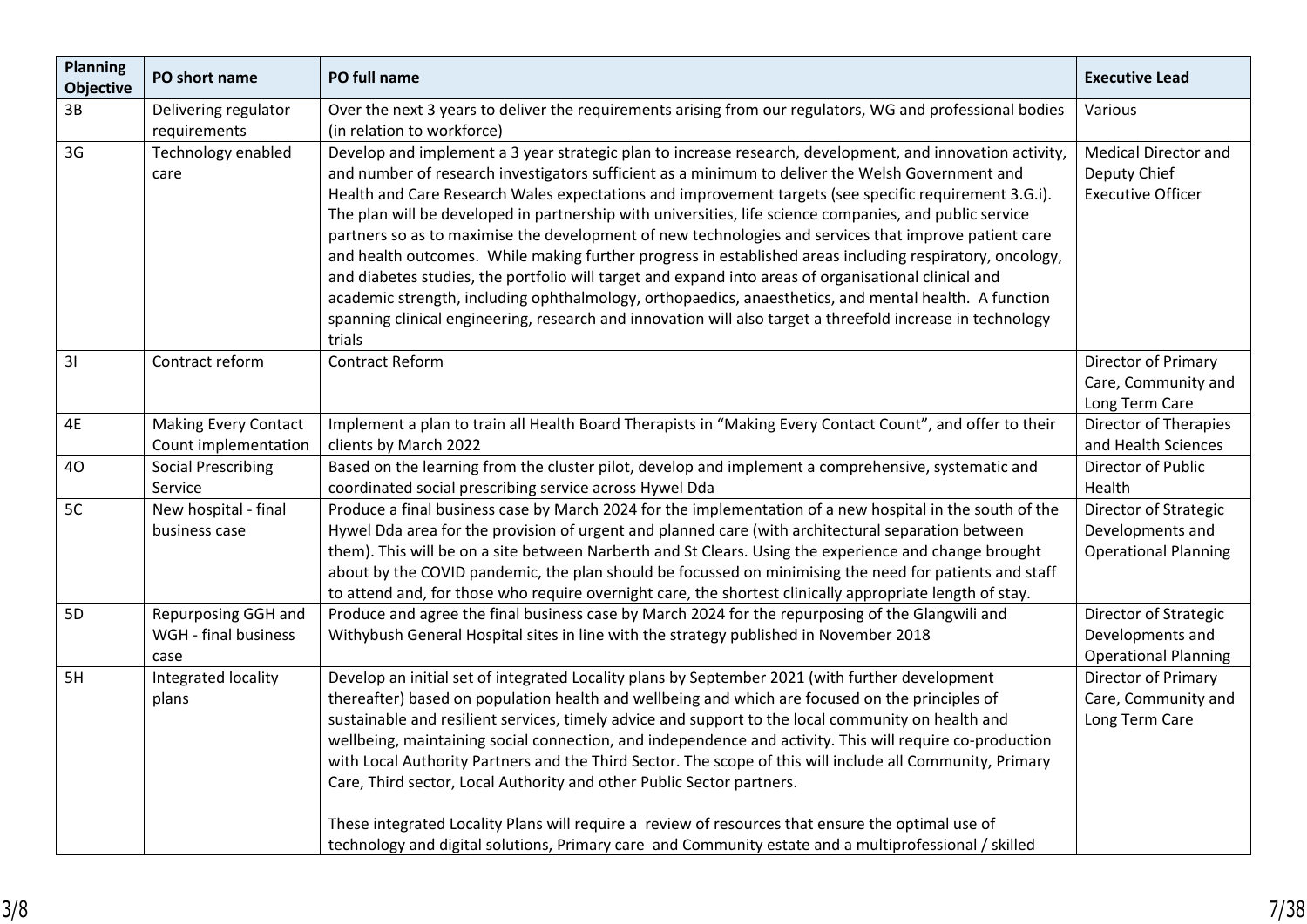| <b>Planning</b><br><b>Objective</b> | PO short name                                       | PO full name                                                                                                                                                                                                                                                                                                                                                                                                                                                                                                                                                                                                                                                                                                                                                                                                                                                                                                                                                                                    | <b>Executive Lead</b>                                                    |
|-------------------------------------|-----------------------------------------------------|-------------------------------------------------------------------------------------------------------------------------------------------------------------------------------------------------------------------------------------------------------------------------------------------------------------------------------------------------------------------------------------------------------------------------------------------------------------------------------------------------------------------------------------------------------------------------------------------------------------------------------------------------------------------------------------------------------------------------------------------------------------------------------------------------------------------------------------------------------------------------------------------------------------------------------------------------------------------------------------------------|--------------------------------------------------------------------------|
| 3B                                  | Delivering regulator<br>requirements                | Over the next 3 years to deliver the requirements arising from our regulators, WG and professional bodies<br>(in relation to workforce)                                                                                                                                                                                                                                                                                                                                                                                                                                                                                                                                                                                                                                                                                                                                                                                                                                                         | Various                                                                  |
| 3G                                  | Technology enabled<br>care                          | Develop and implement a 3 year strategic plan to increase research, development, and innovation activity,<br>and number of research investigators sufficient as a minimum to deliver the Welsh Government and<br>Health and Care Research Wales expectations and improvement targets (see specific requirement 3.G.i).<br>The plan will be developed in partnership with universities, life science companies, and public service<br>partners so as to maximise the development of new technologies and services that improve patient care<br>and health outcomes. While making further progress in established areas including respiratory, oncology,<br>and diabetes studies, the portfolio will target and expand into areas of organisational clinical and<br>academic strength, including ophthalmology, orthopaedics, anaesthetics, and mental health. A function<br>spanning clinical engineering, research and innovation will also target a threefold increase in technology<br>trials | <b>Medical Director and</b><br>Deputy Chief<br><b>Executive Officer</b>  |
| 31                                  | Contract reform                                     | Contract Reform                                                                                                                                                                                                                                                                                                                                                                                                                                                                                                                                                                                                                                                                                                                                                                                                                                                                                                                                                                                 | Director of Primary<br>Care, Community and<br>Long Term Care             |
| 4E                                  | <b>Making Every Contact</b><br>Count implementation | Implement a plan to train all Health Board Therapists in "Making Every Contact Count", and offer to their<br>clients by March 2022                                                                                                                                                                                                                                                                                                                                                                                                                                                                                                                                                                                                                                                                                                                                                                                                                                                              | Director of Therapies<br>and Health Sciences                             |
| 40                                  | <b>Social Prescribing</b><br>Service                | Based on the learning from the cluster pilot, develop and implement a comprehensive, systematic and<br>coordinated social prescribing service across Hywel Dda                                                                                                                                                                                                                                                                                                                                                                                                                                                                                                                                                                                                                                                                                                                                                                                                                                  | Director of Public<br>Health                                             |
| 5C                                  | New hospital - final<br>business case               | Produce a final business case by March 2024 for the implementation of a new hospital in the south of the<br>Hywel Dda area for the provision of urgent and planned care (with architectural separation between<br>them). This will be on a site between Narberth and St Clears. Using the experience and change brought<br>about by the COVID pandemic, the plan should be focussed on minimising the need for patients and staff<br>to attend and, for those who require overnight care, the shortest clinically appropriate length of stay.                                                                                                                                                                                                                                                                                                                                                                                                                                                   | Director of Strategic<br>Developments and<br><b>Operational Planning</b> |
| 5D                                  | Repurposing GGH and<br>WGH - final business<br>case | Produce and agree the final business case by March 2024 for the repurposing of the Glangwili and<br>Withybush General Hospital sites in line with the strategy published in November 2018                                                                                                                                                                                                                                                                                                                                                                                                                                                                                                                                                                                                                                                                                                                                                                                                       | Director of Strategic<br>Developments and<br><b>Operational Planning</b> |
| 5H                                  | Integrated locality<br>plans                        | Develop an initial set of integrated Locality plans by September 2021 (with further development<br>thereafter) based on population health and wellbeing and which are focused on the principles of<br>sustainable and resilient services, timely advice and support to the local community on health and<br>wellbeing, maintaining social connection, and independence and activity. This will require co-production<br>with Local Authority Partners and the Third Sector. The scope of this will include all Community, Primary<br>Care, Third sector, Local Authority and other Public Sector partners.<br>These integrated Locality Plans will require a review of resources that ensure the optimal use of<br>technology and digital solutions, Primary care and Community estate and a multiprofessional / skilled                                                                                                                                                                        | Director of Primary<br>Care, Community and<br>Long Term Care             |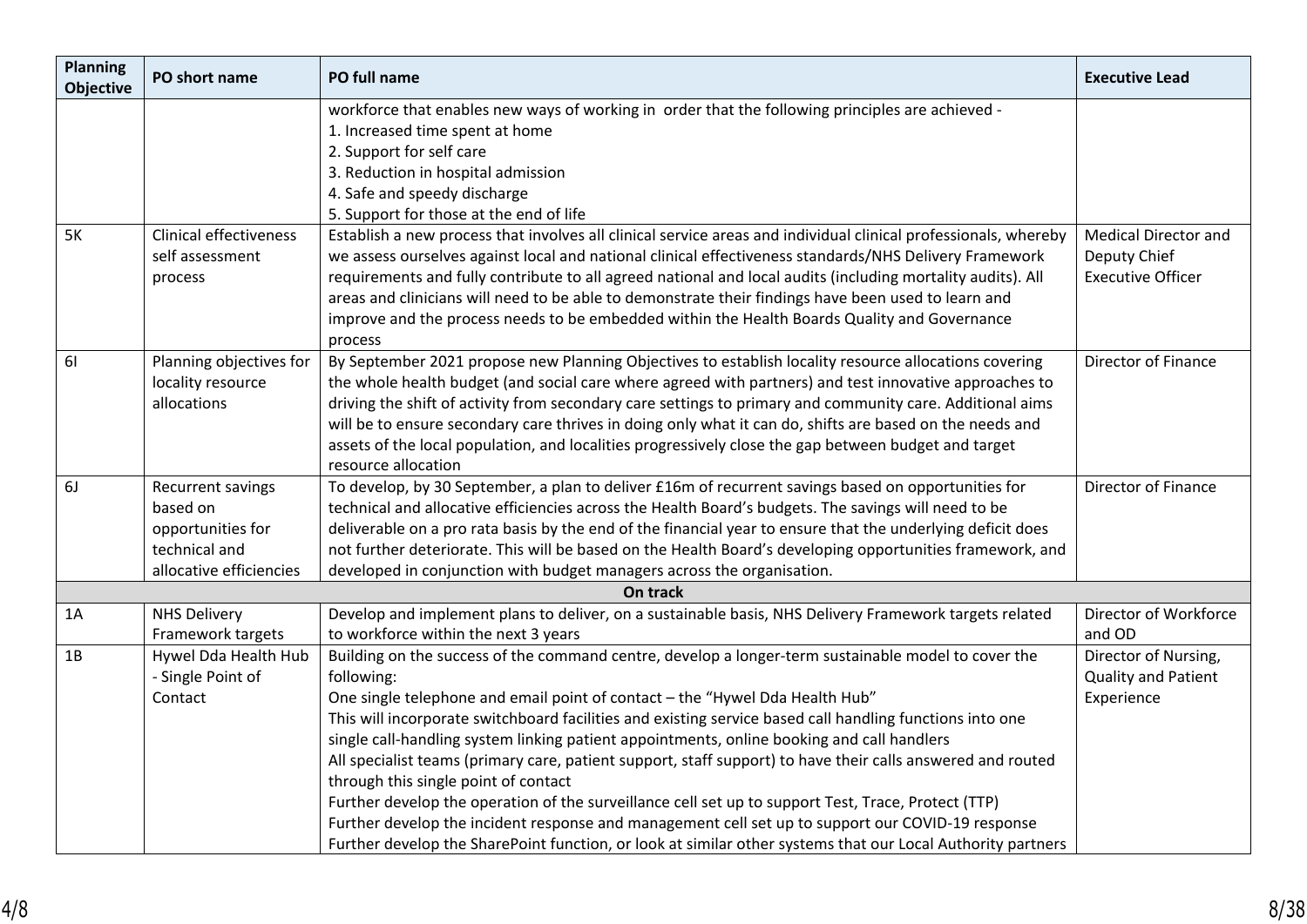| <b>Planning</b><br><b>Objective</b> | PO short name                 | PO full name                                                                                                     | <b>Executive Lead</b>       |
|-------------------------------------|-------------------------------|------------------------------------------------------------------------------------------------------------------|-----------------------------|
|                                     |                               | workforce that enables new ways of working in order that the following principles are achieved -                 |                             |
|                                     |                               | 1. Increased time spent at home                                                                                  |                             |
|                                     |                               | 2. Support for self care                                                                                         |                             |
|                                     |                               | 3. Reduction in hospital admission                                                                               |                             |
|                                     |                               | 4. Safe and speedy discharge                                                                                     |                             |
|                                     |                               | 5. Support for those at the end of life                                                                          |                             |
| 5K                                  | <b>Clinical effectiveness</b> | Establish a new process that involves all clinical service areas and individual clinical professionals, whereby  | <b>Medical Director and</b> |
|                                     | self assessment               | we assess ourselves against local and national clinical effectiveness standards/NHS Delivery Framework           | Deputy Chief                |
|                                     | process                       | requirements and fully contribute to all agreed national and local audits (including mortality audits). All      | <b>Executive Officer</b>    |
|                                     |                               | areas and clinicians will need to be able to demonstrate their findings have been used to learn and              |                             |
|                                     |                               | improve and the process needs to be embedded within the Health Boards Quality and Governance                     |                             |
| 61                                  | Planning objectives for       | process<br>By September 2021 propose new Planning Objectives to establish locality resource allocations covering | Director of Finance         |
|                                     | locality resource             | the whole health budget (and social care where agreed with partners) and test innovative approaches to           |                             |
|                                     | allocations                   | driving the shift of activity from secondary care settings to primary and community care. Additional aims        |                             |
|                                     |                               | will be to ensure secondary care thrives in doing only what it can do, shifts are based on the needs and         |                             |
|                                     |                               | assets of the local population, and localities progressively close the gap between budget and target             |                             |
|                                     |                               | resource allocation                                                                                              |                             |
| 6J                                  | Recurrent savings             | To develop, by 30 September, a plan to deliver £16m of recurrent savings based on opportunities for              | Director of Finance         |
|                                     | based on                      | technical and allocative efficiencies across the Health Board's budgets. The savings will need to be             |                             |
|                                     | opportunities for             | deliverable on a pro rata basis by the end of the financial year to ensure that the underlying deficit does      |                             |
|                                     | technical and                 | not further deteriorate. This will be based on the Health Board's developing opportunities framework, and        |                             |
|                                     | allocative efficiencies       | developed in conjunction with budget managers across the organisation.                                           |                             |
|                                     |                               | On track                                                                                                         |                             |
| 1A                                  | <b>NHS Delivery</b>           | Develop and implement plans to deliver, on a sustainable basis, NHS Delivery Framework targets related           | Director of Workforce       |
|                                     | Framework targets             | to workforce within the next 3 years                                                                             | and OD                      |
| 1B                                  | Hywel Dda Health Hub          | Building on the success of the command centre, develop a longer-term sustainable model to cover the              | Director of Nursing,        |
|                                     | - Single Point of             | following:                                                                                                       | <b>Quality and Patient</b>  |
|                                     | Contact                       | One single telephone and email point of contact - the "Hywel Dda Health Hub"                                     | Experience                  |
|                                     |                               | This will incorporate switchboard facilities and existing service based call handling functions into one         |                             |
|                                     |                               | single call-handling system linking patient appointments, online booking and call handlers                       |                             |
|                                     |                               | All specialist teams (primary care, patient support, staff support) to have their calls answered and routed      |                             |
|                                     |                               | through this single point of contact                                                                             |                             |
|                                     |                               | Further develop the operation of the surveillance cell set up to support Test, Trace, Protect (TTP)              |                             |
|                                     |                               | Further develop the incident response and management cell set up to support our COVID-19 response                |                             |
|                                     |                               | Further develop the SharePoint function, or look at similar other systems that our Local Authority partners      |                             |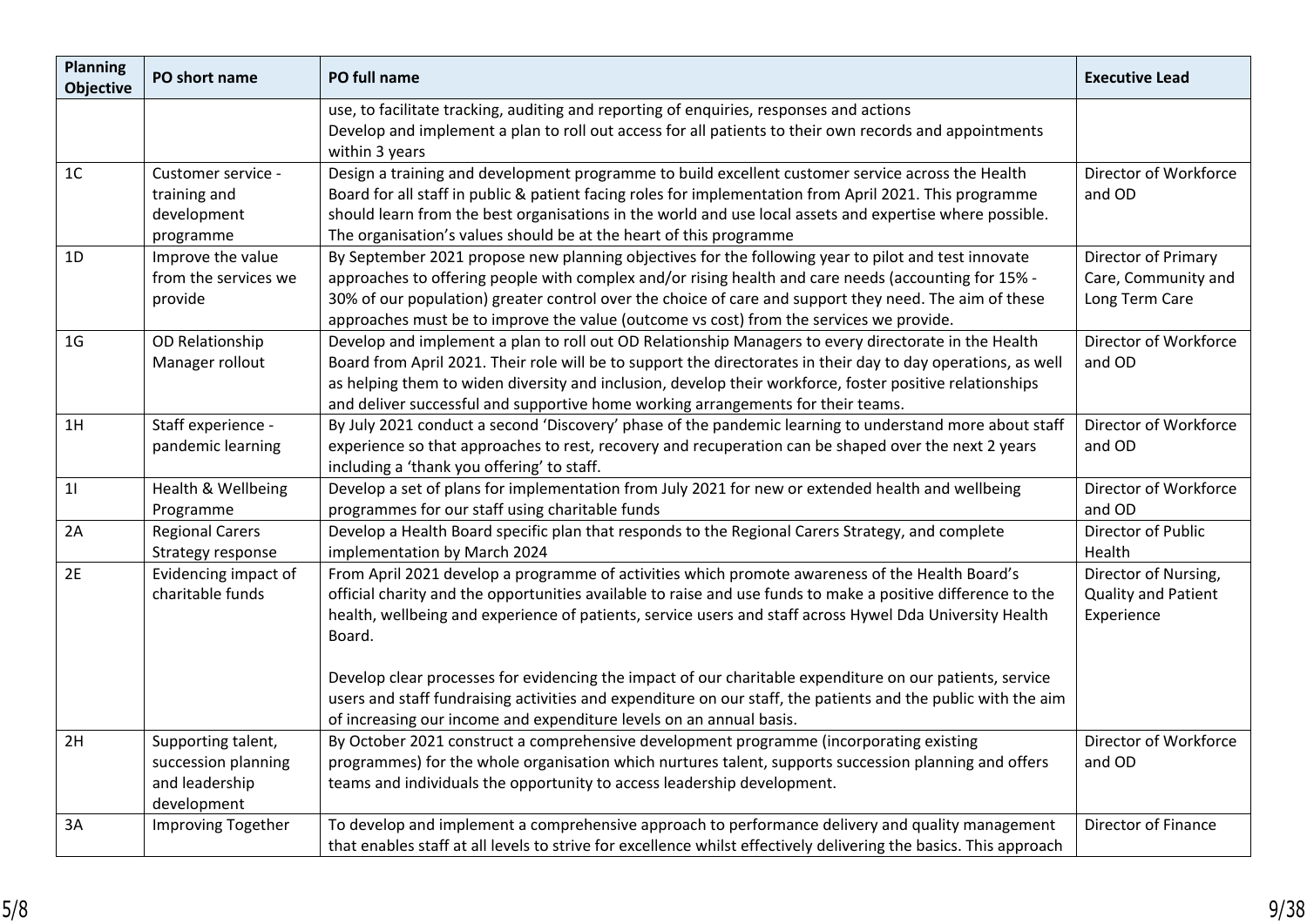| <b>Planning</b><br><b>Objective</b> | PO short name                                                              | PO full name                                                                                                                                                                                                                                                                                                                                                                                                          | <b>Executive Lead</b>                                        |
|-------------------------------------|----------------------------------------------------------------------------|-----------------------------------------------------------------------------------------------------------------------------------------------------------------------------------------------------------------------------------------------------------------------------------------------------------------------------------------------------------------------------------------------------------------------|--------------------------------------------------------------|
|                                     |                                                                            | use, to facilitate tracking, auditing and reporting of enquiries, responses and actions<br>Develop and implement a plan to roll out access for all patients to their own records and appointments<br>within 3 years                                                                                                                                                                                                   |                                                              |
| 1C                                  | Customer service -<br>training and<br>development<br>programme             | Design a training and development programme to build excellent customer service across the Health<br>Board for all staff in public & patient facing roles for implementation from April 2021. This programme<br>should learn from the best organisations in the world and use local assets and expertise where possible.<br>The organisation's values should be at the heart of this programme                        | Director of Workforce<br>and OD                              |
| 1D                                  | Improve the value<br>from the services we<br>provide                       | By September 2021 propose new planning objectives for the following year to pilot and test innovate<br>approaches to offering people with complex and/or rising health and care needs (accounting for 15% -<br>30% of our population) greater control over the choice of care and support they need. The aim of these<br>approaches must be to improve the value (outcome vs cost) from the services we provide.      | Director of Primary<br>Care, Community and<br>Long Term Care |
| 1 <sub>G</sub>                      | OD Relationship<br>Manager rollout                                         | Develop and implement a plan to roll out OD Relationship Managers to every directorate in the Health<br>Board from April 2021. Their role will be to support the directorates in their day to day operations, as well<br>as helping them to widen diversity and inclusion, develop their workforce, foster positive relationships<br>and deliver successful and supportive home working arrangements for their teams. | Director of Workforce<br>and OD                              |
| 1H                                  | Staff experience -<br>pandemic learning                                    | By July 2021 conduct a second 'Discovery' phase of the pandemic learning to understand more about staff<br>experience so that approaches to rest, recovery and recuperation can be shaped over the next 2 years<br>including a 'thank you offering' to staff.                                                                                                                                                         | Director of Workforce<br>and OD                              |
| 11                                  | Health & Wellbeing<br>Programme                                            | Develop a set of plans for implementation from July 2021 for new or extended health and wellbeing<br>programmes for our staff using charitable funds                                                                                                                                                                                                                                                                  | Director of Workforce<br>and OD                              |
| 2A                                  | <b>Regional Carers</b><br>Strategy response                                | Develop a Health Board specific plan that responds to the Regional Carers Strategy, and complete<br>implementation by March 2024                                                                                                                                                                                                                                                                                      | Director of Public<br>Health                                 |
| 2E                                  | Evidencing impact of<br>charitable funds                                   | From April 2021 develop a programme of activities which promote awareness of the Health Board's<br>official charity and the opportunities available to raise and use funds to make a positive difference to the<br>health, wellbeing and experience of patients, service users and staff across Hywel Dda University Health<br>Board.                                                                                 | Director of Nursing,<br>Quality and Patient<br>Experience    |
|                                     |                                                                            | Develop clear processes for evidencing the impact of our charitable expenditure on our patients, service<br>users and staff fundraising activities and expenditure on our staff, the patients and the public with the aim<br>of increasing our income and expenditure levels on an annual basis.                                                                                                                      |                                                              |
| 2H                                  | Supporting talent,<br>succession planning<br>and leadership<br>development | By October 2021 construct a comprehensive development programme (incorporating existing<br>programmes) for the whole organisation which nurtures talent, supports succession planning and offers<br>teams and individuals the opportunity to access leadership development.                                                                                                                                           | Director of Workforce<br>and OD                              |
| 3A                                  | <b>Improving Together</b>                                                  | To develop and implement a comprehensive approach to performance delivery and quality management<br>that enables staff at all levels to strive for excellence whilst effectively delivering the basics. This approach                                                                                                                                                                                                 | Director of Finance                                          |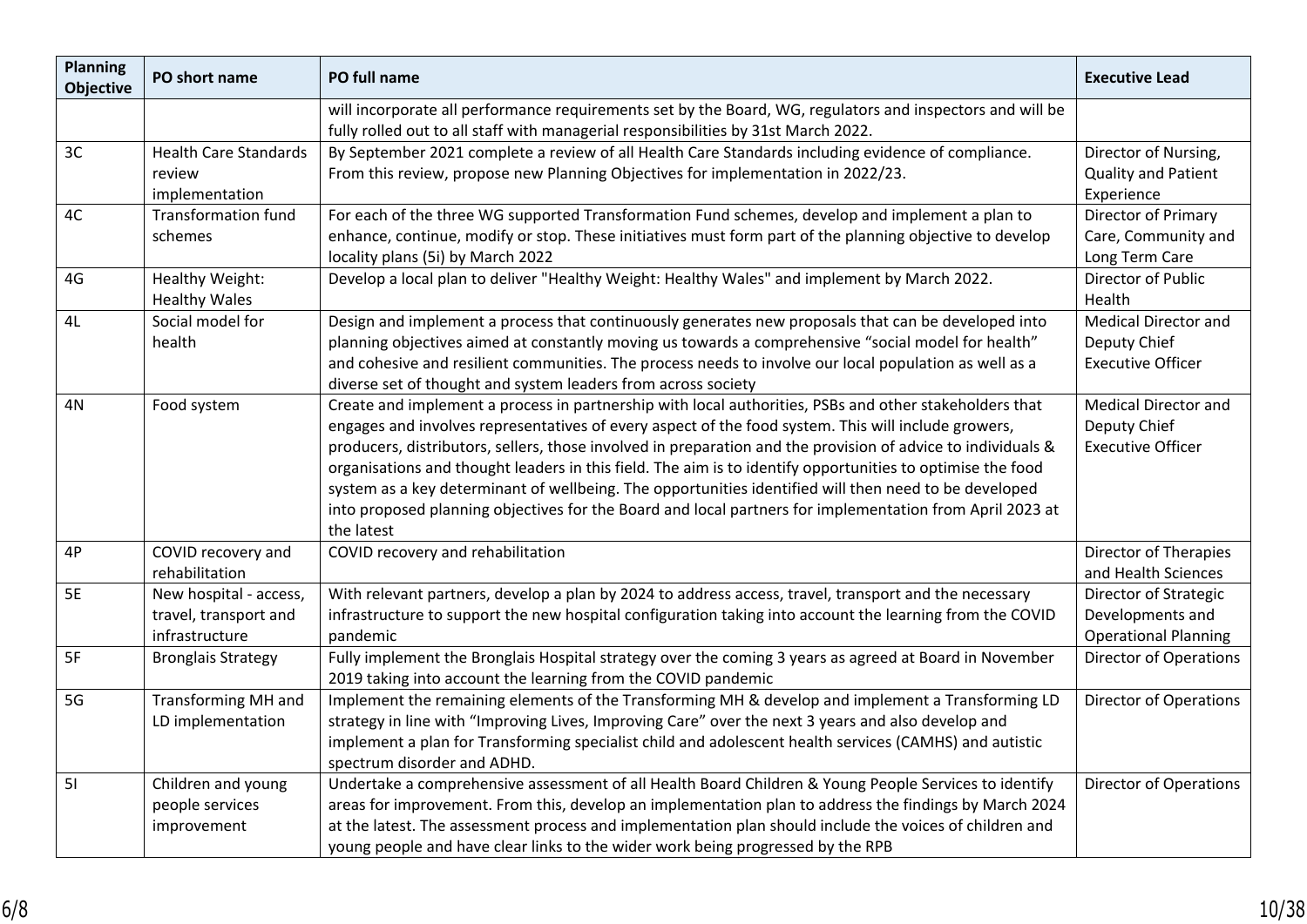| <b>Planning</b><br><b>Objective</b> | PO short name                | PO full name                                                                                                                                                                                    | <b>Executive Lead</b>         |
|-------------------------------------|------------------------------|-------------------------------------------------------------------------------------------------------------------------------------------------------------------------------------------------|-------------------------------|
|                                     |                              | will incorporate all performance requirements set by the Board, WG, regulators and inspectors and will be<br>fully rolled out to all staff with managerial responsibilities by 31st March 2022. |                               |
| 3C                                  | <b>Health Care Standards</b> | By September 2021 complete a review of all Health Care Standards including evidence of compliance.                                                                                              | Director of Nursing,          |
|                                     | review                       | From this review, propose new Planning Objectives for implementation in 2022/23.                                                                                                                | Quality and Patient           |
|                                     | implementation               |                                                                                                                                                                                                 | Experience                    |
| 4C                                  | <b>Transformation fund</b>   | For each of the three WG supported Transformation Fund schemes, develop and implement a plan to                                                                                                 | Director of Primary           |
|                                     | schemes                      | enhance, continue, modify or stop. These initiatives must form part of the planning objective to develop                                                                                        | Care, Community and           |
|                                     |                              | locality plans (5i) by March 2022                                                                                                                                                               | Long Term Care                |
| 4G                                  | Healthy Weight:              | Develop a local plan to deliver "Healthy Weight: Healthy Wales" and implement by March 2022.                                                                                                    | Director of Public            |
|                                     | <b>Healthy Wales</b>         |                                                                                                                                                                                                 | Health                        |
| 4L                                  | Social model for             | Design and implement a process that continuously generates new proposals that can be developed into                                                                                             | <b>Medical Director and</b>   |
|                                     | health                       | planning objectives aimed at constantly moving us towards a comprehensive "social model for health"                                                                                             | Deputy Chief                  |
|                                     |                              | and cohesive and resilient communities. The process needs to involve our local population as well as a                                                                                          | <b>Executive Officer</b>      |
|                                     |                              | diverse set of thought and system leaders from across society                                                                                                                                   |                               |
| 4N                                  | Food system                  | Create and implement a process in partnership with local authorities, PSBs and other stakeholders that                                                                                          | <b>Medical Director and</b>   |
|                                     |                              | engages and involves representatives of every aspect of the food system. This will include growers,                                                                                             | Deputy Chief                  |
|                                     |                              | producers, distributors, sellers, those involved in preparation and the provision of advice to individuals &                                                                                    | <b>Executive Officer</b>      |
|                                     |                              | organisations and thought leaders in this field. The aim is to identify opportunities to optimise the food                                                                                      |                               |
|                                     |                              | system as a key determinant of wellbeing. The opportunities identified will then need to be developed                                                                                           |                               |
|                                     |                              | into proposed planning objectives for the Board and local partners for implementation from April 2023 at                                                                                        |                               |
|                                     |                              | the latest                                                                                                                                                                                      |                               |
| 4P                                  | COVID recovery and           | COVID recovery and rehabilitation                                                                                                                                                               | Director of Therapies         |
|                                     | rehabilitation               |                                                                                                                                                                                                 | and Health Sciences           |
| 5E                                  | New hospital - access,       | With relevant partners, develop a plan by 2024 to address access, travel, transport and the necessary                                                                                           | Director of Strategic         |
|                                     | travel, transport and        | infrastructure to support the new hospital configuration taking into account the learning from the COVID                                                                                        | Developments and              |
|                                     | infrastructure               | pandemic                                                                                                                                                                                        | <b>Operational Planning</b>   |
| 5F                                  | <b>Bronglais Strategy</b>    | Fully implement the Bronglais Hospital strategy over the coming 3 years as agreed at Board in November                                                                                          | <b>Director of Operations</b> |
|                                     |                              | 2019 taking into account the learning from the COVID pandemic                                                                                                                                   |                               |
| 5G                                  | <b>Transforming MH and</b>   | Implement the remaining elements of the Transforming MH & develop and implement a Transforming LD                                                                                               | <b>Director of Operations</b> |
|                                     | LD implementation            | strategy in line with "Improving Lives, Improving Care" over the next 3 years and also develop and                                                                                              |                               |
|                                     |                              | implement a plan for Transforming specialist child and adolescent health services (CAMHS) and autistic                                                                                          |                               |
|                                     |                              | spectrum disorder and ADHD.                                                                                                                                                                     |                               |
| 51                                  | Children and young           | Undertake a comprehensive assessment of all Health Board Children & Young People Services to identify                                                                                           | <b>Director of Operations</b> |
|                                     | people services              | areas for improvement. From this, develop an implementation plan to address the findings by March 2024                                                                                          |                               |
|                                     | improvement                  | at the latest. The assessment process and implementation plan should include the voices of children and                                                                                         |                               |
|                                     |                              | young people and have clear links to the wider work being progressed by the RPB                                                                                                                 |                               |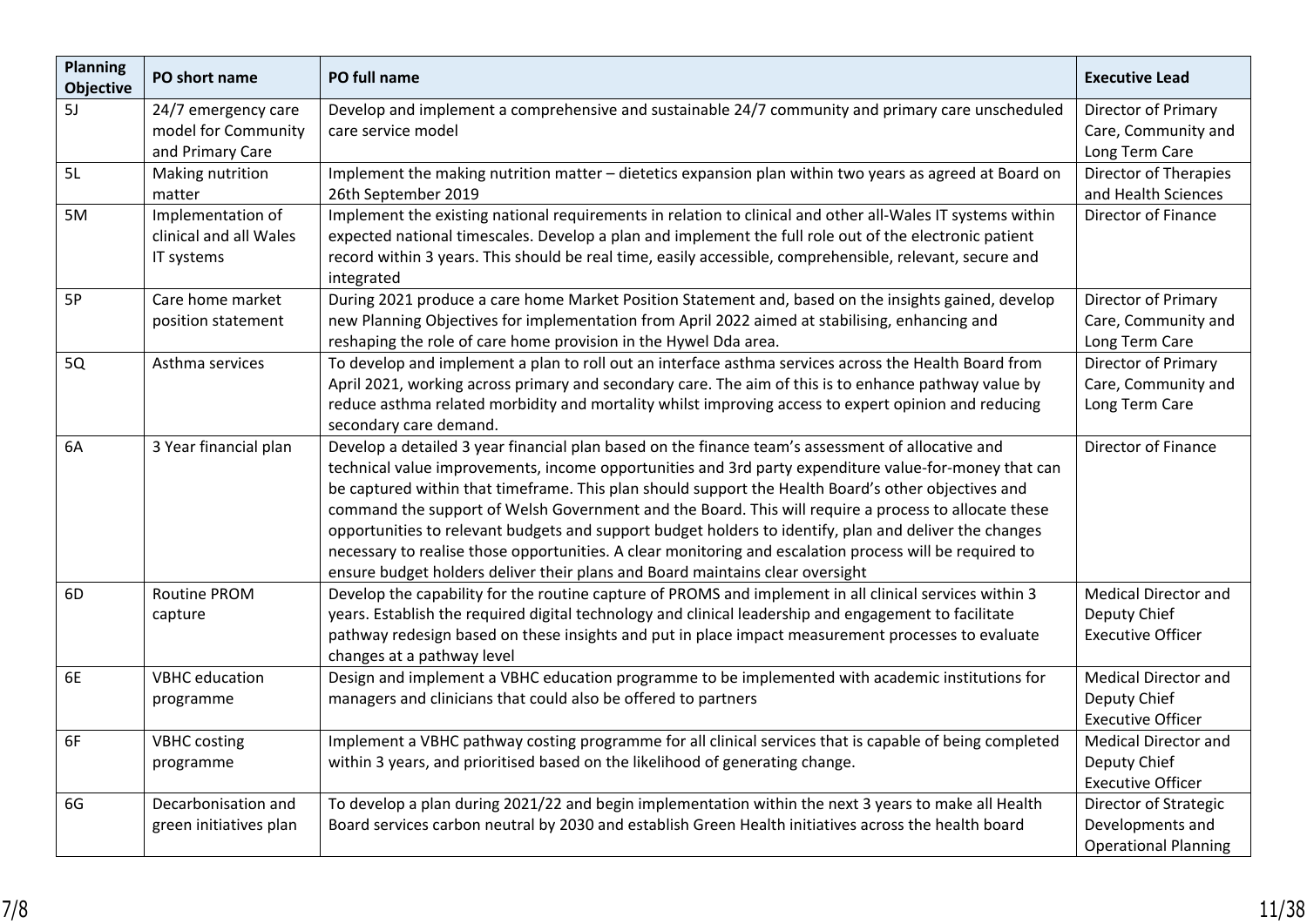| <b>Planning</b><br><b>Objective</b> | PO short name                                                  | PO full name                                                                                                                                                                                                                                                                                                                                                                                                                                                                                                                                                                                                                                                                                                                    | <b>Executive Lead</b>                                                    |
|-------------------------------------|----------------------------------------------------------------|---------------------------------------------------------------------------------------------------------------------------------------------------------------------------------------------------------------------------------------------------------------------------------------------------------------------------------------------------------------------------------------------------------------------------------------------------------------------------------------------------------------------------------------------------------------------------------------------------------------------------------------------------------------------------------------------------------------------------------|--------------------------------------------------------------------------|
| 5J                                  | 24/7 emergency care<br>model for Community<br>and Primary Care | Develop and implement a comprehensive and sustainable 24/7 community and primary care unscheduled<br>care service model                                                                                                                                                                                                                                                                                                                                                                                                                                                                                                                                                                                                         | Director of Primary<br>Care, Community and<br>Long Term Care             |
| 5L                                  | Making nutrition<br>matter                                     | Implement the making nutrition matter - dietetics expansion plan within two years as agreed at Board on<br>26th September 2019                                                                                                                                                                                                                                                                                                                                                                                                                                                                                                                                                                                                  | <b>Director of Therapies</b><br>and Health Sciences                      |
| 5M                                  | Implementation of<br>clinical and all Wales<br>IT systems      | Implement the existing national requirements in relation to clinical and other all-Wales IT systems within<br>expected national timescales. Develop a plan and implement the full role out of the electronic patient<br>record within 3 years. This should be real time, easily accessible, comprehensible, relevant, secure and<br>integrated                                                                                                                                                                                                                                                                                                                                                                                  | Director of Finance                                                      |
| 5P                                  | Care home market<br>position statement                         | During 2021 produce a care home Market Position Statement and, based on the insights gained, develop<br>new Planning Objectives for implementation from April 2022 aimed at stabilising, enhancing and<br>reshaping the role of care home provision in the Hywel Dda area.                                                                                                                                                                                                                                                                                                                                                                                                                                                      | Director of Primary<br>Care, Community and<br>Long Term Care             |
| <b>5Q</b>                           | Asthma services                                                | To develop and implement a plan to roll out an interface asthma services across the Health Board from<br>April 2021, working across primary and secondary care. The aim of this is to enhance pathway value by<br>reduce asthma related morbidity and mortality whilst improving access to expert opinion and reducing<br>secondary care demand.                                                                                                                                                                                                                                                                                                                                                                                | Director of Primary<br>Care, Community and<br>Long Term Care             |
| 6A                                  | 3 Year financial plan                                          | Develop a detailed 3 year financial plan based on the finance team's assessment of allocative and<br>technical value improvements, income opportunities and 3rd party expenditure value-for-money that can<br>be captured within that timeframe. This plan should support the Health Board's other objectives and<br>command the support of Welsh Government and the Board. This will require a process to allocate these<br>opportunities to relevant budgets and support budget holders to identify, plan and deliver the changes<br>necessary to realise those opportunities. A clear monitoring and escalation process will be required to<br>ensure budget holders deliver their plans and Board maintains clear oversight | Director of Finance                                                      |
| 6D                                  | <b>Routine PROM</b><br>capture                                 | Develop the capability for the routine capture of PROMS and implement in all clinical services within 3<br>years. Establish the required digital technology and clinical leadership and engagement to facilitate<br>pathway redesign based on these insights and put in place impact measurement processes to evaluate<br>changes at a pathway level                                                                                                                                                                                                                                                                                                                                                                            | <b>Medical Director and</b><br>Deputy Chief<br><b>Executive Officer</b>  |
| 6E                                  | <b>VBHC</b> education<br>programme                             | Design and implement a VBHC education programme to be implemented with academic institutions for<br>managers and clinicians that could also be offered to partners                                                                                                                                                                                                                                                                                                                                                                                                                                                                                                                                                              | <b>Medical Director and</b><br>Deputy Chief<br><b>Executive Officer</b>  |
| 6F                                  | <b>VBHC</b> costing<br>programme                               | Implement a VBHC pathway costing programme for all clinical services that is capable of being completed<br>within 3 years, and prioritised based on the likelihood of generating change.                                                                                                                                                                                                                                                                                                                                                                                                                                                                                                                                        | <b>Medical Director and</b><br>Deputy Chief<br><b>Executive Officer</b>  |
| 6G                                  | Decarbonisation and<br>green initiatives plan                  | To develop a plan during 2021/22 and begin implementation within the next 3 years to make all Health<br>Board services carbon neutral by 2030 and establish Green Health initiatives across the health board                                                                                                                                                                                                                                                                                                                                                                                                                                                                                                                    | Director of Strategic<br>Developments and<br><b>Operational Planning</b> |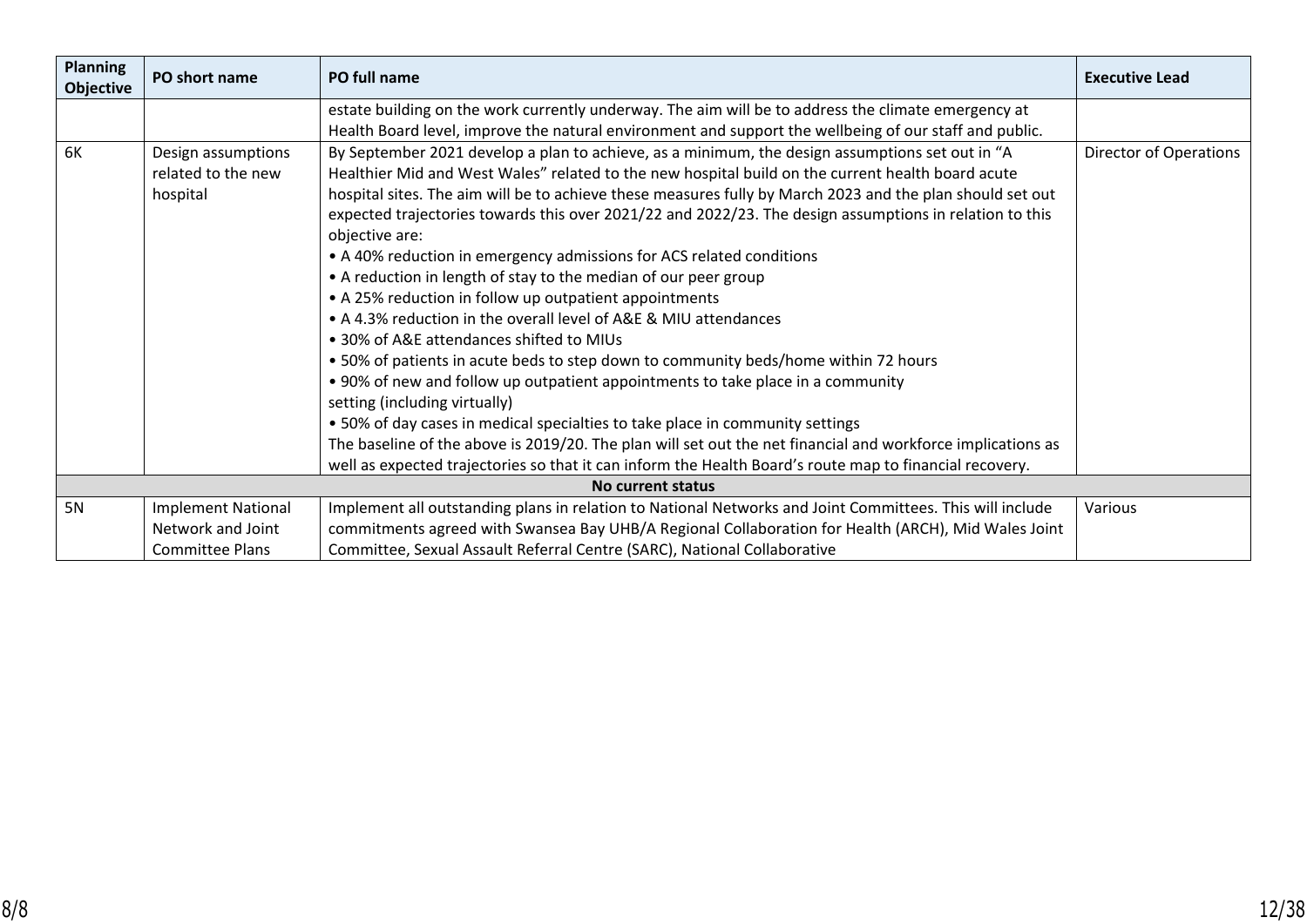| <b>Planning</b><br><b>Objective</b> | PO short name             | PO full name                                                                                                | <b>Executive Lead</b>  |
|-------------------------------------|---------------------------|-------------------------------------------------------------------------------------------------------------|------------------------|
|                                     |                           | estate building on the work currently underway. The aim will be to address the climate emergency at         |                        |
|                                     |                           | Health Board level, improve the natural environment and support the wellbeing of our staff and public.      |                        |
| 6K                                  | Design assumptions        | By September 2021 develop a plan to achieve, as a minimum, the design assumptions set out in "A             | Director of Operations |
|                                     | related to the new        | Healthier Mid and West Wales" related to the new hospital build on the current health board acute           |                        |
|                                     | hospital                  | hospital sites. The aim will be to achieve these measures fully by March 2023 and the plan should set out   |                        |
|                                     |                           | expected trajectories towards this over 2021/22 and 2022/23. The design assumptions in relation to this     |                        |
|                                     |                           | objective are:                                                                                              |                        |
|                                     |                           | • A 40% reduction in emergency admissions for ACS related conditions                                        |                        |
|                                     |                           | • A reduction in length of stay to the median of our peer group                                             |                        |
|                                     |                           | • A 25% reduction in follow up outpatient appointments                                                      |                        |
|                                     |                           | • A 4.3% reduction in the overall level of A&E & MIU attendances                                            |                        |
|                                     |                           | • 30% of A&E attendances shifted to MIUs                                                                    |                        |
|                                     |                           | . 50% of patients in acute beds to step down to community beds/home within 72 hours                         |                        |
|                                     |                           | • 90% of new and follow up outpatient appointments to take place in a community                             |                        |
|                                     |                           | setting (including virtually)                                                                               |                        |
|                                     |                           | • 50% of day cases in medical specialties to take place in community settings                               |                        |
|                                     |                           | The baseline of the above is 2019/20. The plan will set out the net financial and workforce implications as |                        |
|                                     |                           | well as expected trajectories so that it can inform the Health Board's route map to financial recovery.     |                        |
|                                     |                           | No current status                                                                                           |                        |
| 5N                                  | <b>Implement National</b> | Implement all outstanding plans in relation to National Networks and Joint Committees. This will include    | Various                |
|                                     | Network and Joint         | commitments agreed with Swansea Bay UHB/A Regional Collaboration for Health (ARCH), Mid Wales Joint         |                        |
|                                     | <b>Committee Plans</b>    | Committee, Sexual Assault Referral Centre (SARC), National Collaborative                                    |                        |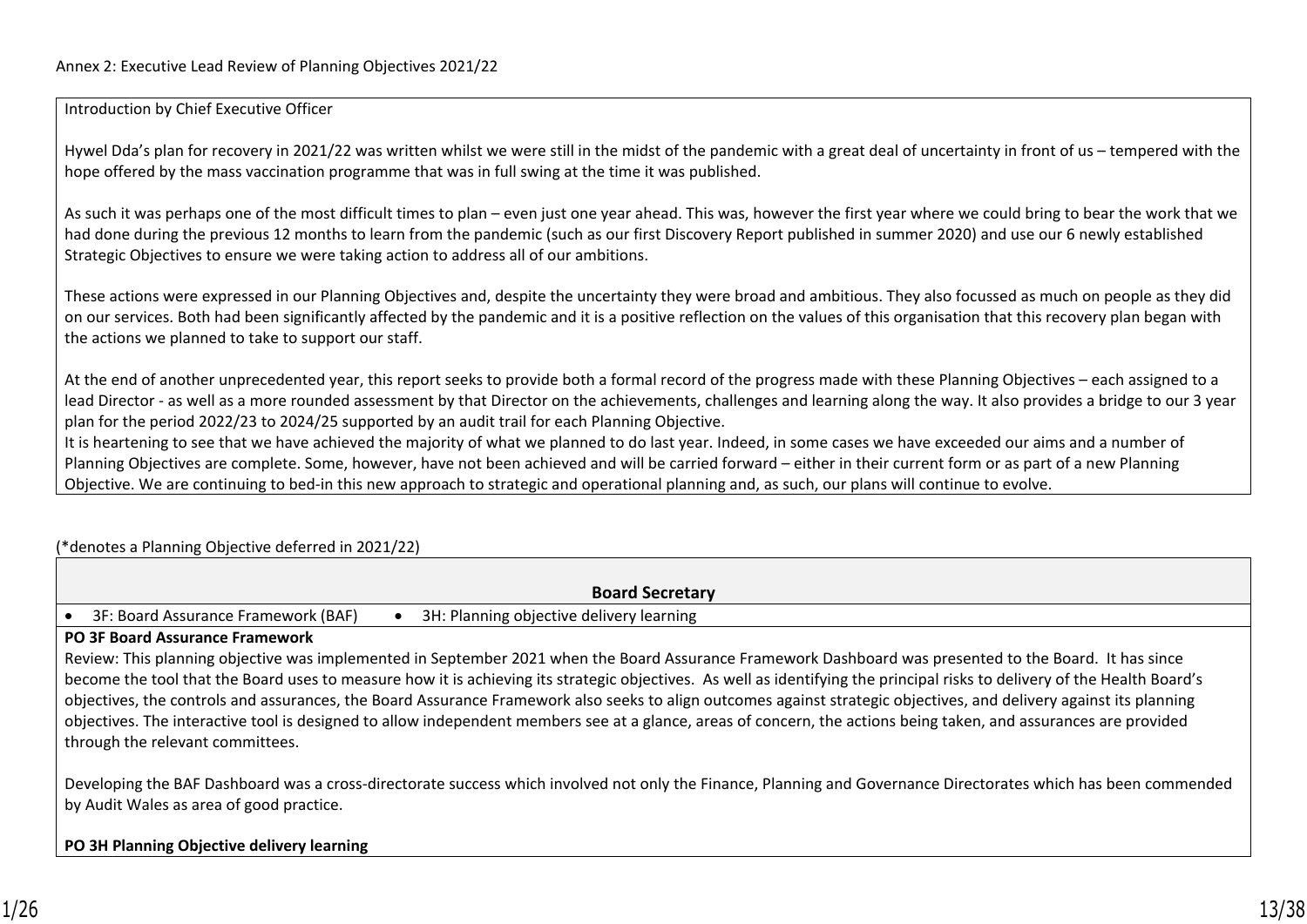Introduction by Chief Executive Officer

Hywel Dda's plan for recovery in 2021/22 was written whilst we were still in the midst of the pandemic with a great deal of uncertainty in front of us – tempered with the hope offered by the mass vaccination programme that was in full swing at the time it was published.

As such it was perhaps one of the most difficult times to plan – even just one year ahead. This was, however the first year where we could bring to bear the work that we had done during the previous 12 months to learn from the pandemic (such as our first Discovery Report published in summer 2020) and use our 6 newly established Strategic Objectives to ensure we were taking action to address all of our ambitions.

These actions were expressed in our Planning Objectives and, despite the uncertainty they were broad and ambitious. They also focussed as much on people as they did on our services. Both had been significantly affected by the pandemic and it is a positive reflection on the values of this organisation that this recovery plan began with the actions we planned to take to support our staff.

At the end of another unprecedented year, this report seeks to provide both a formal record of the progress made with these Planning Objectives – each assigned to a lead Director - as well as a more rounded assessment by that Director on the achievements, challenges and learning along the way. It also provides a bridge to our 3 year plan for the period 2022/23 to 2024/25 supported by an audit trail for each Planning Objective.

It is heartening to see that we have achieved the majority of what we planned to do last year. Indeed, in some cases we have exceeded our aims and a number of Planning Objectives are complete. Some, however, have not been achieved and will be carried forward – either in their current form or as part of a new Planning Objective. We are continuing to bed-in this new approach to strategic and operational planning and, as such, our plans will continue to evolve.

## (\*denotes a Planning Objective deferred in 2021/22)

| <b>Board Secretary</b>                                                                                                                                                                                                                                                                                                                                                                                                                                                                                                                                                                                                                                                                                               |  |  |  |  |  |  |
|----------------------------------------------------------------------------------------------------------------------------------------------------------------------------------------------------------------------------------------------------------------------------------------------------------------------------------------------------------------------------------------------------------------------------------------------------------------------------------------------------------------------------------------------------------------------------------------------------------------------------------------------------------------------------------------------------------------------|--|--|--|--|--|--|
| 3F: Board Assurance Framework (BAF)<br>3H: Planning objective delivery learning                                                                                                                                                                                                                                                                                                                                                                                                                                                                                                                                                                                                                                      |  |  |  |  |  |  |
| <b>PO 3F Board Assurance Framework</b>                                                                                                                                                                                                                                                                                                                                                                                                                                                                                                                                                                                                                                                                               |  |  |  |  |  |  |
| Review: This planning objective was implemented in September 2021 when the Board Assurance Framework Dashboard was presented to the Board. It has since<br>become the tool that the Board uses to measure how it is achieving its strategic objectives. As well as identifying the principal risks to delivery of the Health Board's<br>objectives, the controls and assurances, the Board Assurance Framework also seeks to align outcomes against strategic objectives, and delivery against its planning<br>objectives. The interactive tool is designed to allow independent members see at a glance, areas of concern, the actions being taken, and assurances are provided<br>through the relevant committees. |  |  |  |  |  |  |
| Developing the BAF Dashboard was a cross-directorate success which involved not only the Finance, Planning and Governance Directorates which has been commended<br>by Audit Wales as area of good practice.                                                                                                                                                                                                                                                                                                                                                                                                                                                                                                          |  |  |  |  |  |  |

## **PO 3H Planning Objective delivery learning**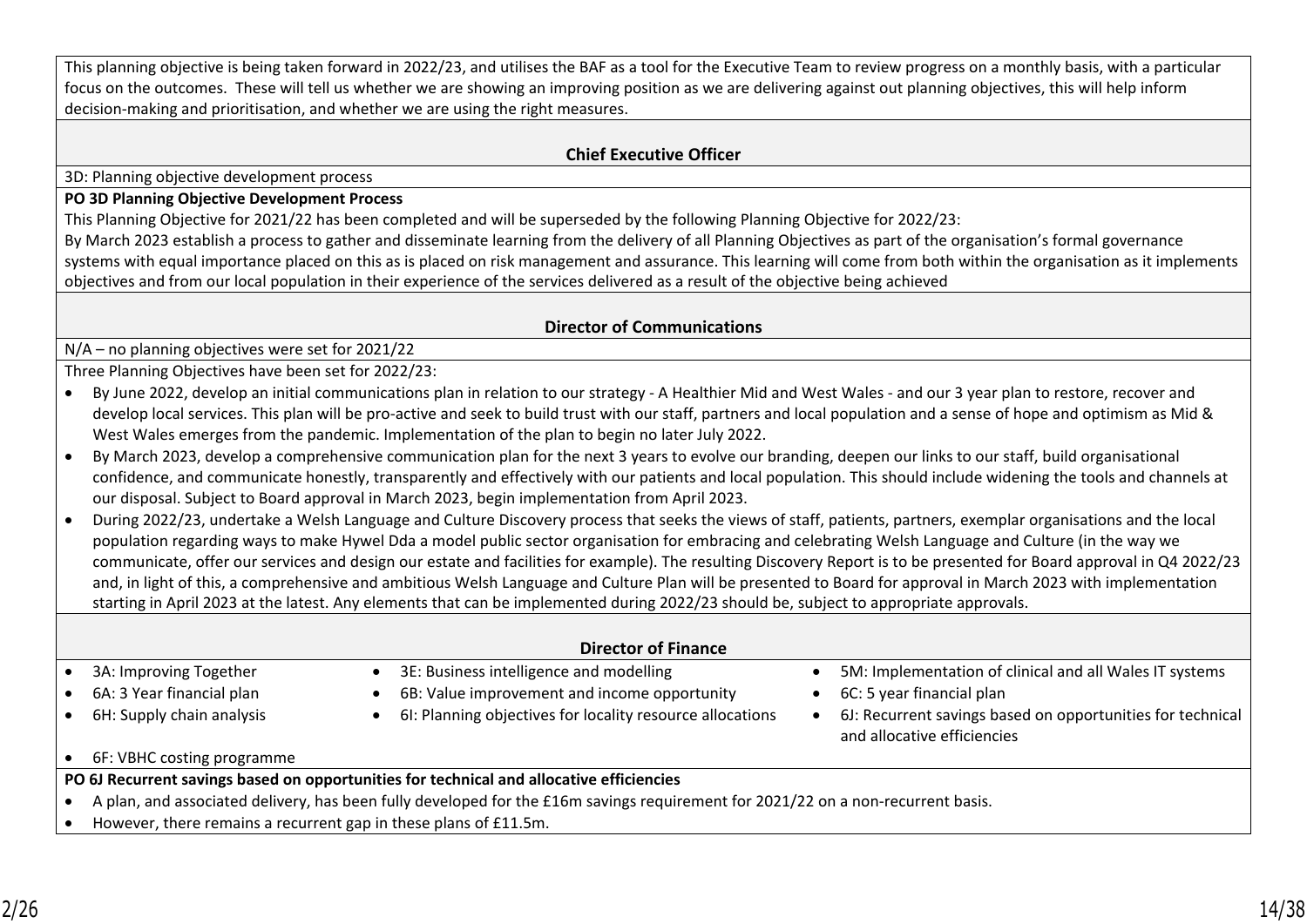| This planning objective is being taken forward in 2022/23, and utilises the BAF as a tool for the Executive Team to review progress on a monthly basis, with a particular |
|---------------------------------------------------------------------------------------------------------------------------------------------------------------------------|
| focus on the outcomes. These will tell us whether we are showing an improving position as we are delivering against out planning objectives, this will help inform        |
| decision-making and prioritisation, and whether we are using the right measures.                                                                                          |

#### **Chief Executive Officer**

3D: Planning objective development process

#### **PO 3D Planning Objective Development Process**

This Planning Objective for 2021/22 has been completed and will be superseded by the following Planning Objective for 2022/23: By March 2023 establish a process to gather and disseminate learning from the delivery of all Planning Objectives as part of the organisation's formal governance systems with equal importance placed on this as is placed on risk management and assurance. This learning will come from both within the organisation as it implements objectives and from our local population in their experience of the services delivered as a result of the objective being achieved

### **Director of Communications**

N/A – no planning objectives were set for 2021/22

Three Planning Objectives have been set for 2022/23:

- By June 2022, develop an initial communications plan in relation to our strategy A Healthier Mid and West Wales and our 3 year plan to restore, recover and develop local services. This plan will be pro-active and seek to build trust with our staff, partners and local population and a sense of hope and optimism as Mid & West Wales emerges from the pandemic. Implementation of the plan to begin no later July 2022.
- By March 2023, develop a comprehensive communication plan for the next 3 years to evolve our branding, deepen our links to our staff, build organisational confidence, and communicate honestly, transparently and effectively with our patients and local population. This should include widening the tools and channels at our disposal. Subject to Board approval in March 2023, begin implementation from April 2023.

• During 2022/23, undertake a Welsh Language and Culture Discovery process that seeks the views of staff, patients, partners, exemplar organisations and the local population regarding ways to make Hywel Dda a model public sector organisation for embracing and celebrating Welsh Language and Culture (in the way we communicate, offer our services and design our estate and facilities for example). The resulting Discovery Report is to be presented for Board approval in Q4 2022/23 and, in light of this, a comprehensive and ambitious Welsh Language and Culture Plan will be presented to Board for approval in March 2023 with implementation starting in April 2023 at the latest. Any elements that can be implemented during 2022/23 should be, subject to appropriate approvals.

|                                                                  | <b>Director of Finance</b>                                                                                                       |                                                                                           |
|------------------------------------------------------------------|----------------------------------------------------------------------------------------------------------------------------------|-------------------------------------------------------------------------------------------|
| 3A: Improving Together                                           | 3E: Business intelligence and modelling                                                                                          | 5M: Implementation of clinical and all Wales IT systems                                   |
| 6A: 3 Year financial plan                                        | 6B: Value improvement and income opportunity                                                                                     | 6C: 5 year financial plan                                                                 |
| 6H: Supply chain analysis                                        | 6I: Planning objectives for locality resource allocations                                                                        | 6J: Recurrent savings based on opportunities for technical<br>and allocative efficiencies |
| 6F: VBHC costing programme                                       |                                                                                                                                  |                                                                                           |
|                                                                  | PO 6J Recurrent savings based on opportunities for technical and allocative efficiencies                                         |                                                                                           |
|                                                                  | A plan, and associated delivery, has been fully developed for the £16m savings requirement for 2021/22 on a non-recurrent basis. |                                                                                           |
| However, there remains a recurrent gap in these plans of £11.5m. |                                                                                                                                  |                                                                                           |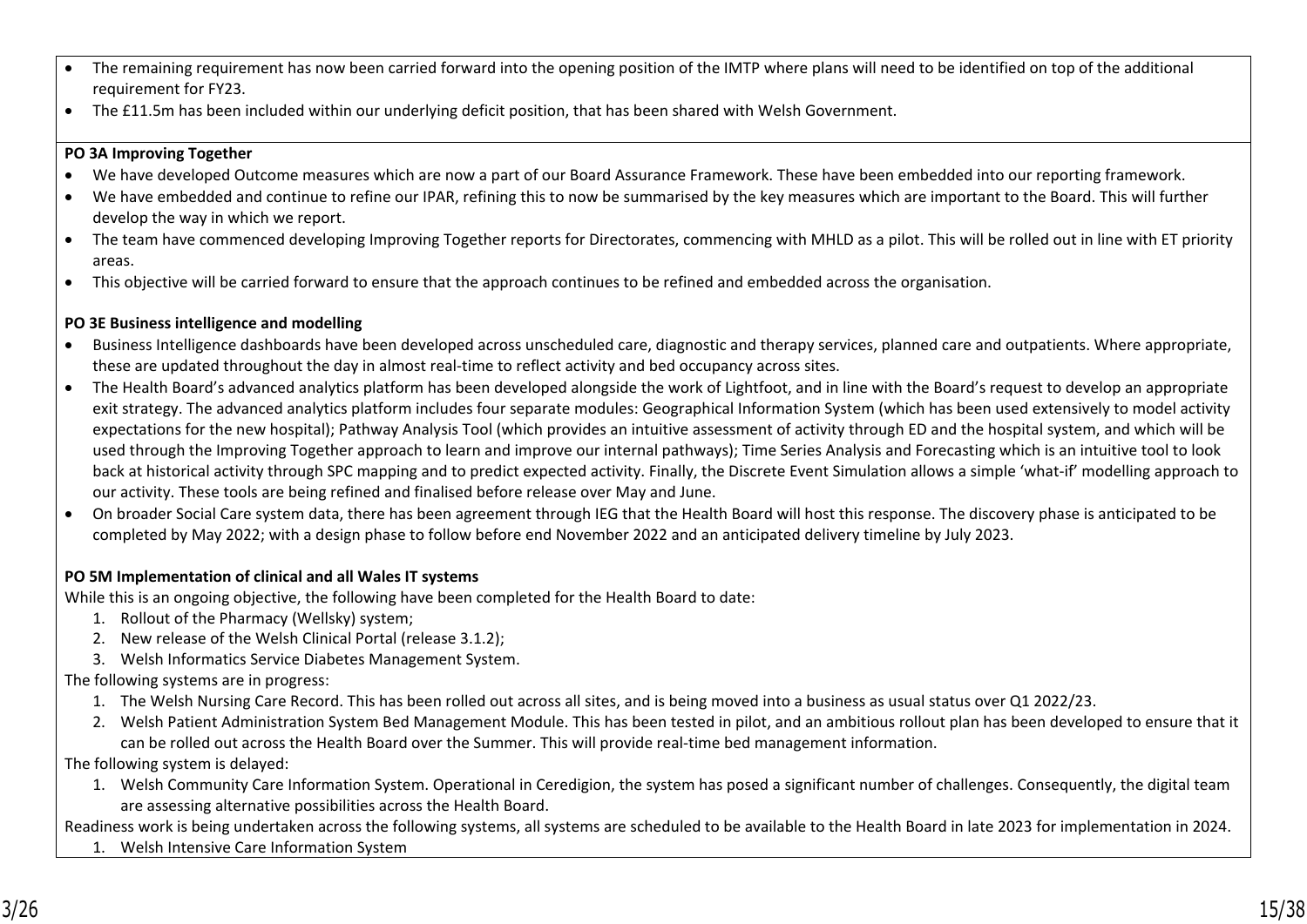- The remaining requirement has now been carried forward into the opening position of the IMTP where plans will need to be identified on top of the additional requirement for FY23.
- The £11.5m has been included within our underlying deficit position, that has been shared with Welsh Government.

### **PO 3A Improving Together**

- We have developed Outcome measures which are now a part of our Board Assurance Framework. These have been embedded into our reporting framework.
- We have embedded and continue to refine our IPAR, refining this to now be summarised by the key measures which are important to the Board. This will further develop the way in which we report.
- The team have commenced developing Improving Together reports for Directorates, commencing with MHLD as a pilot. This will be rolled out in line with ET priority areas.
- This objective will be carried forward to ensure that the approach continues to be refined and embedded across the organisation.

## **PO 3E Business intelligence and modelling**

- Business Intelligence dashboards have been developed across unscheduled care, diagnostic and therapy services, planned care and outpatients. Where appropriate, these are updated throughout the day in almost real-time to reflect activity and bed occupancy across sites.
- The Health Board's advanced analytics platform has been developed alongside the work of Lightfoot, and in line with the Board's request to develop an appropriate exit strategy. The advanced analytics platform includes four separate modules: Geographical Information System (which has been used extensively to model activity expectations for the new hospital); Pathway Analysis Tool (which provides an intuitive assessment of activity through ED and the hospital system, and which will be used through the Improving Together approach to learn and improve our internal pathways); Time Series Analysis and Forecasting which is an intuitive tool to look back at historical activity through SPC mapping and to predict expected activity. Finally, the Discrete Event Simulation allows a simple 'what-if' modelling approach to our activity. These tools are being refined and finalised before release over May and June.
- On broader Social Care system data, there has been agreement through IEG that the Health Board will host this response. The discovery phase is anticipated to be completed by May 2022; with a design phase to follow before end November 2022 and an anticipated delivery timeline by July 2023.

## **PO 5M Implementation of clinical and all Wales IT systems**

While this is an ongoing objective, the following have been completed for the Health Board to date:

- 1. Rollout of the Pharmacy (Wellsky) system;
- 2. New release of the Welsh Clinical Portal (release 3.1.2);
- 3. Welsh Informatics Service Diabetes Management System.

## The following systems are in progress:

- 1. The Welsh Nursing Care Record. This has been rolled out across all sites, and is being moved into a business as usual status over Q1 2022/23.
- 2. Welsh Patient Administration System Bed Management Module. This has been tested in pilot, and an ambitious rollout plan has been developed to ensure that it can be rolled out across the Health Board over the Summer. This will provide real-time bed management information.

The following system is delayed:

1. Welsh Community Care Information System. Operational in Ceredigion, the system has posed a significant number of challenges. Consequently, the digital team are assessing alternative possibilities across the Health Board.

Readiness work is being undertaken across the following systems, all systems are scheduled to be available to the Health Board in late 2023 for implementation in 2024.

1. Welsh Intensive Care Information System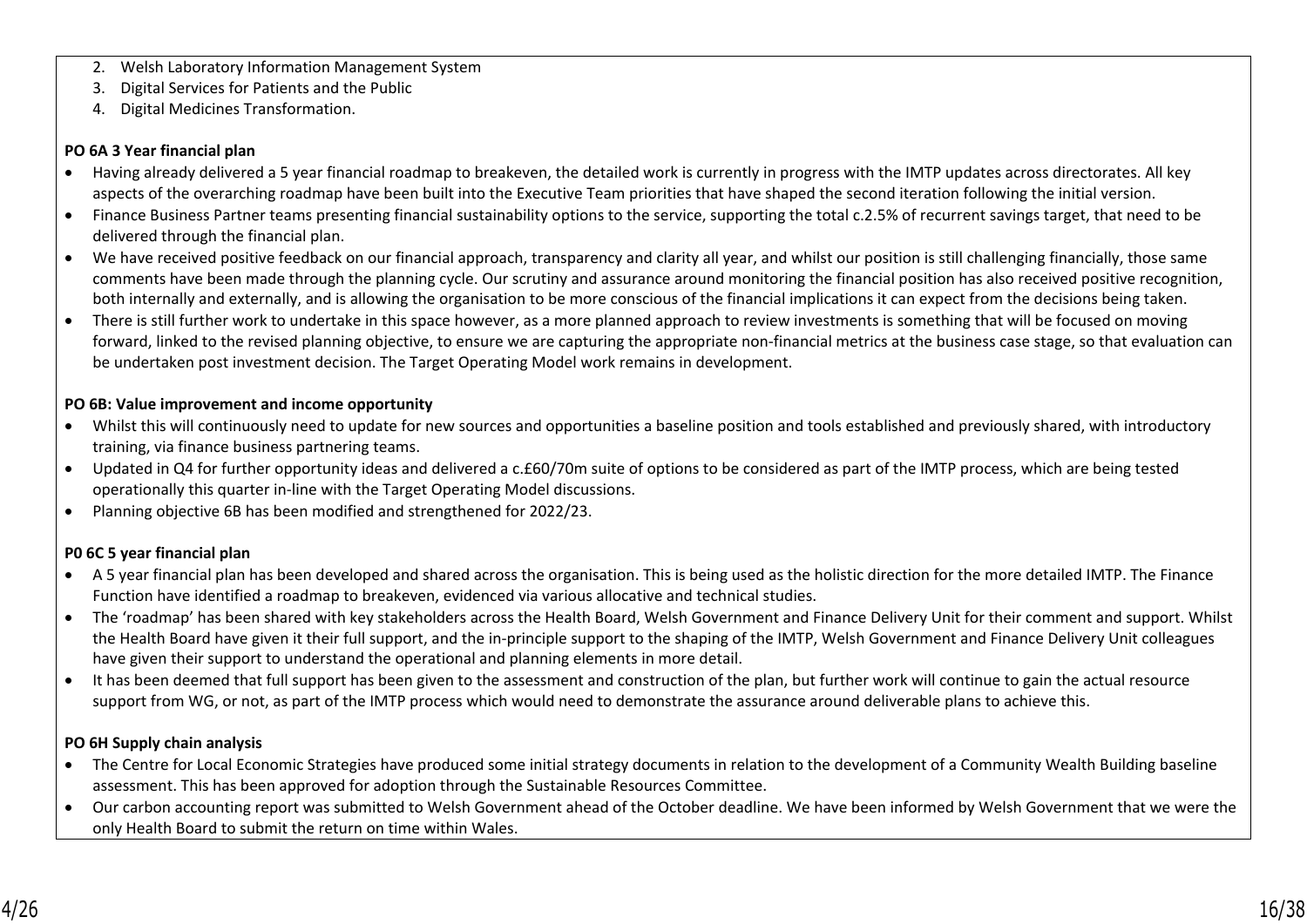- 2. Welsh Laboratory Information Management System
- 3. Digital Services for Patients and the Public
- 4. Digital Medicines Transformation.

#### **PO 6A 3 Year financial plan**

- Having already delivered a 5 year financial roadmap to breakeven, the detailed work is currently in progress with the IMTP updates across directorates. All key aspects of the overarching roadmap have been built into the Executive Team priorities that have shaped the second iteration following the initial version.
- Finance Business Partner teams presenting financial sustainability options to the service, supporting the total c.2.5% of recurrent savings target, that need to be delivered through the financial plan.
- We have received positive feedback on our financial approach, transparency and clarity all year, and whilst our position is still challenging financially, those same comments have been made through the planning cycle. Our scrutiny and assurance around monitoring the financial position has also received positive recognition, both internally and externally, and is allowing the organisation to be more conscious of the financial implications it can expect from the decisions being taken.
- There is still further work to undertake in this space however, as a more planned approach to review investments is something that will be focused on moving forward, linked to the revised planning objective, to ensure we are capturing the appropriate non-financial metrics at the business case stage, so that evaluation can be undertaken post investment decision. The Target Operating Model work remains in development.

### **PO 6B: Value improvement and income opportunity**

- Whilst this will continuously need to update for new sources and opportunities a baseline position and tools established and previously shared, with introductory training, via finance business partnering teams.
- Updated in Q4 for further opportunity ideas and delivered a c.£60/70m suite of options to be considered as part of the IMTP process, which are being tested operationally this quarter in-line with the Target Operating Model discussions.
- Planning objective 6B has been modified and strengthened for 2022/23.

### **P0 6C 5 year financial plan**

- A 5 year financial plan has been developed and shared across the organisation. This is being used as the holistic direction for the more detailed IMTP. The Finance Function have identified a roadmap to breakeven, evidenced via various allocative and technical studies.
- The 'roadmap' has been shared with key stakeholders across the Health Board, Welsh Government and Finance Delivery Unit for their comment and support. Whilst the Health Board have given it their full support, and the in-principle support to the shaping of the IMTP, Welsh Government and Finance Delivery Unit colleagues have given their support to understand the operational and planning elements in more detail.
- It has been deemed that full support has been given to the assessment and construction of the plan, but further work will continue to gain the actual resource support from WG, or not, as part of the IMTP process which would need to demonstrate the assurance around deliverable plans to achieve this.

### **PO 6H Supply chain analysis**

- The Centre for Local Economic Strategies have produced some initial strategy documents in relation to the development of a Community Wealth Building baseline assessment. This has been approved for adoption through the Sustainable Resources Committee.
- Our carbon accounting report was submitted to Welsh Government ahead of the October deadline. We have been informed by Welsh Government that we were the only Health Board to submit the return on time within Wales.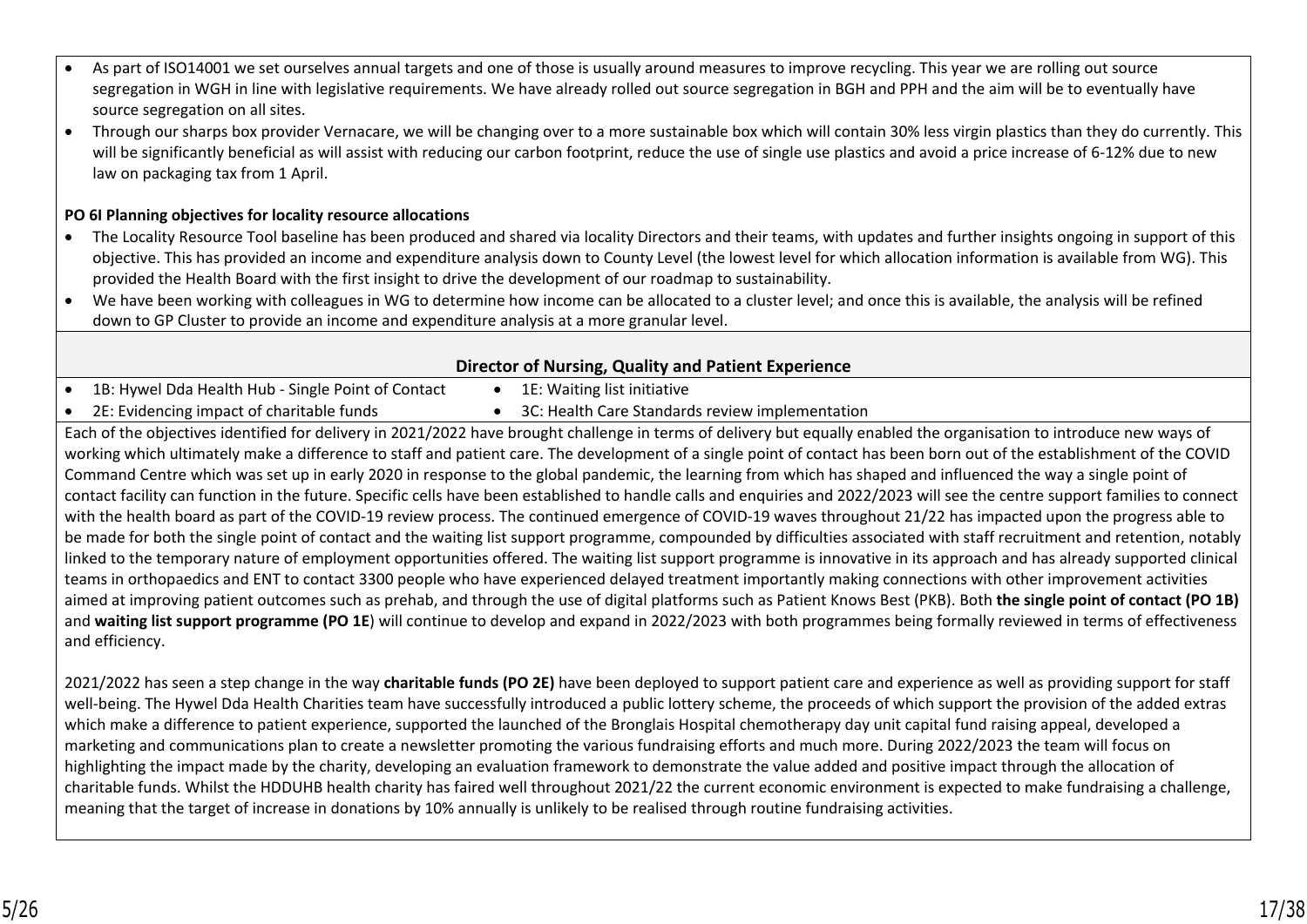- As part of ISO14001 we set ourselves annual targets and one of those is usually around measures to improve recycling. This year we are rolling out source segregation in WGH in line with legislative requirements. We have already rolled out source segregation in BGH and PPH and the aim will be to eventually have source segregation on all sites.
- Through our sharps box provider Vernacare, we will be changing over to a more sustainable box which will contain 30% less virgin plastics than they do currently. This will be significantly beneficial as will assist with reducing our carbon footprint, reduce the use of single use plastics and avoid a price increase of 6-12% due to new law on packaging tax from 1 April.

## **PO 6I Planning objectives for locality resource allocations**

- The Locality Resource Tool baseline has been produced and shared via locality Directors and their teams, with updates and further insights ongoing in support of this objective. This has provided an income and expenditure analysis down to County Level (the lowest level for which allocation information is available from WG). This provided the Health Board with the first insight to drive the development of our roadmap to sustainability.
- We have been working with colleagues in WG to determine how income can be allocated to a cluster level; and once this is available, the analysis will be refined down to GP Cluster to provide an income and expenditure analysis at a more granular level.

## **Director of Nursing, Quality and Patient Experience**

- 1B: Hywel Dda Health Hub Single Point of Contact 1E: Waiting list initiative
	-
- 2E: Evidencing impact of charitable funds 3C: Health Care Standards review implementation

Each of the objectives identified for delivery in 2021/2022 have brought challenge in terms of delivery but equally enabled the organisation to introduce new ways of working which ultimately make a difference to staff and patient care. The development of a single point of contact has been born out of the establishment of the COVID Command Centre which was set up in early 2020 in response to the global pandemic, the learning from which has shaped and influenced the way a single point of contact facility can function in the future. Specific cells have been established to handle calls and enquiries and 2022/2023 will see the centre support families to connect with the health board as part of the COVID-19 review process. The continued emergence of COVID-19 waves throughout 21/22 has impacted upon the progress able to be made for both the single point of contact and the waiting list support programme, compounded by difficulties associated with staff recruitment and retention, notably linked to the temporary nature of employment opportunities offered. The waiting list support programme is innovative in its approach and has already supported clinical teams in orthopaedics and ENT to contact 3300 people who have experienced delayed treatment importantly making connections with other improvement activities aimed at improving patient outcomes such as prehab, and through the use of digital platforms such as Patient Knows Best (PKB). Both **the single point of contact (PO 1B)** and **waiting list support programme (PO 1E**) will continue to develop and expand in 2022/2023 with both programmes being formally reviewed in terms of effectiveness and efficiency.

2021/2022 has seen a step change in the way **charitable funds (PO 2E)** have been deployed to support patient care and experience as well as providing support for staff well-being. The Hywel Dda Health Charities team have successfully introduced a public lottery scheme, the proceeds of which support the provision of the added extras which make a difference to patient experience, supported the launched of the Bronglais Hospital chemotherapy day unit capital fund raising appeal, developed a marketing and communications plan to create a newsletter promoting the various fundraising efforts and much more. During 2022/2023 the team will focus on highlighting the impact made by the charity, developing an evaluation framework to demonstrate the value added and positive impact through the allocation of charitable funds. Whilst the HDDUHB health charity has faired well throughout 2021/22 the current economic environment is expected to make fundraising a challenge, meaning that the target of increase in donations by 10% annually is unlikely to be realised through routine fundraising activities.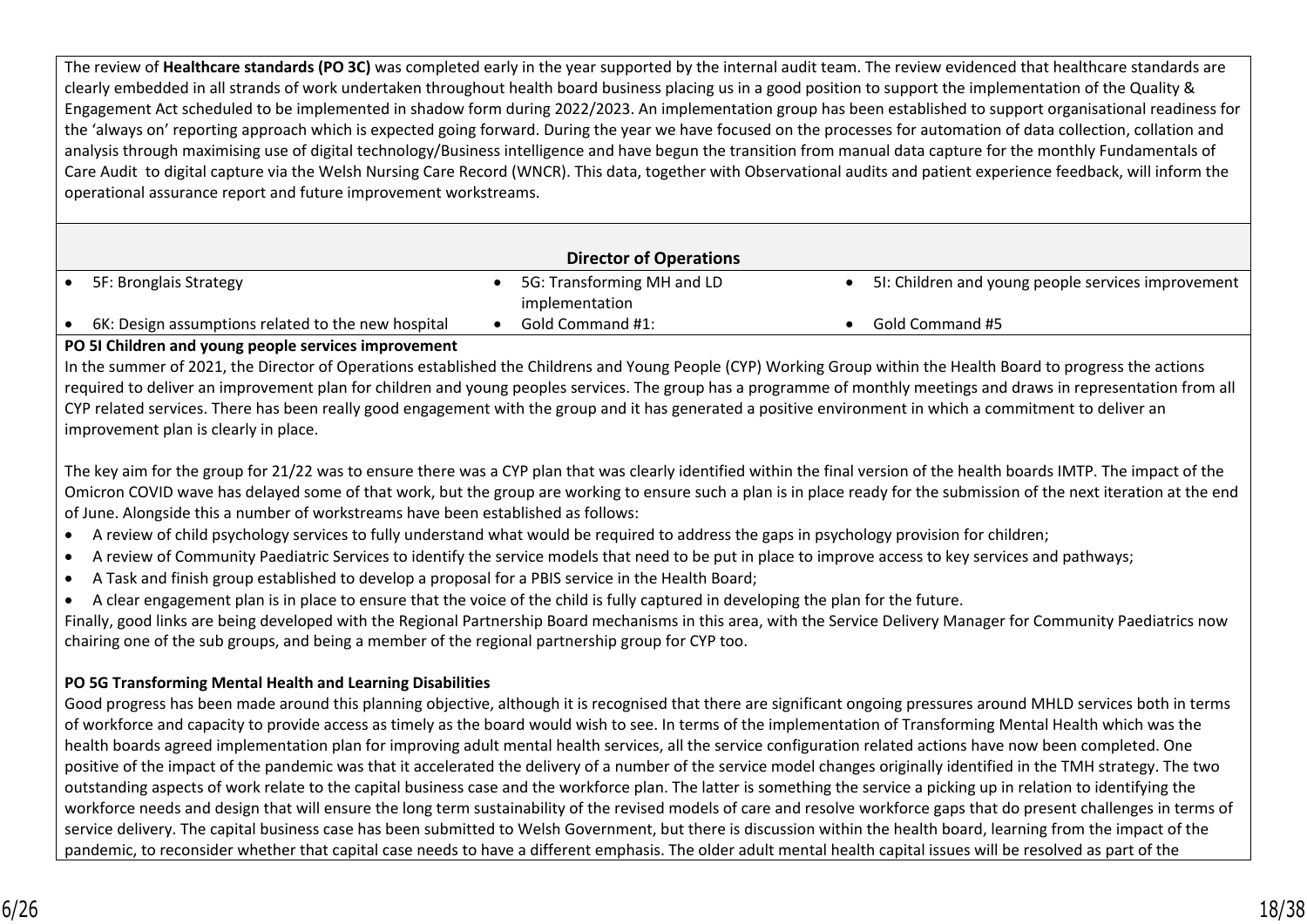The review of **Healthcare standards (PO 3C)** was completed early in the year supported by the internal audit team. The review evidenced that healthcare standards are clearly embedded in all strands of work undertaken throughout health board business placing us in a good position to support the implementation of the Quality & Engagement Act scheduled to be implemented in shadow form during 2022/2023. An implementation group has been established to support organisational readiness for the 'always on' reporting approach which is expected going forward. During the year we have focused on the processes for automation of data collection, collation and analysis through maximising use of digital technology/Business intelligence and have begun the transition from manual data capture for the monthly Fundamentals of Care Audit to digital capture via the Welsh Nursing Care Record (WNCR). This data, together with Observational audits and patient experience feedback, will inform the operational assurance report and future improvement workstreams.

| <b>Director of Operations</b>                      |  |                            |  |                                                    |  |
|----------------------------------------------------|--|----------------------------|--|----------------------------------------------------|--|
| 5F: Bronglais Strategy                             |  | 5G: Transforming MH and LD |  | 51: Children and young people services improvement |  |
|                                                    |  | implementation             |  |                                                    |  |
| 6K: Design assumptions related to the new hospital |  | Gold Command #1:           |  | Gold Command #5                                    |  |

#### **PO 5I Children and young people services improvement**

In the summer of 2021, the Director of Operations established the Childrens and Young People (CYP) Working Group within the Health Board to progress the actions required to deliver an improvement plan for children and young peoples services. The group has a programme of monthly meetings and draws in representation from all CYP related services. There has been really good engagement with the group and it has generated a positive environment in which a commitment to deliver an improvement plan is clearly in place.

The key aim for the group for 21/22 was to ensure there was a CYP plan that was clearly identified within the final version of the health boards IMTP. The impact of the Omicron COVID wave has delayed some of that work, but the group are working to ensure such a plan is in place ready for the submission of the next iteration at the end of June. Alongside this a number of workstreams have been established as follows:

- A review of child psychology services to fully understand what would be required to address the gaps in psychology provision for children;
- A review of Community Paediatric Services to identify the service models that need to be put in place to improve access to key services and pathways;
- A Task and finish group established to develop a proposal for a PBIS service in the Health Board;
- A clear engagement plan is in place to ensure that the voice of the child is fully captured in developing the plan for the future.

Finally, good links are being developed with the Regional Partnership Board mechanisms in this area, with the Service Delivery Manager for Community Paediatrics now chairing one of the sub groups, and being a member of the regional partnership group for CYP too.

## **PO 5G Transforming Mental Health and Learning Disabilities**

Good progress has been made around this planning objective, although it is recognised that there are significant ongoing pressures around MHLD services both in terms of workforce and capacity to provide access as timely as the board would wish to see. In terms of the implementation of Transforming Mental Health which was the health boards agreed implementation plan for improving adult mental health services, all the service configuration related actions have now been completed. One positive of the impact of the pandemic was that it accelerated the delivery of a number of the service model changes originally identified in the TMH strategy. The two outstanding aspects of work relate to the capital business case and the workforce plan. The latter is something the service a picking up in relation to identifying the workforce needs and design that will ensure the long term sustainability of the revised models of care and resolve workforce gaps that do present challenges in terms of service delivery. The capital business case has been submitted to Welsh Government, but there is discussion within the health board, learning from the impact of the pandemic, to reconsider whether that capital case needs to have a different emphasis. The older adult mental health capital issues will be resolved as part of the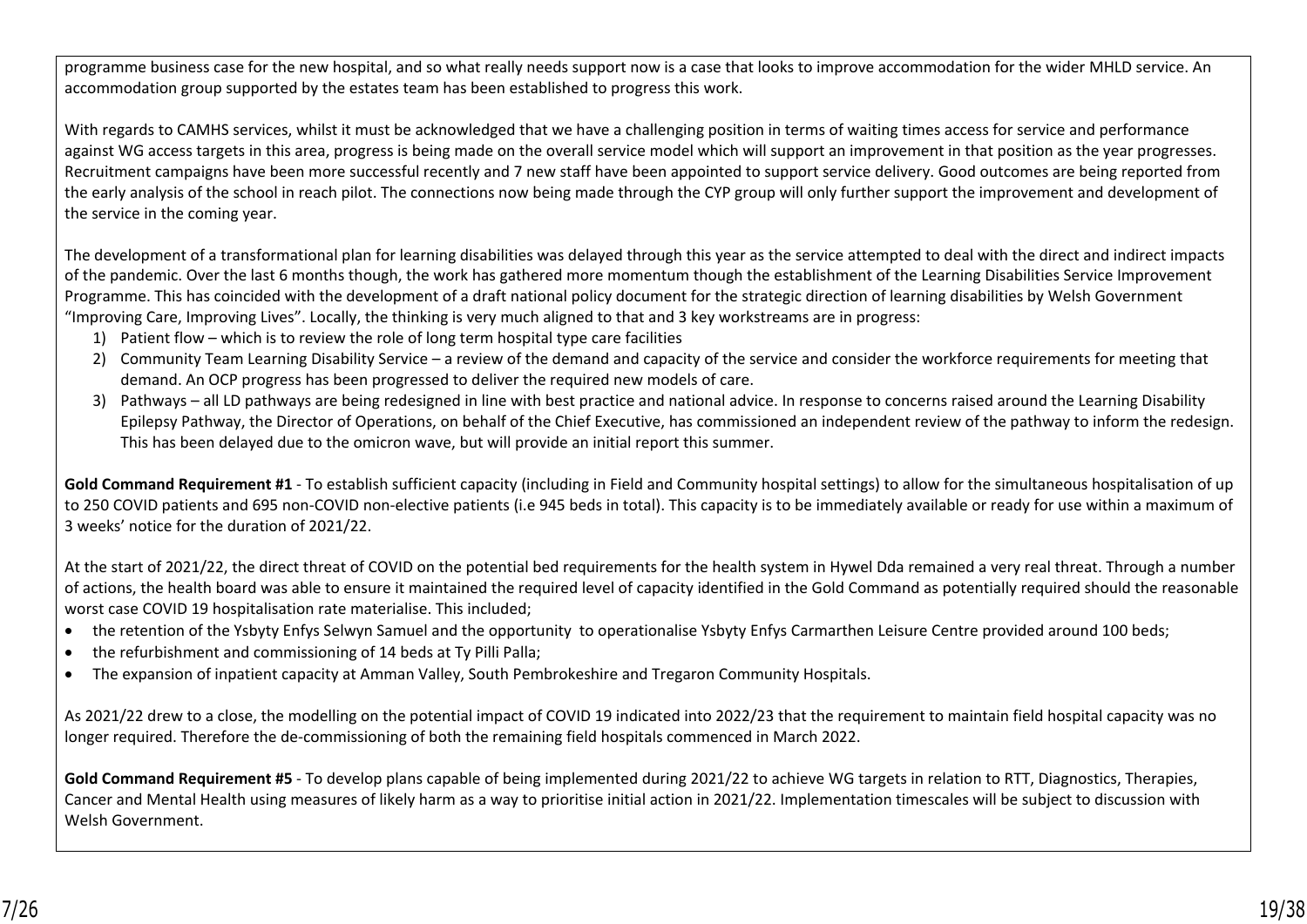programme business case for the new hospital, and so what really needs support now is a case that looks to improve accommodation for the wider MHLD service. An accommodation group supported by the estates team has been established to progress this work.

With regards to CAMHS services, whilst it must be acknowledged that we have a challenging position in terms of waiting times access for service and performance against WG access targets in this area, progress is being made on the overall service model which will support an improvement in that position as the year progresses. Recruitment campaigns have been more successful recently and 7 new staff have been appointed to support service delivery. Good outcomes are being reported from the early analysis of the school in reach pilot. The connections now being made through the CYP group will only further support the improvement and development of the service in the coming year.

The development of a transformational plan for learning disabilities was delayed through this year as the service attempted to deal with the direct and indirect impacts of the pandemic. Over the last 6 months though, the work has gathered more momentum though the establishment of the Learning Disabilities Service Improvement Programme. This has coincided with the development of a draft national policy document for the strategic direction of learning disabilities by Welsh Government "Improving Care, Improving Lives". Locally, the thinking is very much aligned to that and 3 key workstreams are in progress:

- 1) Patient flow which is to review the role of long term hospital type care facilities
- 2) Community Team Learning Disability Service a review of the demand and capacity of the service and consider the workforce requirements for meeting that demand. An OCP progress has been progressed to deliver the required new models of care.
- 3) Pathways all LD pathways are being redesigned in line with best practice and national advice. In response to concerns raised around the Learning Disability Epilepsy Pathway, the Director of Operations, on behalf of the Chief Executive, has commissioned an independent review of the pathway to inform the redesign. This has been delayed due to the omicron wave, but will provide an initial report this summer.

**Gold Command Requirement #1** - To establish sufficient capacity (including in Field and Community hospital settings) to allow for the simultaneous hospitalisation of up to 250 COVID patients and 695 non-COVID non-elective patients (i.e 945 beds in total). This capacity is to be immediately available or ready for use within a maximum of 3 weeks' notice for the duration of 2021/22.

At the start of 2021/22, the direct threat of COVID on the potential bed requirements for the health system in Hywel Dda remained a very real threat. Through a number of actions, the health board was able to ensure it maintained the required level of capacity identified in the Gold Command as potentially required should the reasonable worst case COVID 19 hospitalisation rate materialise. This included;

- the retention of the Ysbyty Enfys Selwyn Samuel and the opportunity to operationalise Ysbyty Enfys Carmarthen Leisure Centre provided around 100 beds;
- the refurbishment and commissioning of 14 beds at Ty Pilli Palla;
- The expansion of inpatient capacity at Amman Valley, South Pembrokeshire and Tregaron Community Hospitals.

As 2021/22 drew to a close, the modelling on the potential impact of COVID 19 indicated into 2022/23 that the requirement to maintain field hospital capacity was no longer required. Therefore the de-commissioning of both the remaining field hospitals commenced in March 2022.

Gold Command Requirement #5 - To develop plans capable of being implemented during 2021/22 to achieve WG targets in relation to RTT, Diagnostics, Therapies, Cancer and Mental Health using measures of likely harm as a way to prioritise initial action in 2021/22. Implementation timescales will be subject to discussion with Welsh Government.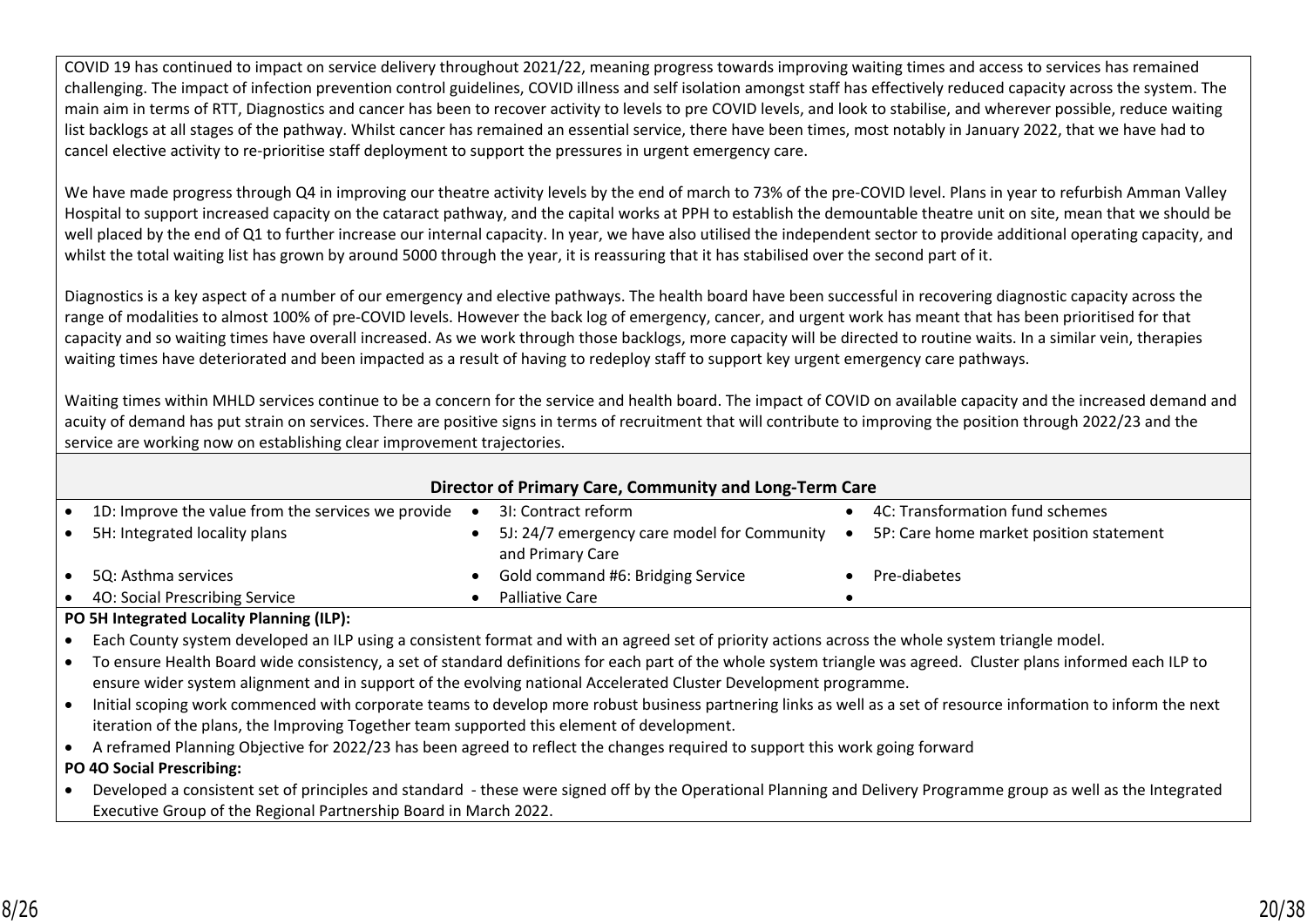COVID 19 has continued to impact on service delivery throughout 2021/22, meaning progress towards improving waiting times and access to services has remained challenging. The impact of infection prevention control guidelines, COVID illness and self isolation amongst staff has effectively reduced capacity across the system. The main aim in terms of RTT, Diagnostics and cancer has been to recover activity to levels to pre COVID levels, and look to stabilise, and wherever possible, reduce waiting list backlogs at all stages of the pathway. Whilst cancer has remained an essential service, there have been times, most notably in January 2022, that we have had to cancel elective activity to re-prioritise staff deployment to support the pressures in urgent emergency care.

We have made progress through Q4 in improving our theatre activity levels by the end of march to 73% of the pre-COVID level. Plans in year to refurbish Amman Valley Hospital to support increased capacity on the cataract pathway, and the capital works at PPH to establish the demountable theatre unit on site, mean that we should be well placed by the end of Q1 to further increase our internal capacity. In year, we have also utilised the independent sector to provide additional operating capacity, and whilst the total waiting list has grown by around 5000 through the year, it is reassuring that it has stabilised over the second part of it.

Diagnostics is a key aspect of a number of our emergency and elective pathways. The health board have been successful in recovering diagnostic capacity across the range of modalities to almost 100% of pre-COVID levels. However the back log of emergency, cancer, and urgent work has meant that has been prioritised for that capacity and so waiting times have overall increased. As we work through those backlogs, more capacity will be directed to routine waits. In a similar vein, therapies waiting times have deteriorated and been impacted as a result of having to redeploy staff to support key urgent emergency care pathways.

Waiting times within MHLD services continue to be a concern for the service and health board. The impact of COVID on available capacity and the increased demand and acuity of demand has put strain on services. There are positive signs in terms of recruitment that will contribute to improving the position through 2022/23 and the service are working now on establishing clear improvement trajectories.

| Director of Primary Care, Community and Long-Term Care                                                                                                           |  |                                                                 |  |                                         |  |  |
|------------------------------------------------------------------------------------------------------------------------------------------------------------------|--|-----------------------------------------------------------------|--|-----------------------------------------|--|--|
| 1D: Improve the value from the services we provide                                                                                                               |  | 31: Contract reform                                             |  | 4C: Transformation fund schemes         |  |  |
| 5H: Integrated locality plans                                                                                                                                    |  | 5J: 24/7 emergency care model for Community<br>and Primary Care |  | 5P: Care home market position statement |  |  |
| 5Q: Asthma services                                                                                                                                              |  | Gold command #6: Bridging Service                               |  | Pre-diabetes                            |  |  |
| 40: Social Prescribing Service                                                                                                                                   |  | Palliative Care                                                 |  |                                         |  |  |
| PO 5H Integrated Locality Planning (ILP):                                                                                                                        |  |                                                                 |  |                                         |  |  |
| Each County system developed an ILP using a consistent format and with an agreed set of priority actions across the whole system triangle model.                 |  |                                                                 |  |                                         |  |  |
| To ensure Health Board wide consistency, a set of standard definitions for each part of the whole system triangle was agreed. Cluster plans informed each ILP to |  |                                                                 |  |                                         |  |  |
| ensure wider system alignment and in support of the evolving national Accelerated Cluster Development programme.                                                 |  |                                                                 |  |                                         |  |  |

- Initial scoping work commenced with corporate teams to develop more robust business partnering links as well as a set of resource information to inform the next iteration of the plans, the Improving Together team supported this element of development.
- A reframed Planning Objective for 2022/23 has been agreed to reflect the changes required to support this work going forward

**PO 4O Social Prescribing:** 

• Developed a consistent set of principles and standard - these were signed off by the Operational Planning and Delivery Programme group as well as the Integrated Executive Group of the Regional Partnership Board in March 2022.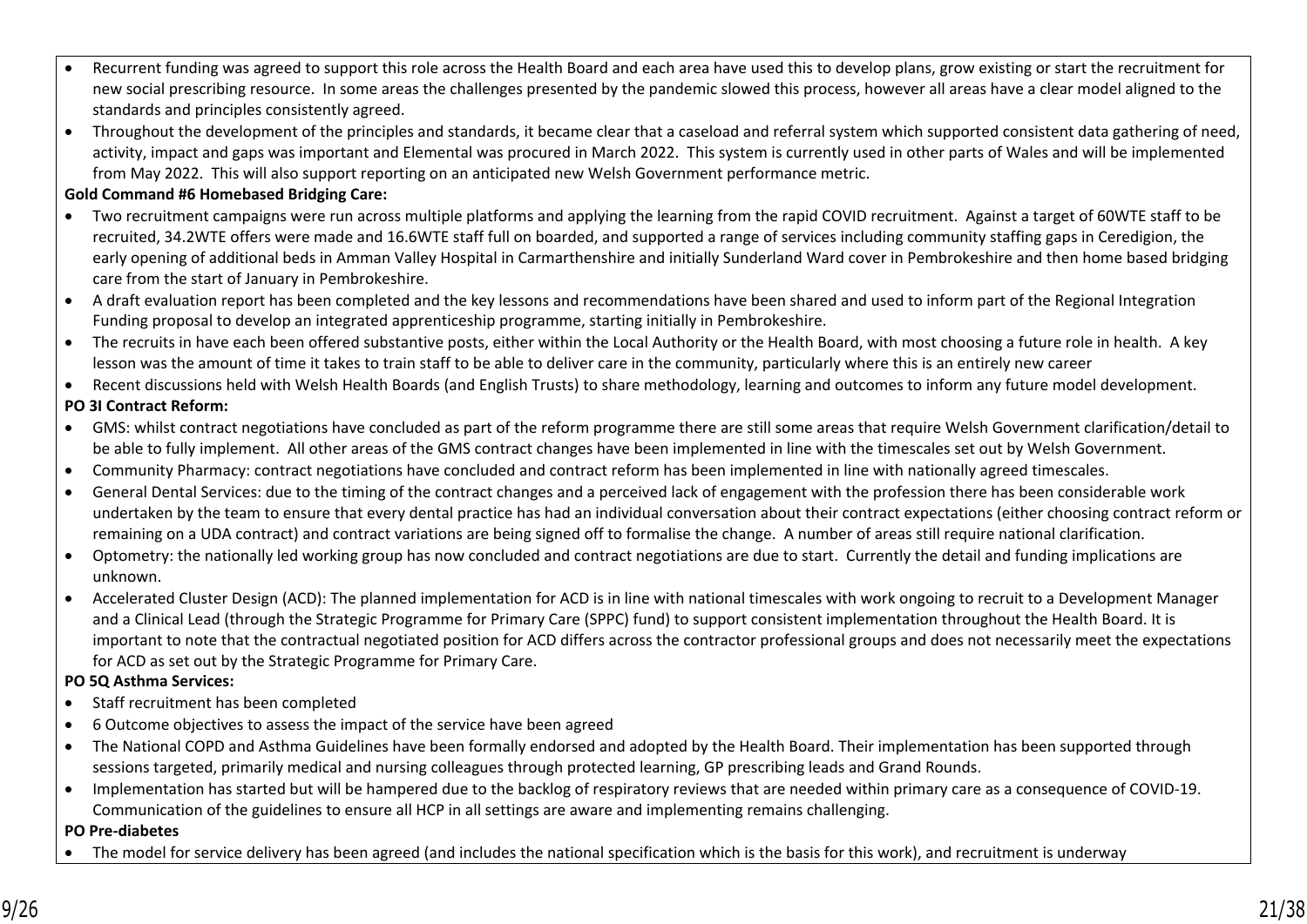- Recurrent funding was agreed to support this role across the Health Board and each area have used this to develop plans, grow existing or start the recruitment for new social prescribing resource. In some areas the challenges presented by the pandemic slowed this process, however all areas have a clear model aligned to the standards and principles consistently agreed.
- Throughout the development of the principles and standards, it became clear that a caseload and referral system which supported consistent data gathering of need, activity, impact and gaps was important and Elemental was procured in March 2022. This system is currently used in other parts of Wales and will be implemented from May 2022. This will also support reporting on an anticipated new Welsh Government performance metric.

## **Gold Command #6 Homebased Bridging Care:**

- Two recruitment campaigns were run across multiple platforms and applying the learning from the rapid COVID recruitment. Against a target of 60WTE staff to be recruited, 34.2WTE offers were made and 16.6WTE staff full on boarded, and supported a range of services including community staffing gaps in Ceredigion, the early opening of additional beds in Amman Valley Hospital in Carmarthenshire and initially Sunderland Ward cover in Pembrokeshire and then home based bridging care from the start of January in Pembrokeshire.
- A draft evaluation report has been completed and the key lessons and recommendations have been shared and used to inform part of the Regional Integration Funding proposal to develop an integrated apprenticeship programme, starting initially in Pembrokeshire.
- The recruits in have each been offered substantive posts, either within the Local Authority or the Health Board, with most choosing a future role in health. A key lesson was the amount of time it takes to train staff to be able to deliver care in the community, particularly where this is an entirely new career
- Recent discussions held with Welsh Health Boards (and English Trusts) to share methodology, learning and outcomes to inform any future model development.

## **PO 3I Contract Reform:**

- GMS: whilst contract negotiations have concluded as part of the reform programme there are still some areas that require Welsh Government clarification/detail to be able to fully implement. All other areas of the GMS contract changes have been implemented in line with the timescales set out by Welsh Government.
- Community Pharmacy: contract negotiations have concluded and contract reform has been implemented in line with nationally agreed timescales.
- General Dental Services: due to the timing of the contract changes and a perceived lack of engagement with the profession there has been considerable work undertaken by the team to ensure that every dental practice has had an individual conversation about their contract expectations (either choosing contract reform or remaining on a UDA contract) and contract variations are being signed off to formalise the change. A number of areas still require national clarification.
- Optometry: the nationally led working group has now concluded and contract negotiations are due to start. Currently the detail and funding implications are unknown.
- Accelerated Cluster Design (ACD): The planned implementation for ACD is in line with national timescales with work ongoing to recruit to a Development Manager and a Clinical Lead (through the Strategic Programme for Primary Care (SPPC) fund) to support consistent implementation throughout the Health Board. It is important to note that the contractual negotiated position for ACD differs across the contractor professional groups and does not necessarily meet the expectations for ACD as set out by the Strategic Programme for Primary Care.

### **PO 5Q Asthma Services:**

- Staff recruitment has been completed
- 6 Outcome objectives to assess the impact of the service have been agreed
- The National COPD and Asthma Guidelines have been formally endorsed and adopted by the Health Board. Their implementation has been supported through sessions targeted, primarily medical and nursing colleagues through protected learning, GP prescribing leads and Grand Rounds.
- Implementation has started but will be hampered due to the backlog of respiratory reviews that are needed within primary care as a consequence of COVID-19. Communication of the guidelines to ensure all HCP in all settings are aware and implementing remains challenging.

### **PO Pre-diabetes**

• The model for service delivery has been agreed (and includes the national specification which is the basis for this work), and recruitment is underway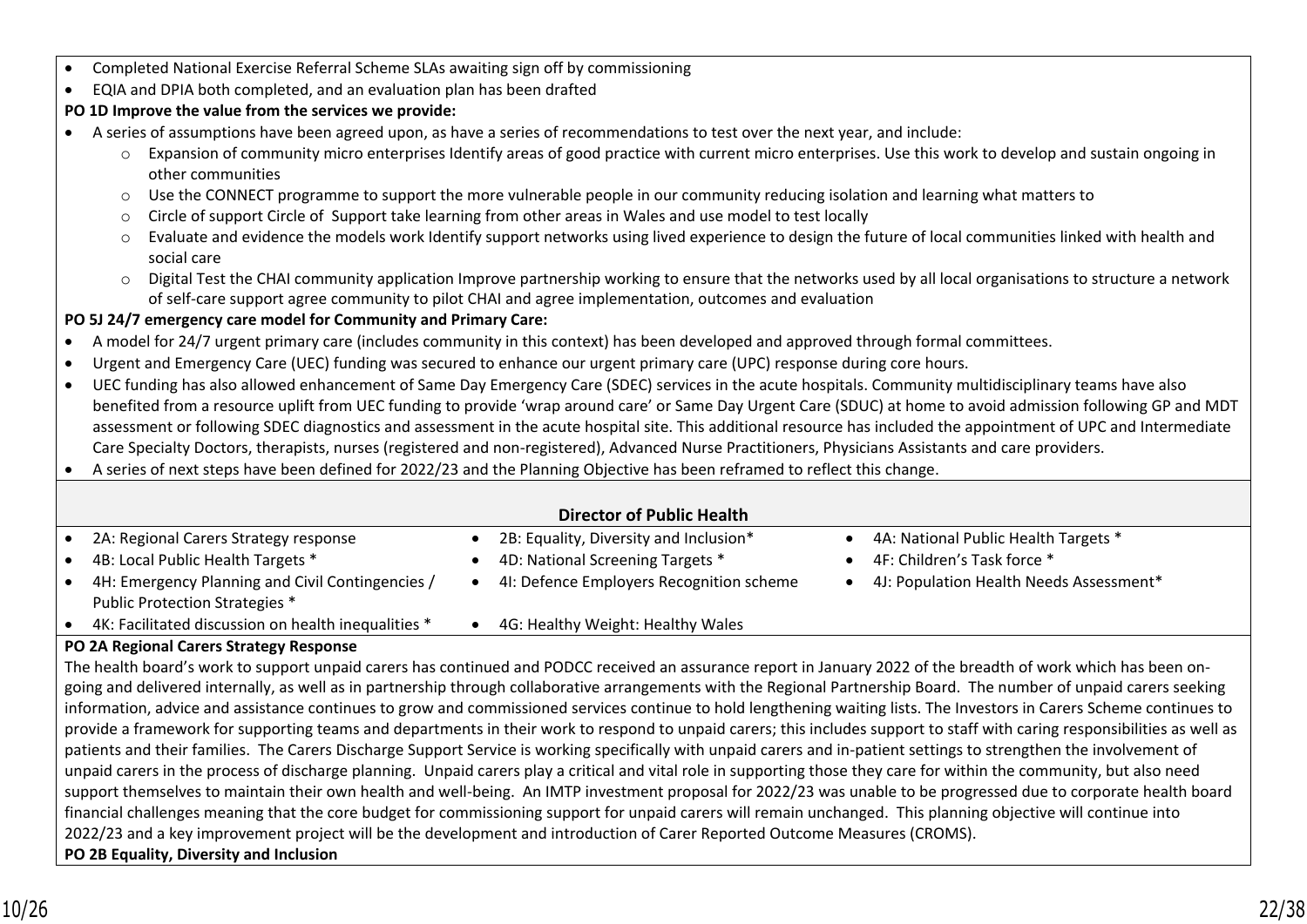- Completed National Exercise Referral Scheme SLAs awaiting sign off by commissioning
- EQIA and DPIA both completed, and an evaluation plan has been drafted

# **PO 1D Improve the value from the services we provide:**

- A series of assumptions have been agreed upon, as have a series of recommendations to test over the next year, and include:
	- o Expansion of community micro enterprises Identify areas of good practice with current micro enterprises. Use this work to develop and sustain ongoing in other communities
	- $\circ$  Use the CONNECT programme to support the more vulnerable people in our community reducing isolation and learning what matters to
	- o Circle of support Circle of Support take learning from other areas in Wales and use model to test locally
	- o Evaluate and evidence the models work Identify support networks using lived experience to design the future of local communities linked with health and social care
	- o Digital Test the CHAI community application Improve partnership working to ensure that the networks used by all local organisations to structure a network of self-care support agree community to pilot CHAI and agree implementation, outcomes and evaluation

# **PO 5J 24/7 emergency care model for Community and Primary Care:**

- A model for 24/7 urgent primary care (includes community in this context) has been developed and approved through formal committees.
- Urgent and Emergency Care (UEC) funding was secured to enhance our urgent primary care (UPC) response during core hours.
- UEC funding has also allowed enhancement of Same Day Emergency Care (SDEC) services in the acute hospitals. Community multidisciplinary teams have also benefited from a resource uplift from UEC funding to provide 'wrap around care' or Same Day Urgent Care (SDUC) at home to avoid admission following GP and MDT assessment or following SDEC diagnostics and assessment in the acute hospital site. This additional resource has included the appointment of UPC and Intermediate Care Specialty Doctors, therapists, nurses (registered and non-registered), Advanced Nurse Practitioners, Physicians Assistants and care providers.
- A series of next steps have been defined for 2022/23 and the Planning Objective has been reframed to reflect this change.

## **Director of Public Health** • 2A: Regional Carers Strategy response • 2B: Equality, Diversity and Inclusion\* • 4A: National Public Health Targets \* • 4B: Local Public Health Targets \* • 4D: National Screening Targets \* • 4F: Children's Task force \* • 4H: Emergency Planning and Civil Contingencies / Public Protection Strategies \* 4I: Defence Employers Recognition scheme • 4J: Population Health Needs Assessment\* • 4K: Facilitated discussion on health inequalities \* • 4G: Healthy Weight: Healthy Wales

# **PO 2A Regional Carers Strategy Response**

The health board's work to support unpaid carers has continued and PODCC received an assurance report in January 2022 of the breadth of work which has been ongoing and delivered internally, as well as in partnership through collaborative arrangements with the Regional Partnership Board. The number of unpaid carers seeking information, advice and assistance continues to grow and commissioned services continue to hold lengthening waiting lists. The Investors in Carers Scheme continues to provide a framework for supporting teams and departments in their work to respond to unpaid carers; this includes support to staff with caring responsibilities as well as patients and their families. The Carers Discharge Support Service is working specifically with unpaid carers and in-patient settings to strengthen the involvement of unpaid carers in the process of discharge planning. Unpaid carers play a critical and vital role in supporting those they care for within the community, but also need support themselves to maintain their own health and well-being. An IMTP investment proposal for 2022/23 was unable to be progressed due to corporate health board financial challenges meaning that the core budget for commissioning support for unpaid carers will remain unchanged. This planning objective will continue into 2022/23 and a key improvement project will be the development and introduction of Carer Reported Outcome Measures (CROMS). **PO 2B Equality, Diversity and Inclusion**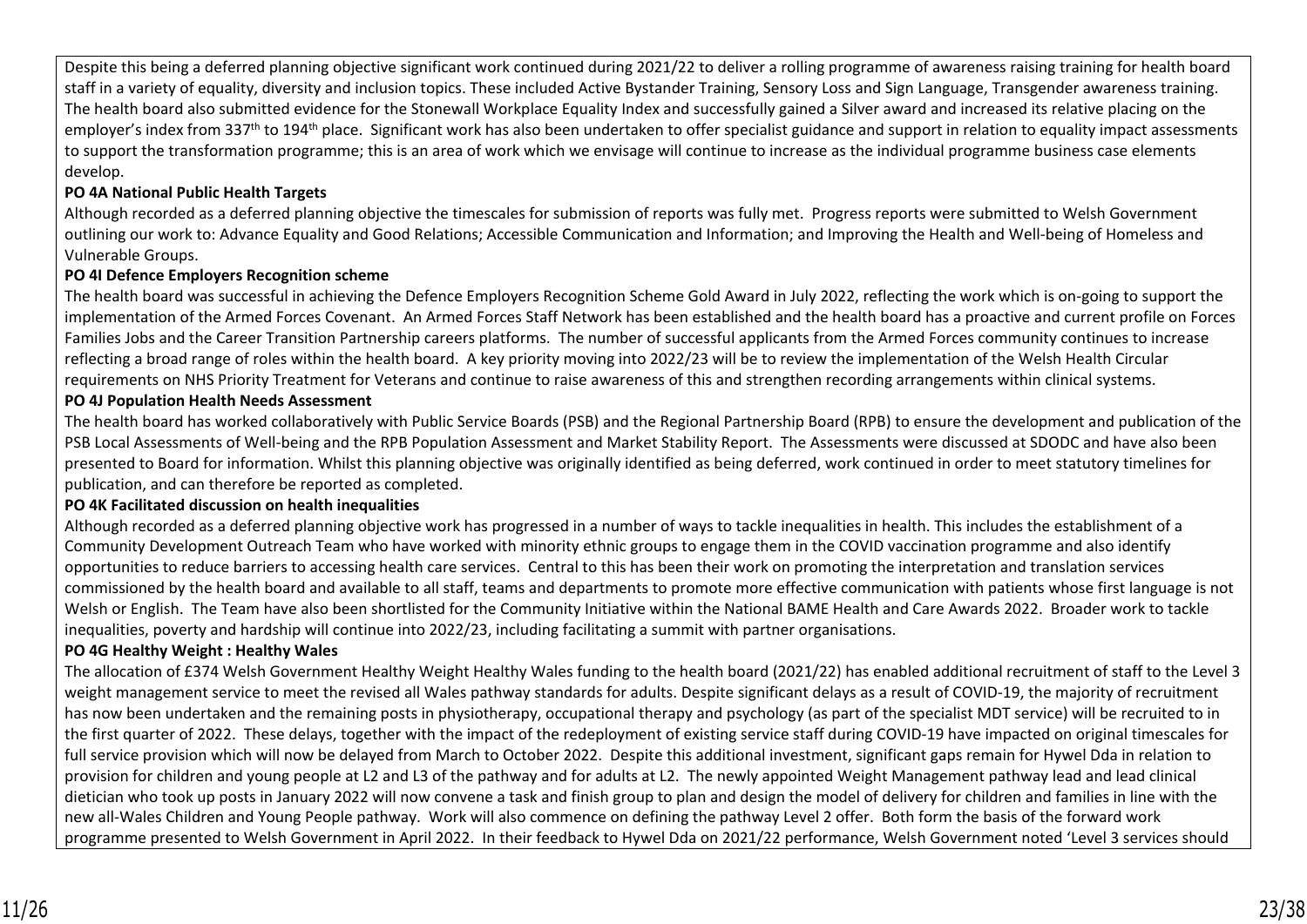Despite this being a deferred planning objective significant work continued during 2021/22 to deliver a rolling programme of awareness raising training for health board staff in a variety of equality, diversity and inclusion topics. These included Active Bystander Training, Sensory Loss and Sign Language, Transgender awareness training. The health board also submitted evidence for the Stonewall Workplace Equality Index and successfully gained a Silver award and increased its relative placing on the employer's index from 337<sup>th</sup> to 194<sup>th</sup> place. Significant work has also been undertaken to offer specialist guidance and support in relation to equality impact assessments to support the transformation programme; this is an area of work which we envisage will continue to increase as the individual programme business case elements develop.

## **PO 4A National Public Health Targets**

Although recorded as a deferred planning objective the timescales for submission of reports was fully met. Progress reports were submitted to Welsh Government outlining our work to: Advance Equality and Good Relations; Accessible Communication and Information; and Improving the Health and Well-being of Homeless and Vulnerable Groups.

### **PO 4I Defence Employers Recognition scheme**

The health board was successful in achieving the Defence Employers Recognition Scheme Gold Award in July 2022, reflecting the work which is on-going to support the implementation of the Armed Forces Covenant. An Armed Forces Staff Network has been established and the health board has a proactive and current profile on Forces Families Jobs and the Career Transition Partnership careers platforms. The number of successful applicants from the Armed Forces community continues to increase reflecting a broad range of roles within the health board. A key priority moving into 2022/23 will be to review the implementation of the Welsh Health Circular requirements on NHS Priority Treatment for Veterans and continue to raise awareness of this and strengthen recording arrangements within clinical systems.

#### **PO 4J Population Health Needs Assessment**

The health board has worked collaboratively with Public Service Boards (PSB) and the Regional Partnership Board (RPB) to ensure the development and publication of the PSB Local Assessments of Well-being and the RPB Population Assessment and Market Stability Report. The Assessments were discussed at SDODC and have also been presented to Board for information. Whilst this planning objective was originally identified as being deferred, work continued in order to meet statutory timelines for publication, and can therefore be reported as completed.

### **PO 4K Facilitated discussion on health inequalities**

Although recorded as a deferred planning objective work has progressed in a number of ways to tackle inequalities in health. This includes the establishment of a Community Development Outreach Team who have worked with minority ethnic groups to engage them in the COVID vaccination programme and also identify opportunities to reduce barriers to accessing health care services. Central to this has been their work on promoting the interpretation and translation services commissioned by the health board and available to all staff, teams and departments to promote more effective communication with patients whose first language is not Welsh or English. The Team have also been shortlisted for the Community Initiative within the National BAME Health and Care Awards 2022. Broader work to tackle inequalities, poverty and hardship will continue into 2022/23, including facilitating a summit with partner organisations.

### **PO 4G Healthy Weight : Healthy Wales**

The allocation of £374 Welsh Government Healthy Weight Healthy Wales funding to the health board (2021/22) has enabled additional recruitment of staff to the Level 3 weight management service to meet the revised all Wales pathway standards for adults. Despite significant delays as a result of COVID-19, the majority of recruitment has now been undertaken and the remaining posts in physiotherapy, occupational therapy and psychology (as part of the specialist MDT service) will be recruited to in the first quarter of 2022. These delays, together with the impact of the redeployment of existing service staff during COVID-19 have impacted on original timescales for full service provision which will now be delayed from March to October 2022. Despite this additional investment, significant gaps remain for Hywel Dda in relation to provision for children and young people at L2 and L3 of the pathway and for adults at L2. The newly appointed Weight Management pathway lead and lead clinical dietician who took up posts in January 2022 will now convene a task and finish group to plan and design the model of delivery for children and families in line with the new all-Wales Children and Young People pathway. Work will also commence on defining the pathway Level 2 offer. Both form the basis of the forward work programme presented to Welsh Government in April 2022. In their feedback to Hywel Dda on 2021/22 performance, Welsh Government noted 'Level 3 services should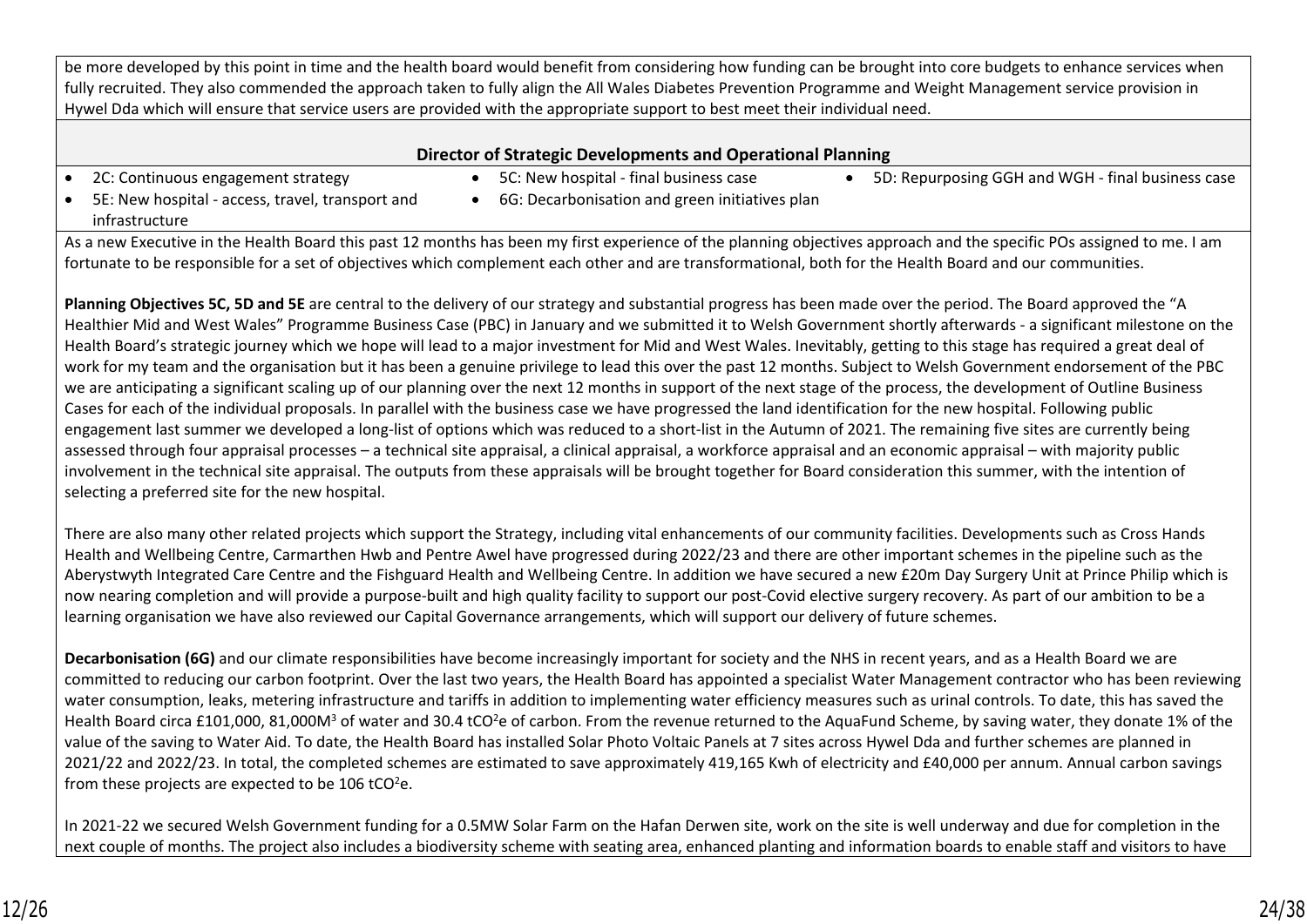be more developed by this point in time and the health board would benefit from considering how funding can be brought into core budgets to enhance services when fully recruited. They also commended the approach taken to fully align the All Wales Diabetes Prevention Programme and Weight Management service provision in Hywel Dda which will ensure that service users are provided with the appropriate support to best meet their individual need.

#### **Director of Strategic Developments and Operational Planning**

- 
- 2C: Continuous engagement strategy 5C: New hospital final business case 5D: Repurposing GGH and WGH final business case
- 5E: New hospital access, travel, transport and infrastructure
- 6G: Decarbonisation and green initiatives plan

As a new Executive in the Health Board this past 12 months has been my first experience of the planning objectives approach and the specific POs assigned to me. I am fortunate to be responsible for a set of objectives which complement each other and are transformational, both for the Health Board and our communities.

**Planning Objectives 5C, 5D and 5E** are central to the delivery of our strategy and substantial progress has been made over the period. The Board approved the "A Healthier Mid and West Wales" Programme Business Case (PBC) in January and we submitted it to Welsh Government shortly afterwards - a significant milestone on the Health Board's strategic journey which we hope will lead to a major investment for Mid and West Wales. Inevitably, getting to this stage has required a great deal of work for my team and the organisation but it has been a genuine privilege to lead this over the past 12 months. Subject to Welsh Government endorsement of the PBC we are anticipating a significant scaling up of our planning over the next 12 months in support of the next stage of the process, the development of Outline Business Cases for each of the individual proposals. In parallel with the business case we have progressed the land identification for the new hospital. Following public engagement last summer we developed a long-list of options which was reduced to a short-list in the Autumn of 2021. The remaining five sites are currently being assessed through four appraisal processes – a technical site appraisal, a clinical appraisal, a workforce appraisal and an economic appraisal – with majority public involvement in the technical site appraisal. The outputs from these appraisals will be brought together for Board consideration this summer, with the intention of selecting a preferred site for the new hospital.

There are also many other related projects which support the Strategy, including vital enhancements of our community facilities. Developments such as Cross Hands Health and Wellbeing Centre, Carmarthen Hwb and Pentre Awel have progressed during 2022/23 and there are other important schemes in the pipeline such as the Aberystwyth Integrated Care Centre and the Fishguard Health and Wellbeing Centre. In addition we have secured a new £20m Day Surgery Unit at Prince Philip which is now nearing completion and will provide a purpose-built and high quality facility to support our post-Covid elective surgery recovery. As part of our ambition to be a learning organisation we have also reviewed our Capital Governance arrangements, which will support our delivery of future schemes.

Decarbonisation (6G) and our climate responsibilities have become increasingly important for society and the NHS in recent years, and as a Health Board we are committed to reducing our carbon footprint. Over the last two years, the Health Board has appointed a specialist Water Management contractor who has been reviewing water consumption, leaks, metering infrastructure and tariffs in addition to implementing water efficiency measures such as urinal controls. To date, this has saved the Health Board circa £101,000, 81,000M<sup>3</sup> of water and 30.4 tCO<sup>2</sup>e of carbon. From the revenue returned to the AquaFund Scheme, by saving water, they donate 1% of the value of the saving to Water Aid. To date, the Health Board has installed Solar Photo Voltaic Panels at 7 sites across Hywel Dda and further schemes are planned in 2021/22 and 2022/23. In total, the completed schemes are estimated to save approximately 419,165 Kwh of electricity and £40,000 per annum. Annual carbon savings from these projects are expected to be  $106$  tCO<sup>2</sup>e.

In 2021-22 we secured Welsh Government funding for a 0.5MW Solar Farm on the Hafan Derwen site, work on the site is well underway and due for completion in the next couple of months. The project also includes a biodiversity scheme with seating area, enhanced planting and information boards to enable staff and visitors to have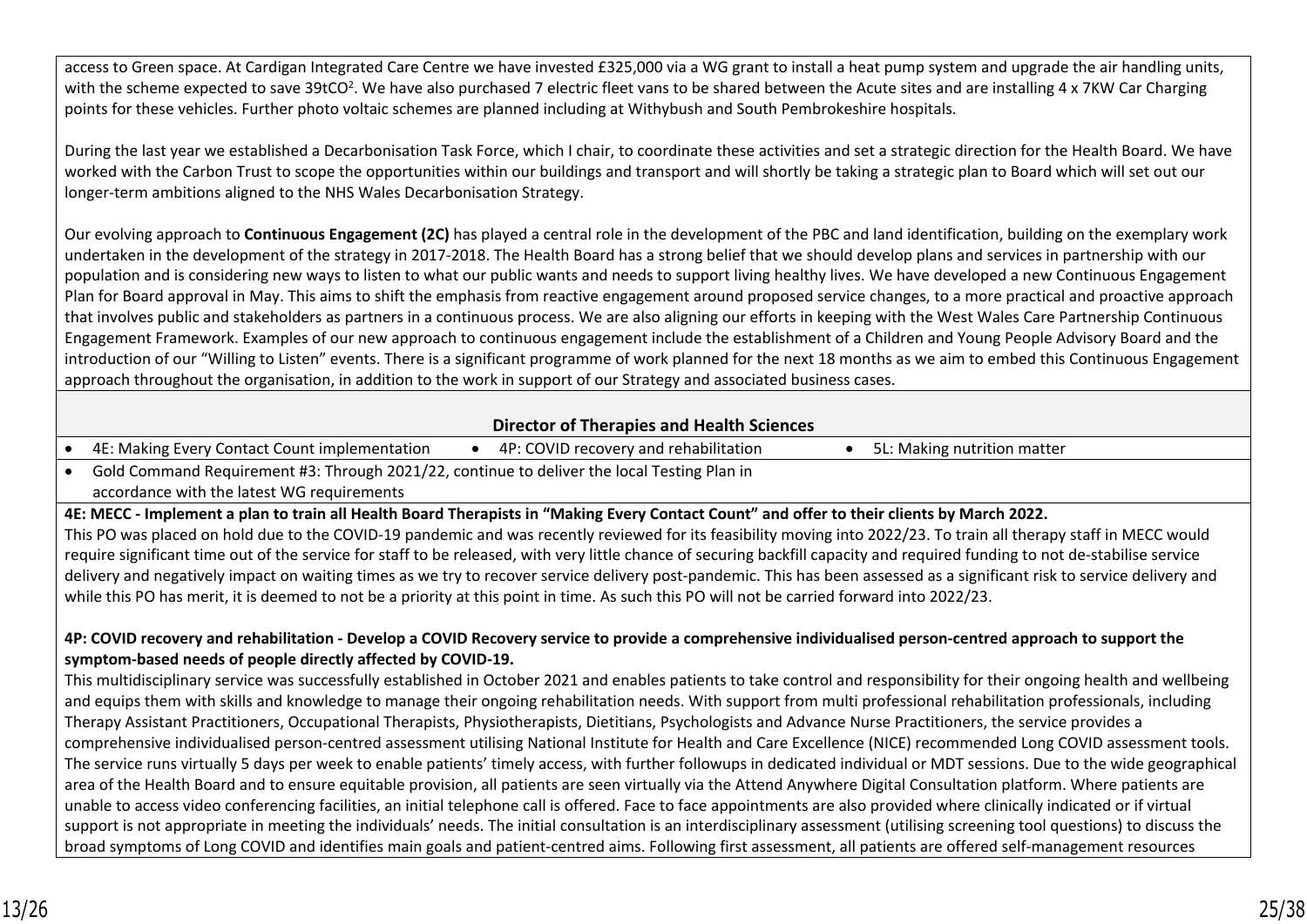access to Green space. At Cardigan Integrated Care Centre we have invested £325,000 via a WG grant to install a heat pump system and upgrade the air handling units, with the scheme expected to save 39tCO<sup>2</sup>. We have also purchased 7 electric fleet vans to be shared between the Acute sites and are installing 4 x 7KW Car Charging points for these vehicles. Further photo voltaic schemes are planned including at Withybush and South Pembrokeshire hospitals.

During the last year we established a Decarbonisation Task Force, which I chair, to coordinate these activities and set a strategic direction for the Health Board. We have worked with the Carbon Trust to scope the opportunities within our buildings and transport and will shortly be taking a strategic plan to Board which will set out our longer-term ambitions aligned to the NHS Wales Decarbonisation Strategy.

Our evolving approach to **Continuous Engagement (2C)** has played a central role in the development of the PBC and land identification, building on the exemplary work undertaken in the development of the strategy in 2017-2018. The Health Board has a strong belief that we should develop plans and services in partnership with our population and is considering new ways to listen to what our public wants and needs to support living healthy lives. We have developed a new Continuous Engagement Plan for Board approval in May. This aims to shift the emphasis from reactive engagement around proposed service changes, to a more practical and proactive approach that involves public and stakeholders as partners in a continuous process. We are also aligning our efforts in keeping with the West Wales Care Partnership Continuous Engagement Framework. Examples of our new approach to continuous engagement include the establishment of a Children and Young People Advisory Board and the introduction of our "Willing to Listen" events. There is a significant programme of work planned for the next 18 months as we aim to embed this Continuous Engagement approach throughout the organisation, in addition to the work in support of our Strategy and associated business cases.

## **Director of Therapies and Health Sciences**

- 4E: Making Every Contact Count implementation 4P: COVID recovery and rehabilitation 5L: Making nutrition matter
- Gold Command Requirement #3: Through 2021/22, continue to deliver the local Testing Plan in accordance with the latest WG requirements

**4E: MECC - Implement a plan to train all Health Board Therapists in "Making Every Contact Count" and offer to their clients by March 2022.** 

This PO was placed on hold due to the COVID-19 pandemic and was recently reviewed for its feasibility moving into 2022/23. To train all therapy staff in MECC would require significant time out of the service for staff to be released, with very little chance of securing backfill capacity and required funding to not de-stabilise service delivery and negatively impact on waiting times as we try to recover service delivery post-pandemic. This has been assessed as a significant risk to service delivery and while this PO has merit, it is deemed to not be a priority at this point in time. As such this PO will not be carried forward into 2022/23.

## **4P: COVID recovery and rehabilitation - Develop a COVID Recovery service to provide a comprehensive individualised person-centred approach to support the symptom-based needs of people directly affected by COVID-19.**

This multidisciplinary service was successfully established in October 2021 and enables patients to take control and responsibility for their ongoing health and wellbeing and equips them with skills and knowledge to manage their ongoing rehabilitation needs. With support from multi professional rehabilitation professionals, including Therapy Assistant Practitioners, Occupational Therapists, Physiotherapists, Dietitians, Psychologists and Advance Nurse Practitioners, the service provides a comprehensive individualised person-centred assessment utilising National Institute for Health and Care Excellence (NICE) recommended Long COVID assessment tools. The service runs virtually 5 days per week to enable patients' timely access, with further followups in dedicated individual or MDT sessions. Due to the wide geographical area of the Health Board and to ensure equitable provision, all patients are seen virtually via the Attend Anywhere Digital Consultation platform. Where patients are unable to access video conferencing facilities, an initial telephone call is offered. Face to face appointments are also provided where clinically indicated or if virtual support is not appropriate in meeting the individuals' needs. The initial consultation is an interdisciplinary assessment (utilising screening tool questions) to discuss the broad symptoms of Long COVID and identifies main goals and patient-centred aims. Following first assessment, all patients are offered self-management resources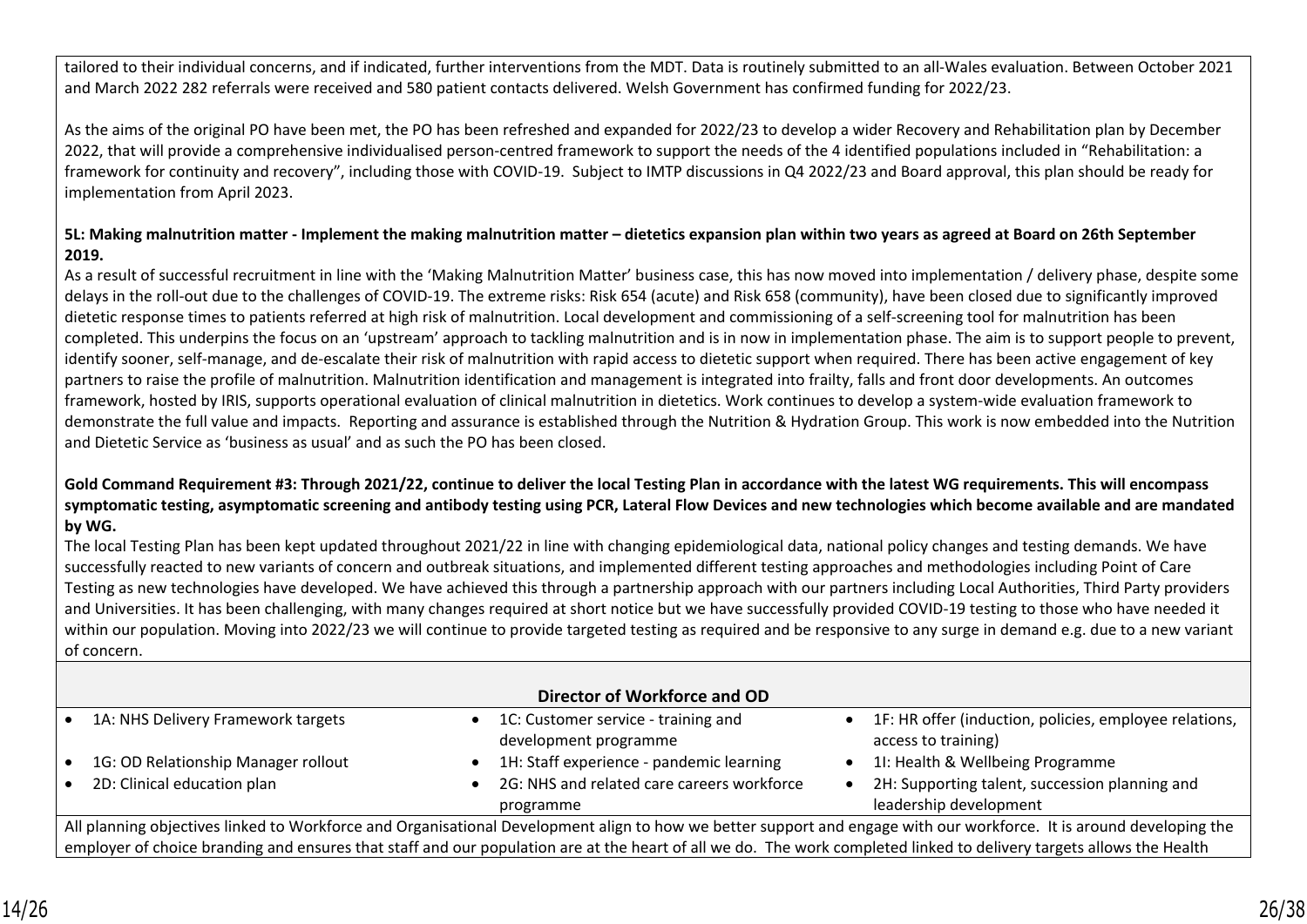tailored to their individual concerns, and if indicated, further interventions from the MDT. Data is routinely submitted to an all-Wales evaluation. Between October 2021 and March 2022 282 referrals were received and 580 patient contacts delivered. Welsh Government has confirmed funding for 2022/23.

As the aims of the original PO have been met, the PO has been refreshed and expanded for 2022/23 to develop a wider Recovery and Rehabilitation plan by December 2022, that will provide a comprehensive individualised person-centred framework to support the needs of the 4 identified populations included in "Rehabilitation: a framework for continuity and recovery", including those with COVID-19. Subject to IMTP discussions in Q4 2022/23 and Board approval, this plan should be ready for implementation from April 2023.

## **5L: Making malnutrition matter - Implement the making malnutrition matter – dietetics expansion plan within two years as agreed at Board on 26th September 2019.**

As a result of successful recruitment in line with the 'Making Malnutrition Matter' business case, this has now moved into implementation / delivery phase, despite some delays in the roll-out due to the challenges of COVID-19. The extreme risks: Risk 654 (acute) and Risk 658 (community), have been closed due to significantly improved dietetic response times to patients referred at high risk of malnutrition. Local development and commissioning of a self-screening tool for malnutrition has been completed. This underpins the focus on an 'upstream' approach to tackling malnutrition and is in now in implementation phase. The aim is to support people to prevent, identify sooner, self-manage, and de-escalate their risk of malnutrition with rapid access to dietetic support when required. There has been active engagement of key partners to raise the profile of malnutrition. Malnutrition identification and management is integrated into frailty, falls and front door developments. An outcomes framework, hosted by IRIS, supports operational evaluation of clinical malnutrition in dietetics. Work continues to develop a system-wide evaluation framework to demonstrate the full value and impacts. Reporting and assurance is established through the Nutrition & Hydration Group. This work is now embedded into the Nutrition and Dietetic Service as 'business as usual' and as such the PO has been closed.

## **Gold Command Requirement #3: Through 2021/22, continue to deliver the local Testing Plan in accordance with the latest WG requirements. This will encompass symptomatic testing, asymptomatic screening and antibody testing using PCR, Lateral Flow Devices and new technologies which become available and are mandated by WG.**

The local Testing Plan has been kept updated throughout 2021/22 in line with changing epidemiological data, national policy changes and testing demands. We have successfully reacted to new variants of concern and outbreak situations, and implemented different testing approaches and methodologies including Point of Care Testing as new technologies have developed. We have achieved this through a partnership approach with our partners including Local Authorities, Third Party providers and Universities. It has been challenging, with many changes required at short notice but we have successfully provided COVID-19 testing to those who have needed it within our population. Moving into 2022/23 we will continue to provide targeted testing as required and be responsive to any surge in demand e.g. due to a new variant of concern.

| Director of Workforce and OD                                                                                                                                         |  |                                                              |  |                                                                                 |  |
|----------------------------------------------------------------------------------------------------------------------------------------------------------------------|--|--------------------------------------------------------------|--|---------------------------------------------------------------------------------|--|
| 1A: NHS Delivery Framework targets                                                                                                                                   |  | 1C: Customer service - training and<br>development programme |  | • 1F: HR offer (induction, policies, employee relations,<br>access to training) |  |
| 1G: OD Relationship Manager rollout                                                                                                                                  |  | 1H: Staff experience - pandemic learning                     |  | 11: Health & Wellbeing Programme                                                |  |
| 2D: Clinical education plan                                                                                                                                          |  | 2G: NHS and related care careers workforce<br>programme      |  | 2H: Supporting talent, succession planning and<br>leadership development        |  |
| All planning objectives linked to Workforce and Organisational Development align to how we better support and engage with our workforce. It is around developing the |  |                                                              |  |                                                                                 |  |

employer of choice branding and ensures that staff and our population are at the heart of all we do. The work completed linked to delivery targets allows the Health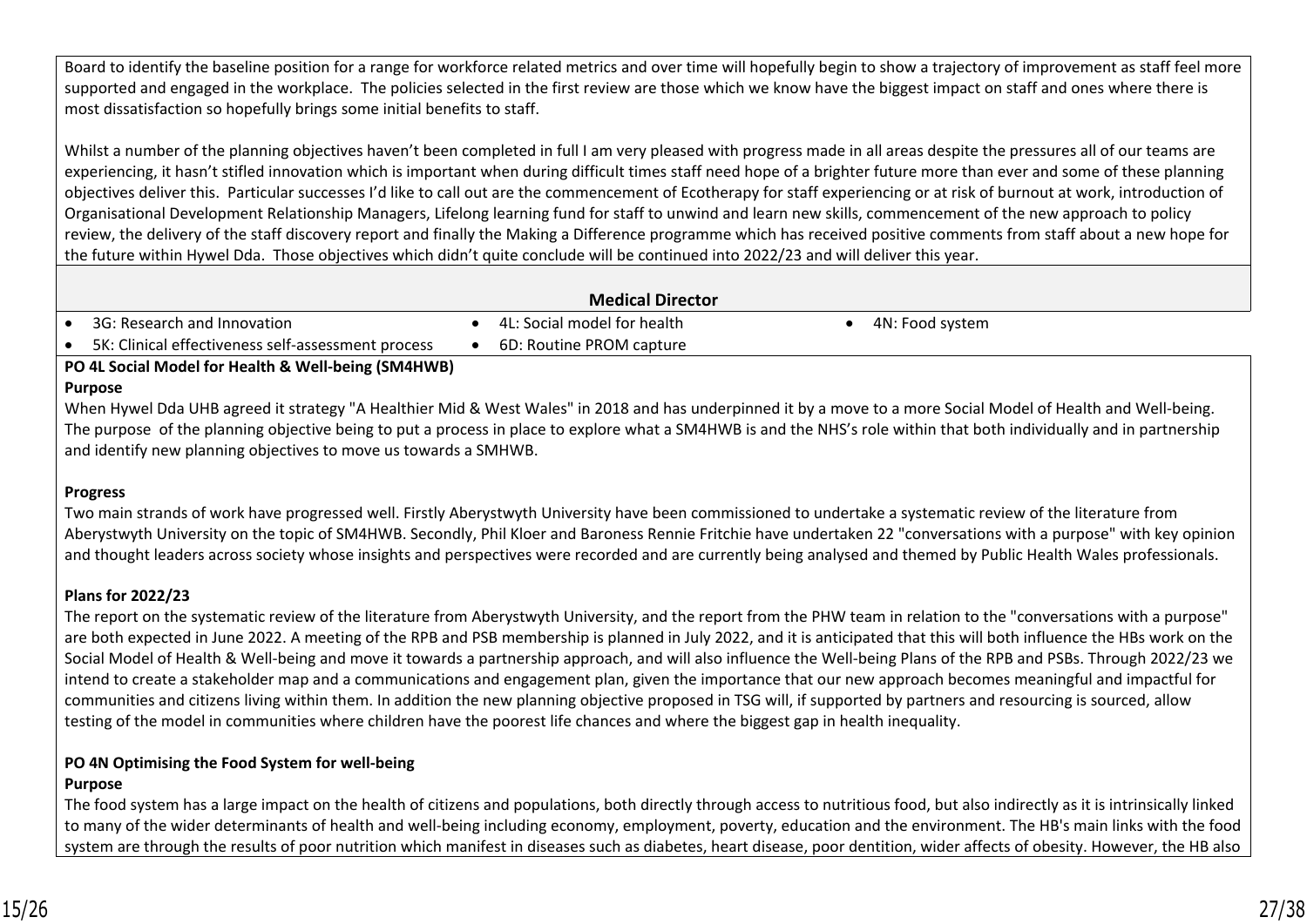Board to identify the baseline position for a range for workforce related metrics and over time will hopefully begin to show a trajectory of improvement as staff feel more supported and engaged in the workplace. The policies selected in the first review are those which we know have the biggest impact on staff and ones where there is most dissatisfaction so hopefully brings some initial benefits to staff.

Whilst a number of the planning objectives haven't been completed in full I am very pleased with progress made in all areas despite the pressures all of our teams are experiencing, it hasn't stifled innovation which is important when during difficult times staff need hope of a brighter future more than ever and some of these planning objectives deliver this. Particular successes I'd like to call out are the commencement of Ecotherapy for staff experiencing or at risk of burnout at work, introduction of Organisational Development Relationship Managers, Lifelong learning fund for staff to unwind and learn new skills, commencement of the new approach to policy review, the delivery of the staff discovery report and finally the Making a Difference programme which has received positive comments from staff about a new hope for the future within Hywel Dda. Those objectives which didn't quite conclude will be continued into 2022/23 and will deliver this year.

| <b>Medical Director</b> |                                                    |  |                             |  |                 |  |
|-------------------------|----------------------------------------------------|--|-----------------------------|--|-----------------|--|
|                         | 3G: Research and Innovation                        |  | 4L: Social model for health |  | 4N: Food system |  |
|                         | 5K: Clinical effectiveness self-assessment process |  | 6D: Routine PROM capture    |  |                 |  |
|                         |                                                    |  |                             |  |                 |  |

**PO 4L Social Model for Health & Well-being (SM4HWB)**

## **Purpose**

When Hywel Dda UHB agreed it strategy "A Healthier Mid & West Wales" in 2018 and has underpinned it by a move to a more Social Model of Health and Well-being. The purpose of the planning objective being to put a process in place to explore what a SM4HWB is and the NHS's role within that both individually and in partnership and identify new planning objectives to move us towards a SMHWB.

# **Progress**

Two main strands of work have progressed well. Firstly Aberystwyth University have been commissioned to undertake a systematic review of the literature from Aberystwyth University on the topic of SM4HWB. Secondly, Phil Kloer and Baroness Rennie Fritchie have undertaken 22 "conversations with a purpose" with key opinion and thought leaders across society whose insights and perspectives were recorded and are currently being analysed and themed by Public Health Wales professionals.

# **Plans for 2022/23**

The report on the systematic review of the literature from Aberystwyth University, and the report from the PHW team in relation to the "conversations with a purpose" are both expected in June 2022. A meeting of the RPB and PSB membership is planned in July 2022, and it is anticipated that this will both influence the HBs work on the Social Model of Health & Well-being and move it towards a partnership approach, and will also influence the Well-being Plans of the RPB and PSBs. Through 2022/23 we intend to create a stakeholder map and a communications and engagement plan, given the importance that our new approach becomes meaningful and impactful for communities and citizens living within them. In addition the new planning objective proposed in TSG will, if supported by partners and resourcing is sourced, allow testing of the model in communities where children have the poorest life chances and where the biggest gap in health inequality.

# **PO 4N Optimising the Food System for well-being**

# **Purpose**

The food system has a large impact on the health of citizens and populations, both directly through access to nutritious food, but also indirectly as it is intrinsically linked to many of the wider determinants of health and well-being including economy, employment, poverty, education and the environment. The HB's main links with the food system are through the results of poor nutrition which manifest in diseases such as diabetes, heart disease, poor dentition, wider affects of obesity. However, the HB also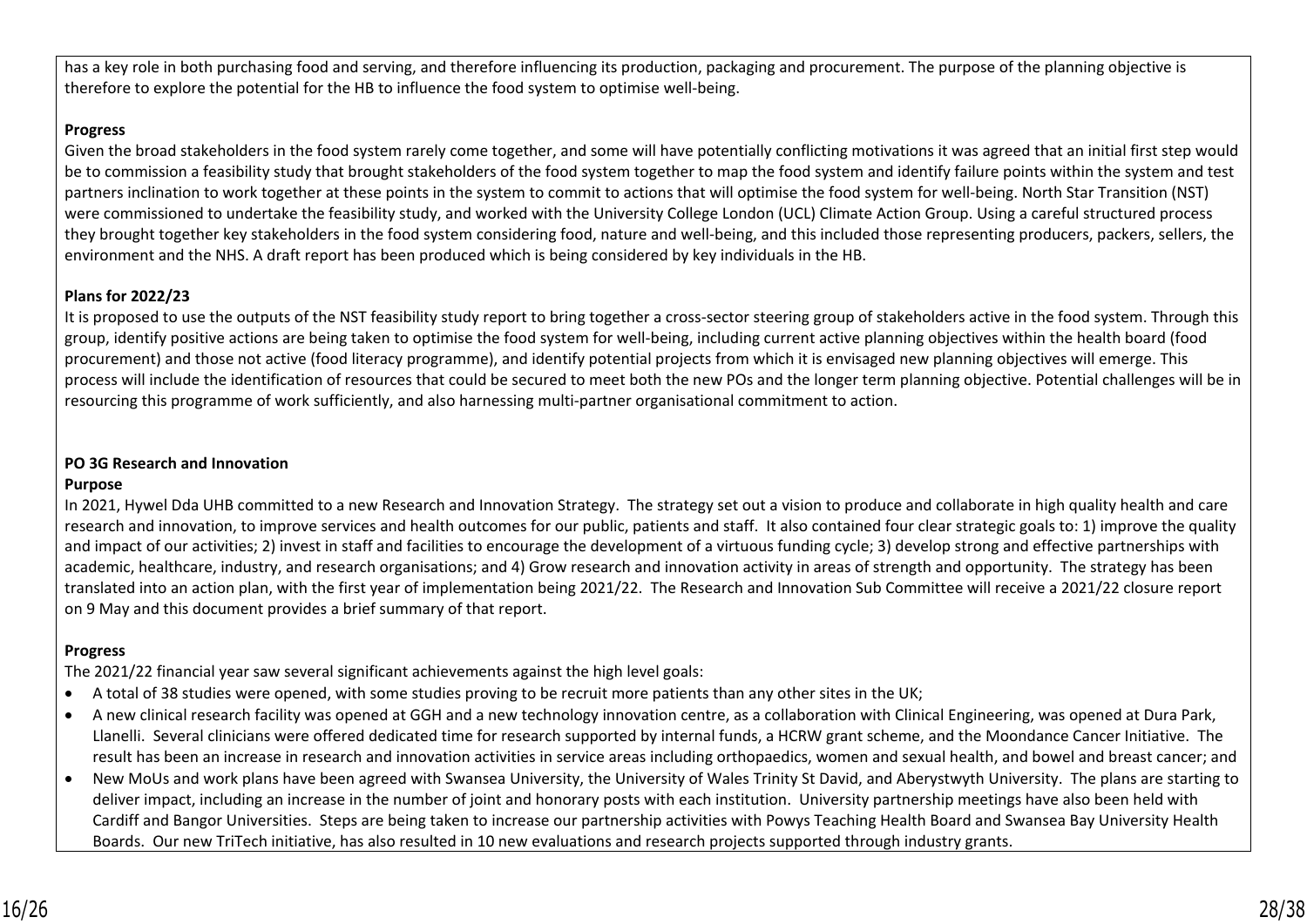has a key role in both purchasing food and serving, and therefore influencing its production, packaging and procurement. The purpose of the planning objective is therefore to explore the potential for the HB to influence the food system to optimise well-being.

#### **Progress**

Given the broad stakeholders in the food system rarely come together, and some will have potentially conflicting motivations it was agreed that an initial first step would be to commission a feasibility study that brought stakeholders of the food system together to map the food system and identify failure points within the system and test partners inclination to work together at these points in the system to commit to actions that will optimise the food system for well-being. North Star Transition (NST) were commissioned to undertake the feasibility study, and worked with the University College London (UCL) Climate Action Group. Using a careful structured process they brought together key stakeholders in the food system considering food, nature and well-being, and this included those representing producers, packers, sellers, the environment and the NHS. A draft report has been produced which is being considered by key individuals in the HB.

### **Plans for 2022/23**

It is proposed to use the outputs of the NST feasibility study report to bring together a cross-sector steering group of stakeholders active in the food system. Through this group, identify positive actions are being taken to optimise the food system for well-being, including current active planning objectives within the health board (food procurement) and those not active (food literacy programme), and identify potential projects from which it is envisaged new planning objectives will emerge. This process will include the identification of resources that could be secured to meet both the new POs and the longer term planning objective. Potential challenges will be in resourcing this programme of work sufficiently, and also harnessing multi-partner organisational commitment to action.

## **PO 3G Research and Innovation**

### **Purpose**

In 2021, Hywel Dda UHB committed to a new Research and Innovation Strategy. The strategy set out a vision to produce and collaborate in high quality health and care research and innovation, to improve services and health outcomes for our public, patients and staff. It also contained four clear strategic goals to: 1) improve the quality and impact of our activities; 2) invest in staff and facilities to encourage the development of a virtuous funding cycle; 3) develop strong and effective partnerships with academic, healthcare, industry, and research organisations; and 4) Grow research and innovation activity in areas of strength and opportunity. The strategy has been translated into an action plan, with the first year of implementation being 2021/22. The Research and Innovation Sub Committee will receive a 2021/22 closure report on 9 May and this document provides a brief summary of that report.

## **Progress**

The 2021/22 financial year saw several significant achievements against the high level goals:

- A total of 38 studies were opened, with some studies proving to be recruit more patients than any other sites in the UK;
- A new clinical research facility was opened at GGH and a new technology innovation centre, as a collaboration with Clinical Engineering, was opened at Dura Park, Llanelli. Several clinicians were offered dedicated time for research supported by internal funds, a HCRW grant scheme, and the Moondance Cancer Initiative. The result has been an increase in research and innovation activities in service areas including orthopaedics, women and sexual health, and bowel and breast cancer; and
- New MoUs and work plans have been agreed with Swansea University, the University of Wales Trinity St David, and Aberystwyth University. The plans are starting to deliver impact, including an increase in the number of joint and honorary posts with each institution. University partnership meetings have also been held with Cardiff and Bangor Universities. Steps are being taken to increase our partnership activities with Powys Teaching Health Board and Swansea Bay University Health Boards. Our new TriTech initiative, has also resulted in 10 new evaluations and research projects supported through industry grants.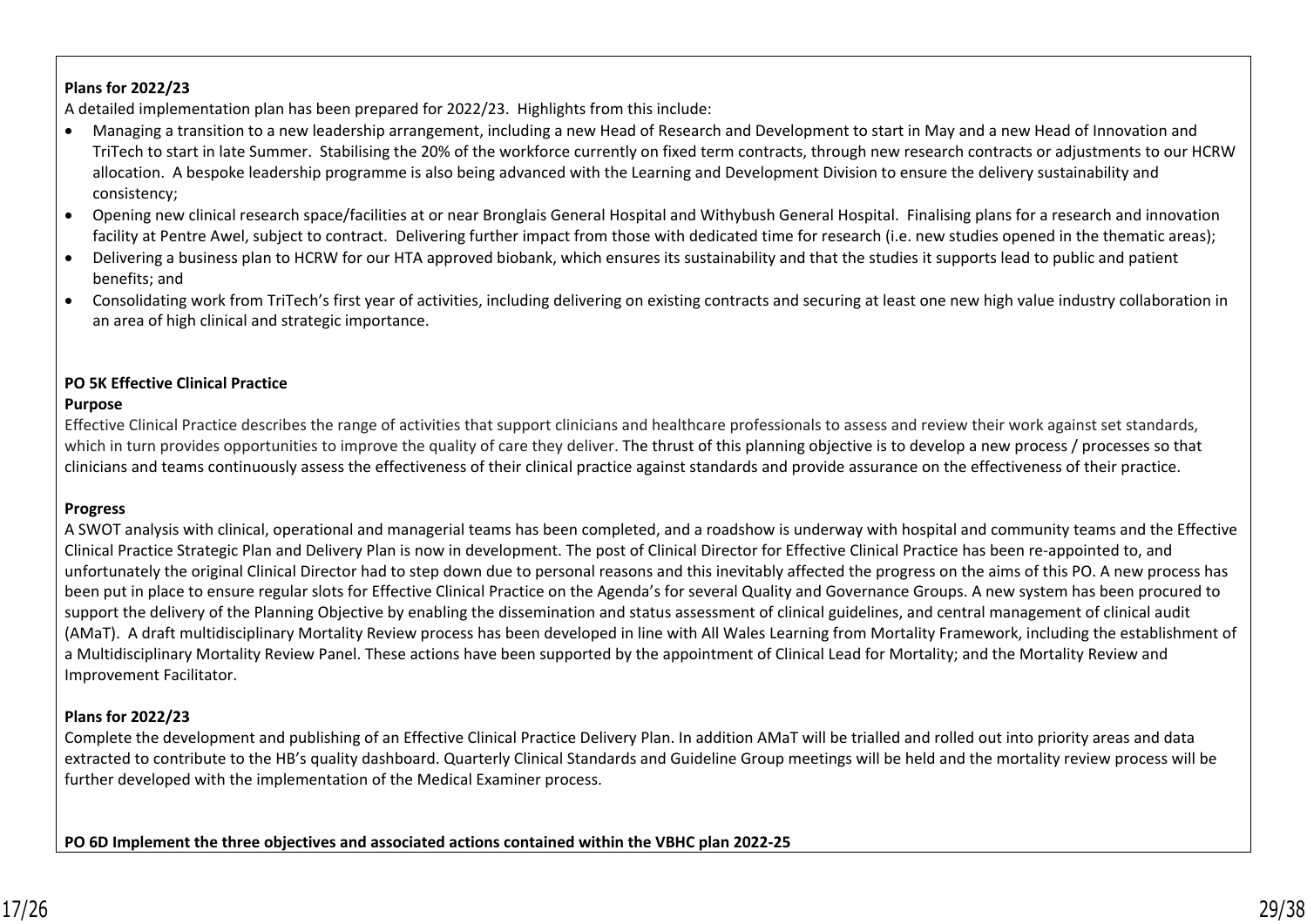### **Plans for 2022/23**

A detailed implementation plan has been prepared for 2022/23. Highlights from this include:

- Managing a transition to a new leadership arrangement, including a new Head of Research and Development to start in May and a new Head of Innovation and TriTech to start in late Summer. Stabilising the 20% of the workforce currently on fixed term contracts, through new research contracts or adjustments to our HCRW allocation. A bespoke leadership programme is also being advanced with the Learning and Development Division to ensure the delivery sustainability and consistency;
- Opening new clinical research space/facilities at or near Bronglais General Hospital and Withybush General Hospital. Finalising plans for a research and innovation facility at Pentre Awel, subject to contract. Delivering further impact from those with dedicated time for research (i.e. new studies opened in the thematic areas);
- Delivering a business plan to HCRW for our HTA approved biobank, which ensures its sustainability and that the studies it supports lead to public and patient benefits; and
- Consolidating work from TriTech's first year of activities, including delivering on existing contracts and securing at least one new high value industry collaboration in an area of high clinical and strategic importance.

#### **PO 5K Effective Clinical Practice**

#### **Purpose**

Effective Clinical Practice describes the range of activities that support clinicians and healthcare professionals to assess and review their work against set standards, which in turn provides opportunities to improve the quality of care they deliver. The thrust of this planning objective is to develop a new process / processes so that clinicians and teams continuously assess the effectiveness of their clinical practice against standards and provide assurance on the effectiveness of their practice.

### **Progress**

A SWOT analysis with clinical, operational and managerial teams has been completed, and a roadshow is underway with hospital and community teams and the Effective Clinical Practice Strategic Plan and Delivery Plan is now in development. The post of Clinical Director for Effective Clinical Practice has been re-appointed to, and unfortunately the original Clinical Director had to step down due to personal reasons and this inevitably affected the progress on the aims of this PO. A new process has been put in place to ensure regular slots for Effective Clinical Practice on the Agenda's for several Quality and Governance Groups. A new system has been procured to support the delivery of the Planning Objective by enabling the dissemination and status assessment of clinical guidelines, and central management of clinical audit (AMaT). A draft multidisciplinary Mortality Review process has been developed in line with All Wales Learning from Mortality Framework, including the establishment of a Multidisciplinary Mortality Review Panel. These actions have been supported by the appointment of Clinical Lead for Mortality; and the Mortality Review and Improvement Facilitator.

### **Plans for 2022/23**

Complete the development and publishing of an Effective Clinical Practice Delivery Plan. In addition AMaT will be trialled and rolled out into priority areas and data extracted to contribute to the HB's quality dashboard. Quarterly Clinical Standards and Guideline Group meetings will be held and the mortality review process will be further developed with the implementation of the Medical Examiner process.

**PO 6D Implement the three objectives and associated actions contained within the VBHC plan 2022-25**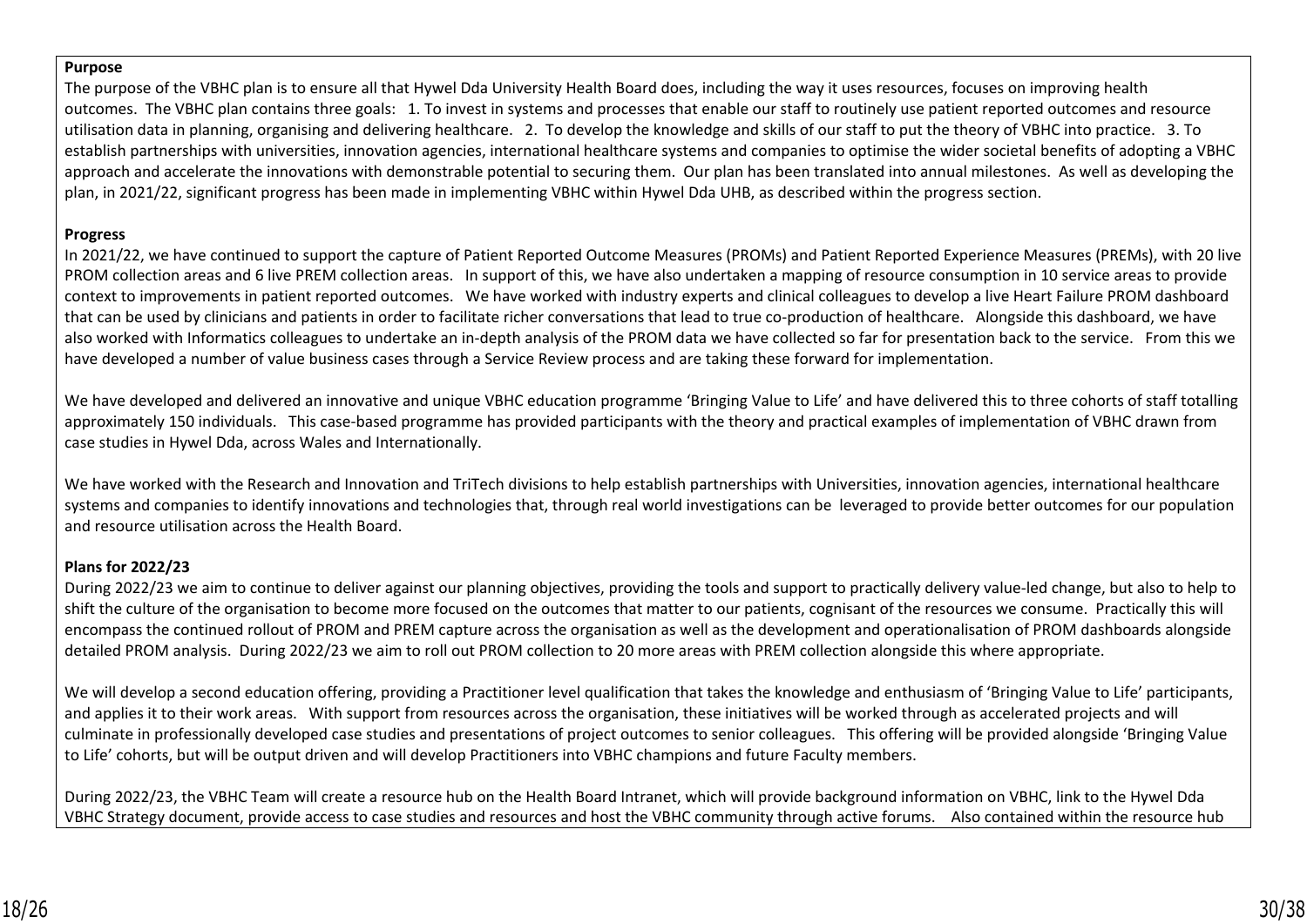#### **Purpose**

The purpose of the VBHC plan is to ensure all that Hywel Dda University Health Board does, including the way it uses resources, focuses on improving health outcomes. The VBHC plan contains three goals: 1. To invest in systems and processes that enable our staff to routinely use patient reported outcomes and resource utilisation data in planning, organising and delivering healthcare. 2. To develop the knowledge and skills of our staff to put the theory of VBHC into practice. 3. To establish partnerships with universities, innovation agencies, international healthcare systems and companies to optimise the wider societal benefits of adopting a VBHC approach and accelerate the innovations with demonstrable potential to securing them. Our plan has been translated into annual milestones. As well as developing the plan, in 2021/22, significant progress has been made in implementing VBHC within Hywel Dda UHB, as described within the progress section.

## **Progress**

In 2021/22, we have continued to support the capture of Patient Reported Outcome Measures (PROMs) and Patient Reported Experience Measures (PREMs), with 20 live PROM collection areas and 6 live PREM collection areas. In support of this, we have also undertaken a mapping of resource consumption in 10 service areas to provide context to improvements in patient reported outcomes. We have worked with industry experts and clinical colleagues to develop a live Heart Failure PROM dashboard that can be used by clinicians and patients in order to facilitate richer conversations that lead to true co-production of healthcare. Alongside this dashboard, we have also worked with Informatics colleagues to undertake an in-depth analysis of the PROM data we have collected so far for presentation back to the service. From this we have developed a number of value business cases through a Service Review process and are taking these forward for implementation.

We have developed and delivered an innovative and unique VBHC education programme 'Bringing Value to Life' and have delivered this to three cohorts of staff totalling approximately 150 individuals. This case-based programme has provided participants with the theory and practical examples of implementation of VBHC drawn from case studies in Hywel Dda, across Wales and Internationally.

We have worked with the Research and Innovation and TriTech divisions to help establish partnerships with Universities, innovation agencies, international healthcare systems and companies to identify innovations and technologies that, through real world investigations can be leveraged to provide better outcomes for our population and resource utilisation across the Health Board.

## **Plans for 2022/23**

During 2022/23 we aim to continue to deliver against our planning objectives, providing the tools and support to practically delivery value-led change, but also to help to shift the culture of the organisation to become more focused on the outcomes that matter to our patients, cognisant of the resources we consume. Practically this will encompass the continued rollout of PROM and PREM capture across the organisation as well as the development and operationalisation of PROM dashboards alongside detailed PROM analysis. During 2022/23 we aim to roll out PROM collection to 20 more areas with PREM collection alongside this where appropriate.

We will develop a second education offering, providing a Practitioner level qualification that takes the knowledge and enthusiasm of 'Bringing Value to Life' participants, and applies it to their work areas. With support from resources across the organisation, these initiatives will be worked through as accelerated projects and will culminate in professionally developed case studies and presentations of project outcomes to senior colleagues. This offering will be provided alongside 'Bringing Value to Life' cohorts, but will be output driven and will develop Practitioners into VBHC champions and future Faculty members.

During 2022/23, the VBHC Team will create a resource hub on the Health Board Intranet, which will provide background information on VBHC, link to the Hywel Dda VBHC Strategy document, provide access to case studies and resources and host the VBHC community through active forums. Also contained within the resource hub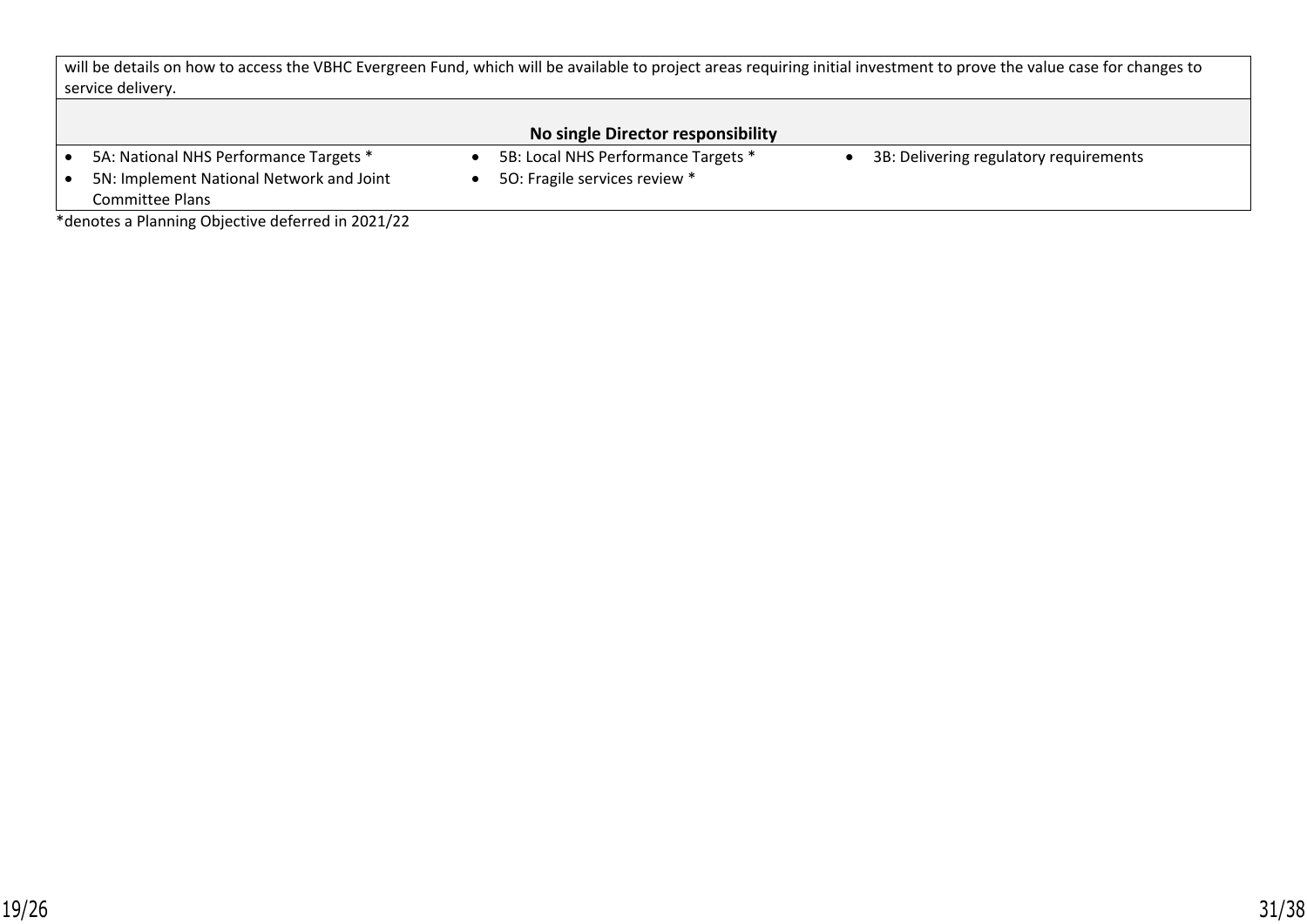will be details on how to access the VBHC Evergreen Fund, which will be available to project areas requiring initial investment to prove the value case for changes to service delivery.

## **No single Director responsibility**

- 5A: National NHS Performance Targets \* 5B: Local NHS Performance Targets \* 3B: Delivering regulatory requirements
	- 5O: Fragile services review \*

• 5N: Implement National Network and Joint Committee Plans

\*denotes a Planning Objective deferred in 2021/22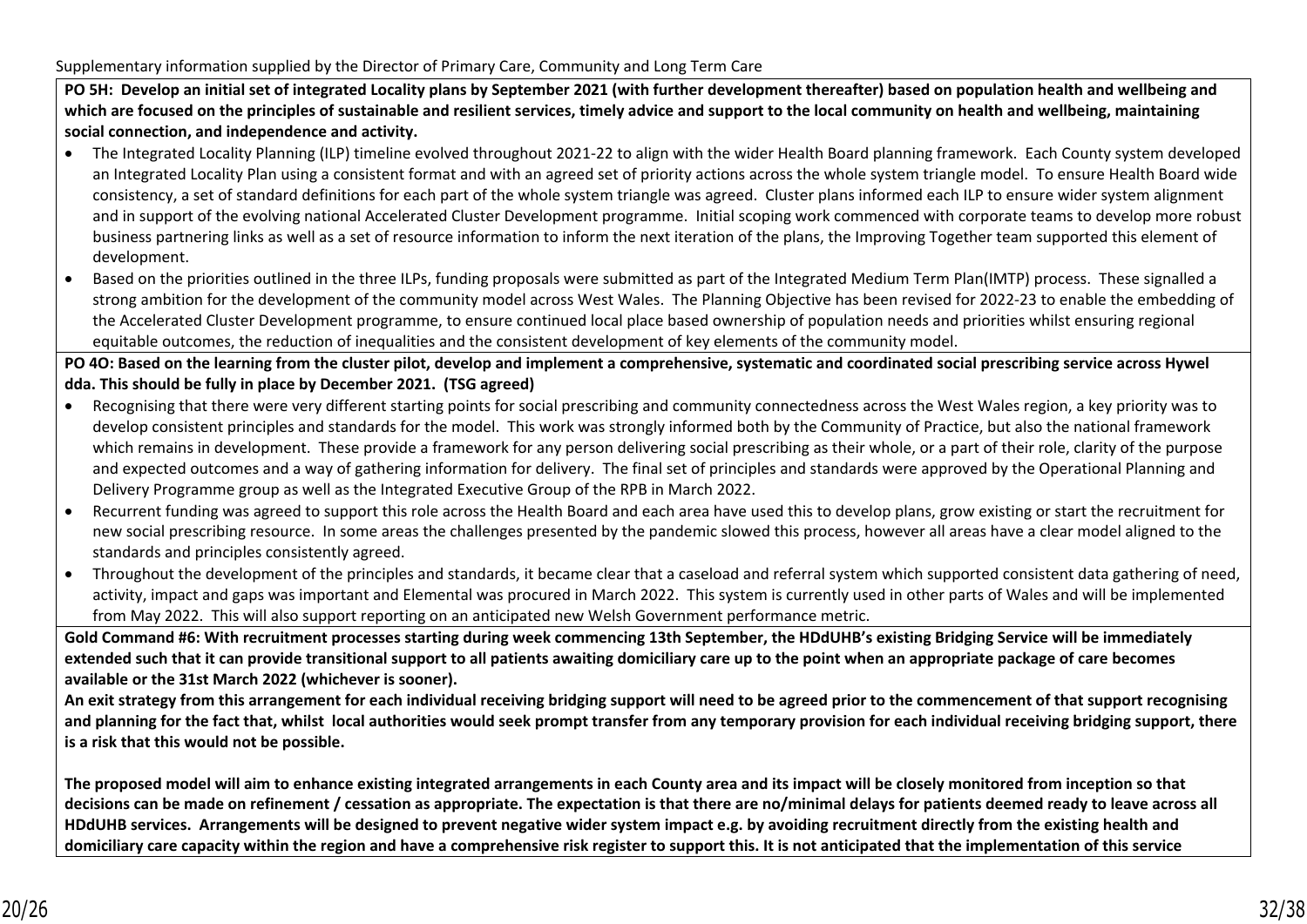**PO 5H: Develop an initial set of integrated Locality plans by September 2021 (with further development thereafter) based on population health and wellbeing and which are focused on the principles of sustainable and resilient services, timely advice and support to the local community on health and wellbeing, maintaining social connection, and independence and activity.**

- The Integrated Locality Planning (ILP) timeline evolved throughout 2021-22 to align with the wider Health Board planning framework. Each County system developed an Integrated Locality Plan using a consistent format and with an agreed set of priority actions across the whole system triangle model. To ensure Health Board wide consistency, a set of standard definitions for each part of the whole system triangle was agreed. Cluster plans informed each ILP to ensure wider system alignment and in support of the evolving national Accelerated Cluster Development programme. Initial scoping work commenced with corporate teams to develop more robust business partnering links as well as a set of resource information to inform the next iteration of the plans, the Improving Together team supported this element of development.
- Based on the priorities outlined in the three ILPs, funding proposals were submitted as part of the Integrated Medium Term Plan(IMTP) process. These signalled a strong ambition for the development of the community model across West Wales. The Planning Objective has been revised for 2022-23 to enable the embedding of the Accelerated Cluster Development programme, to ensure continued local place based ownership of population needs and priorities whilst ensuring regional equitable outcomes, the reduction of inequalities and the consistent development of key elements of the community model.

**PO 4O: Based on the learning from the cluster pilot, develop and implement a comprehensive, systematic and coordinated social prescribing service across Hywel dda. This should be fully in place by December 2021. (TSG agreed)** 

- Recognising that there were very different starting points for social prescribing and community connectedness across the West Wales region, a key priority was to develop consistent principles and standards for the model. This work was strongly informed both by the Community of Practice, but also the national framework which remains in development. These provide a framework for any person delivering social prescribing as their whole, or a part of their role, clarity of the purpose and expected outcomes and a way of gathering information for delivery. The final set of principles and standards were approved by the Operational Planning and Delivery Programme group as well as the Integrated Executive Group of the RPB in March 2022.
- Recurrent funding was agreed to support this role across the Health Board and each area have used this to develop plans, grow existing or start the recruitment for new social prescribing resource. In some areas the challenges presented by the pandemic slowed this process, however all areas have a clear model aligned to the standards and principles consistently agreed.
- Throughout the development of the principles and standards, it became clear that a caseload and referral system which supported consistent data gathering of need, activity, impact and gaps was important and Elemental was procured in March 2022. This system is currently used in other parts of Wales and will be implemented from May 2022. This will also support reporting on an anticipated new Welsh Government performance metric.

**Gold Command #6: With recruitment processes starting during week commencing 13th September, the HDdUHB's existing Bridging Service will be immediately extended such that it can provide transitional support to all patients awaiting domiciliary care up to the point when an appropriate package of care becomes available or the 31st March 2022 (whichever is sooner).** 

**An exit strategy from this arrangement for each individual receiving bridging support will need to be agreed prior to the commencement of that support recognising and planning for the fact that, whilst local authorities would seek prompt transfer from any temporary provision for each individual receiving bridging support, there is a risk that this would not be possible.** 

**The proposed model will aim to enhance existing integrated arrangements in each County area and its impact will be closely monitored from inception so that decisions can be made on refinement / cessation as appropriate. The expectation is that there are no/minimal delays for patients deemed ready to leave across all HDdUHB services. Arrangements will be designed to prevent negative wider system impact e.g. by avoiding recruitment directly from the existing health and domiciliary care capacity within the region and have a comprehensive risk register to support this. It is not anticipated that the implementation of this service**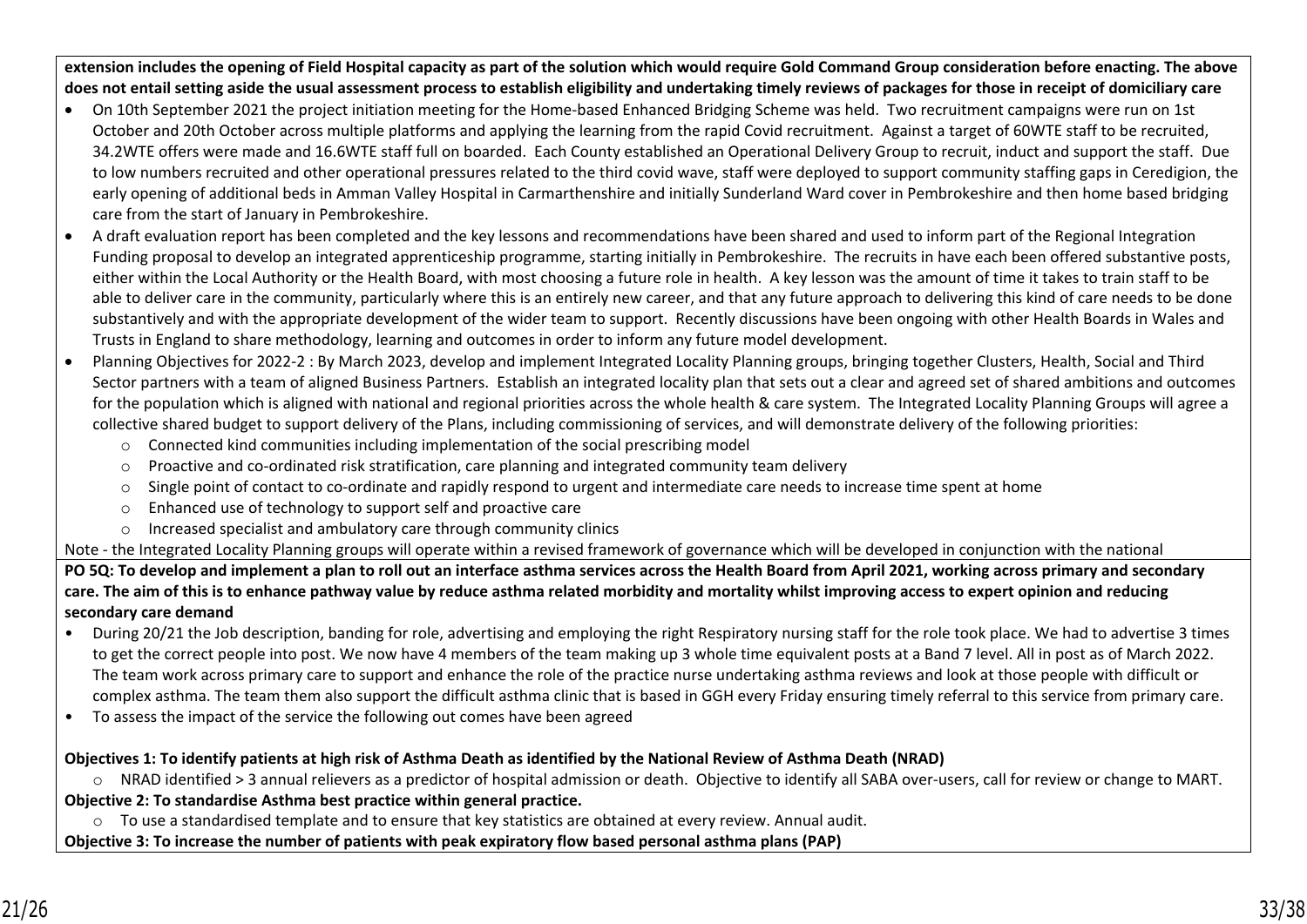**extension includes the opening of Field Hospital capacity as part of the solution which would require Gold Command Group consideration before enacting. The above does not entail setting aside the usual assessment process to establish eligibility and undertaking timely reviews of packages for those in receipt of domiciliary care**

- On 10th September 2021 the project initiation meeting for the Home-based Enhanced Bridging Scheme was held. Two recruitment campaigns were run on 1st October and 20th October across multiple platforms and applying the learning from the rapid Covid recruitment. Against a target of 60WTE staff to be recruited, 34.2WTE offers were made and 16.6WTE staff full on boarded. Each County established an Operational Delivery Group to recruit, induct and support the staff. Due to low numbers recruited and other operational pressures related to the third covid wave, staff were deployed to support community staffing gaps in Ceredigion, the early opening of additional beds in Amman Valley Hospital in Carmarthenshire and initially Sunderland Ward cover in Pembrokeshire and then home based bridging care from the start of January in Pembrokeshire.
- A draft evaluation report has been completed and the key lessons and recommendations have been shared and used to inform part of the Regional Integration Funding proposal to develop an integrated apprenticeship programme, starting initially in Pembrokeshire. The recruits in have each been offered substantive posts, either within the Local Authority or the Health Board, with most choosing a future role in health. A key lesson was the amount of time it takes to train staff to be able to deliver care in the community, particularly where this is an entirely new career, and that any future approach to delivering this kind of care needs to be done substantively and with the appropriate development of the wider team to support. Recently discussions have been ongoing with other Health Boards in Wales and Trusts in England to share methodology, learning and outcomes in order to inform any future model development.
- Planning Objectives for 2022-2 : By March 2023, develop and implement Integrated Locality Planning groups, bringing together Clusters, Health, Social and Third Sector partners with a team of aligned Business Partners. Establish an integrated locality plan that sets out a clear and agreed set of shared ambitions and outcomes for the population which is aligned with national and regional priorities across the whole health & care system. The Integrated Locality Planning Groups will agree a collective shared budget to support delivery of the Plans, including commissioning of services, and will demonstrate delivery of the following priorities:
	- o Connected kind communities including implementation of the social prescribing model
	- $\circ$  Proactive and co-ordinated risk stratification, care planning and integrated community team delivery
	- $\circ$  Single point of contact to co-ordinate and rapidly respond to urgent and intermediate care needs to increase time spent at home
	- o Enhanced use of technology to support self and proactive care
	- $\circ$  Increased specialist and ambulatory care through community clinics

Note - the Integrated Locality Planning groups will operate within a revised framework of governance which will be developed in conjunction with the national

**PO 5Q: To develop and implement a plan to roll out an interface asthma services across the Health Board from April 2021, working across primary and secondary care. The aim of this is to enhance pathway value by reduce asthma related morbidity and mortality whilst improving access to expert opinion and reducing secondary care demand**

- During 20/21 the Job description, banding for role, advertising and employing the right Respiratory nursing staff for the role took place. We had to advertise 3 times to get the correct people into post. We now have 4 members of the team making up 3 whole time equivalent posts at a Band 7 level. All in post as of March 2022. The team work across primary care to support and enhance the role of the practice nurse undertaking asthma reviews and look at those people with difficult or complex asthma. The team them also support the difficult asthma clinic that is based in GGH every Friday ensuring timely referral to this service from primary care.
- To assess the impact of the service the following out comes have been agreed

## **Objectives 1: To identify patients at high risk of Asthma Death as identified by the National Review of Asthma Death (NRAD)**

o NRAD identified > 3 annual relievers as a predictor of hospital admission or death. Objective to identify all SABA over-users, call for review or change to MART. **Objective 2: To standardise Asthma best practice within general practice.** 

o To use a standardised template and to ensure that key statistics are obtained at every review. Annual audit.

**Objective 3: To increase the number of patients with peak expiratory flow based personal asthma plans (PAP)**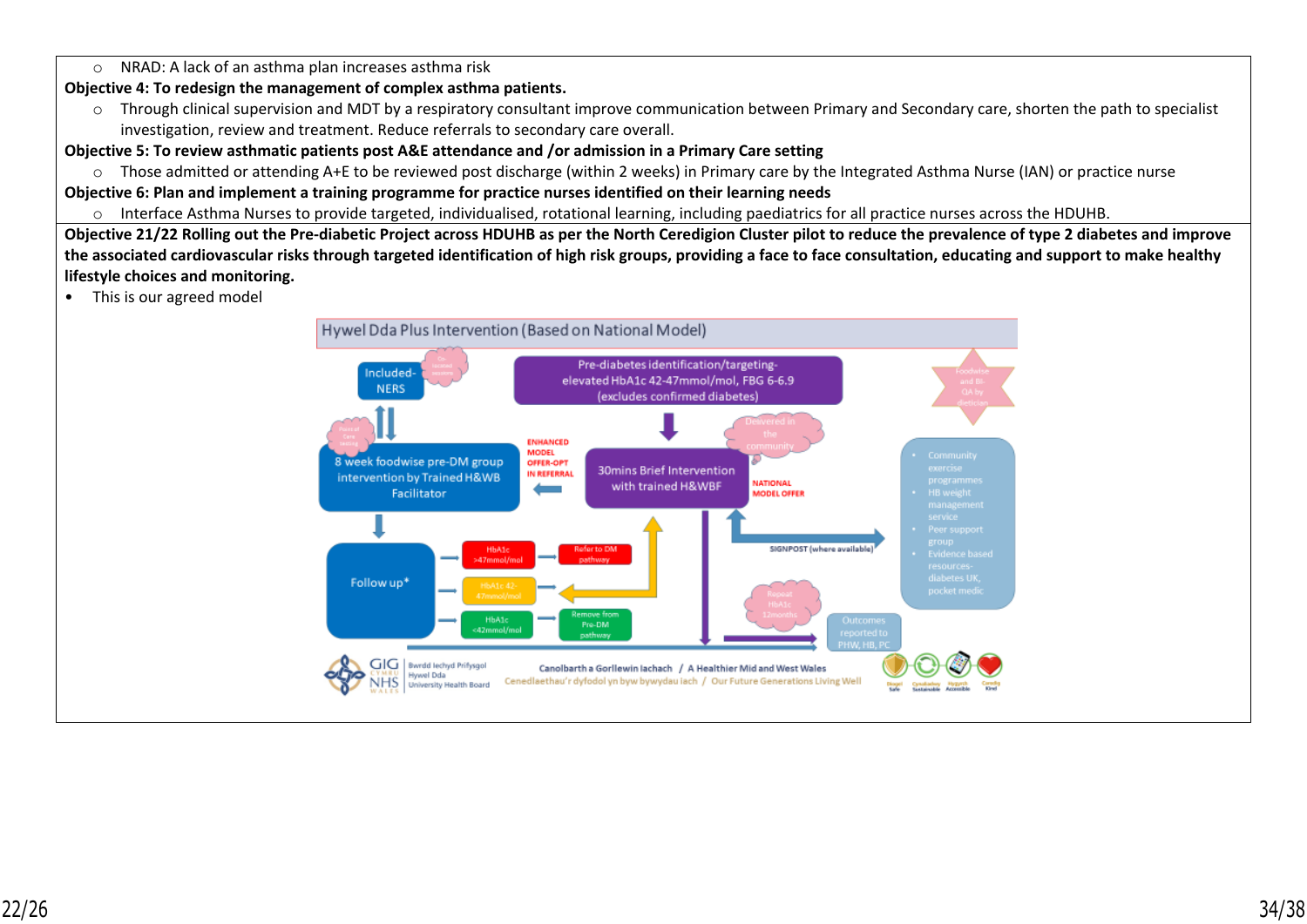### o NRAD: A lack of an asthma plan increases asthma risk

## **Objective 4: To redesign the management of complex asthma patients.**

o Through clinical supervision and MDT by a respiratory consultant improve communication between Primary and Secondary care, shorten the path to specialist investigation, review and treatment. Reduce referrals to secondary care overall.

## **Objective 5: To review asthmatic patients post A&E attendance and /or admission in a Primary Care setting**

o Those admitted or attending A+E to be reviewed post discharge (within 2 weeks) in Primary care by the Integrated Asthma Nurse (IAN) or practice nurse

## **Objective 6: Plan and implement a training programme for practice nurses identified on their learning needs**

o Interface Asthma Nurses to provide targeted, individualised, rotational learning, including paediatrics for all practice nurses across the HDUHB.

**Objective 21/22 Rolling out the Pre-diabetic Project across HDUHB as per the North Ceredigion Cluster pilot to reduce the prevalence of type 2 diabetes and improve the associated cardiovascular risks through targeted identification of high risk groups, providing a face to face consultation, educating and support to make healthy lifestyle choices and monitoring.**

• This is our agreed model

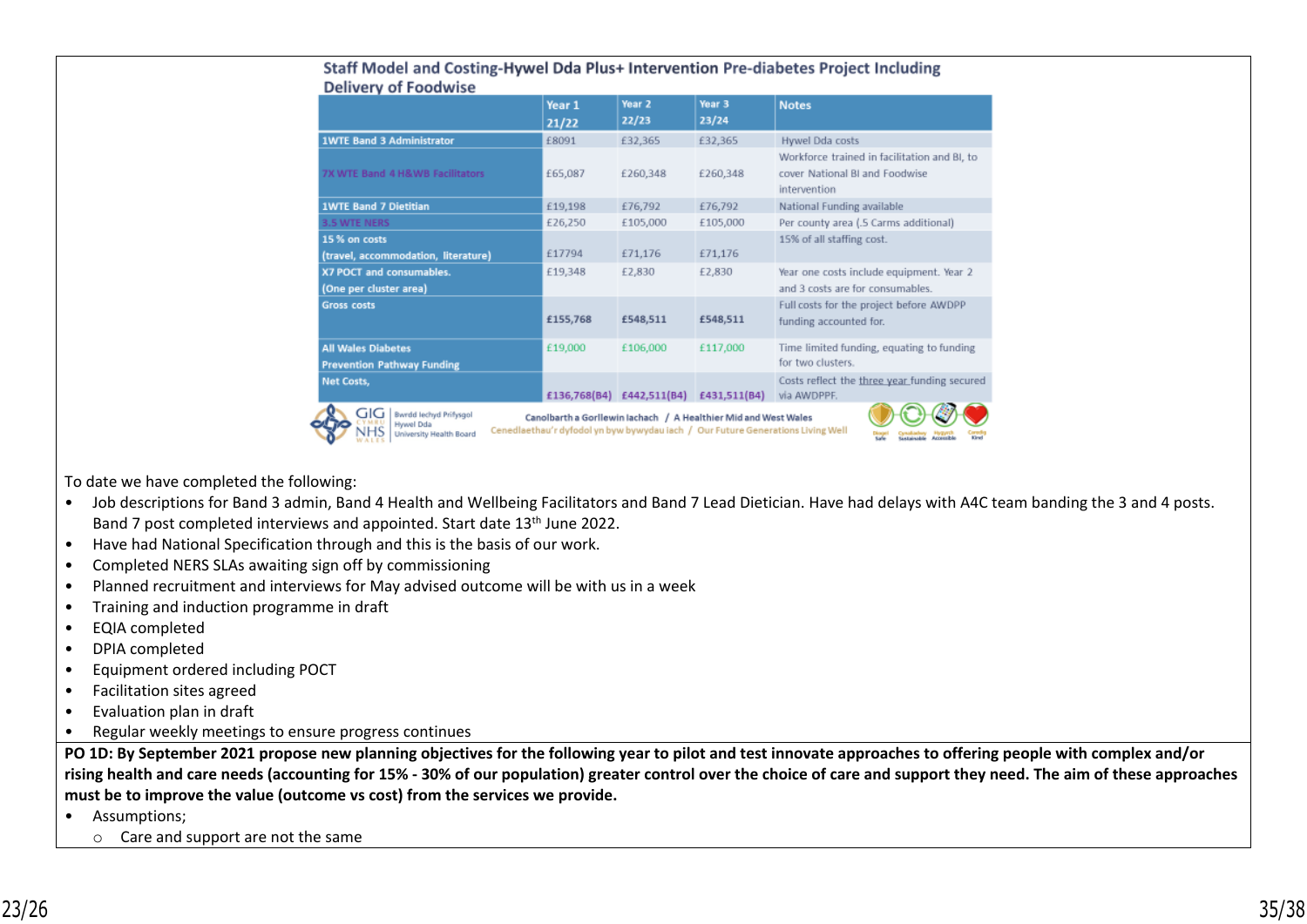|                                                                       | Year 1<br>21/22                                                                                                                                    | Year <sub>2</sub><br>22/23 | Year <sub>3</sub><br>23/24 | <b>Notes</b>                                                                                   |  |  |
|-----------------------------------------------------------------------|----------------------------------------------------------------------------------------------------------------------------------------------------|----------------------------|----------------------------|------------------------------------------------------------------------------------------------|--|--|
| <b>1WTE Band 3 Administrator</b>                                      | £8091                                                                                                                                              | £32,365                    | £32,365                    | Hywel Dda costs                                                                                |  |  |
| 7X WTE Band 4 H&WB Facilitators                                       | £65,087                                                                                                                                            | £260,348                   | £260,348                   | Workforce trained in facilitation and BI, to<br>cover National BI and Foodwise<br>intervention |  |  |
| <b>1WTE Band 7 Dietitian</b>                                          | £19,198                                                                                                                                            | £76,792                    | £76,792                    | National Funding available                                                                     |  |  |
| <b>3.5 WTE NERS</b>                                                   | £26,250                                                                                                                                            | £105,000                   | £105,000                   | Per county area (.5 Carms additional)                                                          |  |  |
| 15 % on costs<br>(travel, accommodation, literature)                  | £17794                                                                                                                                             | £71,176                    | £71,176                    | 15% of all staffing cost.                                                                      |  |  |
| X7 POCT and consumables.<br>(One per cluster area)                    | £19,348                                                                                                                                            | £2,830                     | £2,830                     | Year one costs include equipment. Year 2<br>and 3 costs are for consumables.                   |  |  |
| <b>Gross costs</b>                                                    | £155,768                                                                                                                                           | £548,511                   | £548,511                   | Full costs for the project before AWDPP<br>funding accounted for.                              |  |  |
| <b>All Wales Diabetes</b><br><b>Prevention Pathway Funding</b>        | £19,000                                                                                                                                            | £106,000                   | £117,000                   | Time limited funding, equating to funding<br>for two clusters.                                 |  |  |
| Net Costs,                                                            | £136,768(B4)                                                                                                                                       | £442,511(B4)               | £431,511(B4)               | Costs reflect the three year funding secured<br>via AWDPPF.                                    |  |  |
| GIG<br>Bwrdd lechyd Prifysgol<br>Hywel Dda<br>University Health Board | Canolbarth a Gorllewin lachach / A Healthier Mid and West Wales<br>Cenedlaethau'r dyfodol yn byw bywydau iach / Our Future Generations Living Well |                            |                            | <b>Kingd</b><br>Accessible<br><b>Gottnieshie</b>                                               |  |  |

#### Staff Model and Costing-Hywel Dda Plus+ Intervention Pre-diabetes Project Including Delivery of Foodwise

To date we have completed the following:

- Job descriptions for Band 3 admin, Band 4 Health and Wellbeing Facilitators and Band 7 Lead Dietician. Have had delays with A4C team banding the 3 and 4 posts. Band 7 post completed interviews and appointed. Start date 13<sup>th</sup> June 2022.
- Have had National Specification through and this is the basis of our work.
- Completed NERS SLAs awaiting sign off by commissioning
- Planned recruitment and interviews for May advised outcome will be with us in a week
- Training and induction programme in draft
- EQIA completed
- DPIA completed
- Equipment ordered including POCT
- Facilitation sites agreed
- Evaluation plan in draft
- Regular weekly meetings to ensure progress continues

**PO 1D: By September 2021 propose new planning objectives for the following year to pilot and test innovate approaches to offering people with complex and/or rising health and care needs (accounting for 15% - 30% of our population) greater control over the choice of care and support they need. The aim of these approaches must be to improve the value (outcome vs cost) from the services we provide.** 

- Assumptions;
	- o Care and support are not the same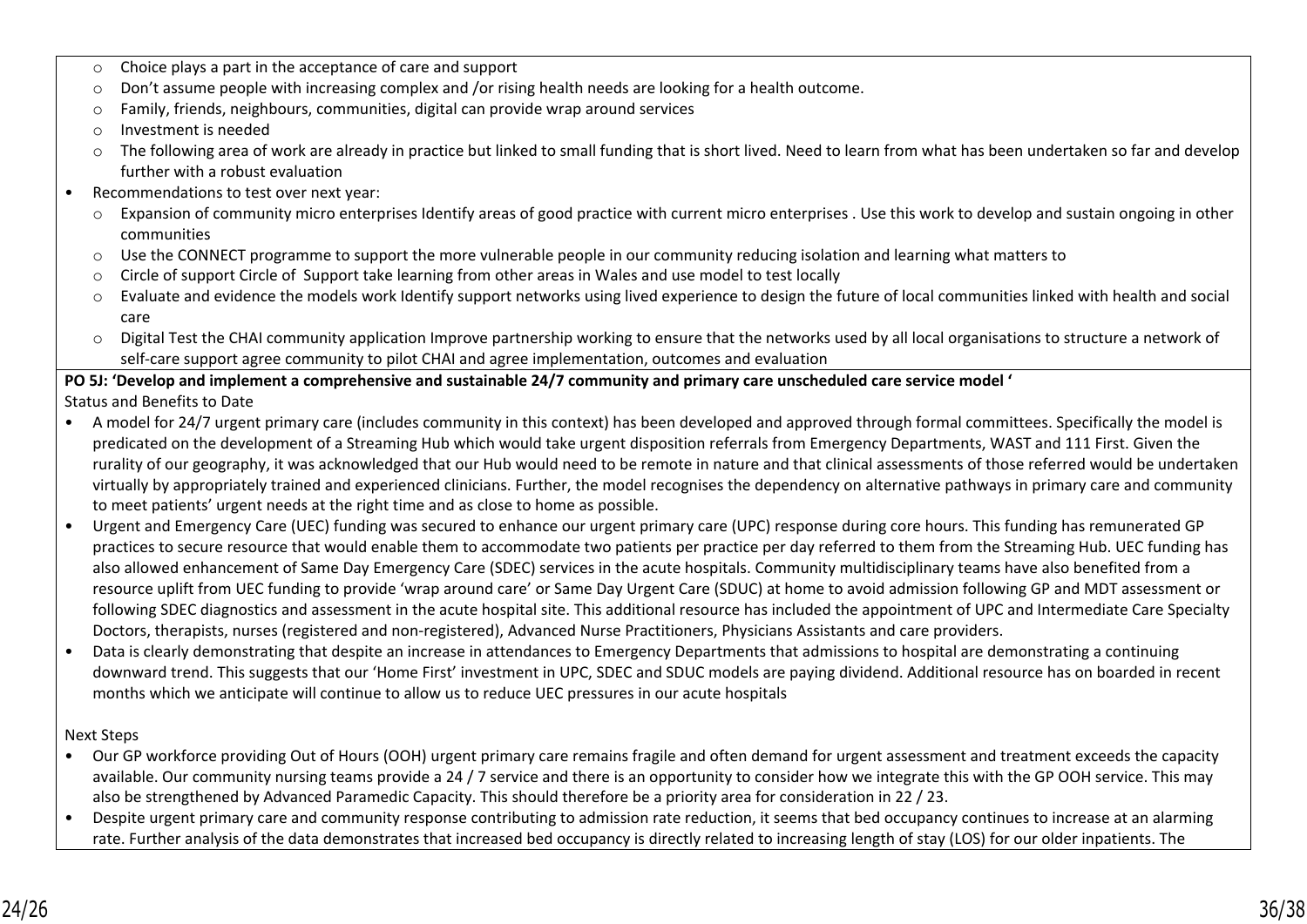- o Choice plays a part in the acceptance of care and support
- o Don't assume people with increasing complex and /or rising health needs are looking for a health outcome.
- o Family, friends, neighbours, communities, digital can provide wrap around services
- o Investment is needed
- o The following area of work are already in practice but linked to small funding that is short lived. Need to learn from what has been undertaken so far and develop further with a robust evaluation
- Recommendations to test over next year:
	- o Expansion of community micro enterprises Identify areas of good practice with current micro enterprises . Use this work to develop and sustain ongoing in other communities
	- o Use the CONNECT programme to support the more vulnerable people in our community reducing isolation and learning what matters to
	- Circle of support Circle of Support take learning from other areas in Wales and use model to test locally
	- o Evaluate and evidence the models work Identify support networks using lived experience to design the future of local communities linked with health and social care
	- o Digital Test the CHAI community application Improve partnership working to ensure that the networks used by all local organisations to structure a network of self-care support agree community to pilot CHAI and agree implementation, outcomes and evaluation

# **PO 5J: 'Develop and implement a comprehensive and sustainable 24/7 community and primary care unscheduled care service model '**

Status and Benefits to Date

- A model for 24/7 urgent primary care (includes community in this context) has been developed and approved through formal committees. Specifically the model is predicated on the development of a Streaming Hub which would take urgent disposition referrals from Emergency Departments, WAST and 111 First. Given the rurality of our geography, it was acknowledged that our Hub would need to be remote in nature and that clinical assessments of those referred would be undertaken virtually by appropriately trained and experienced clinicians. Further, the model recognises the dependency on alternative pathways in primary care and community to meet patients' urgent needs at the right time and as close to home as possible.
- Urgent and Emergency Care (UEC) funding was secured to enhance our urgent primary care (UPC) response during core hours. This funding has remunerated GP practices to secure resource that would enable them to accommodate two patients per practice per day referred to them from the Streaming Hub. UEC funding has also allowed enhancement of Same Day Emergency Care (SDEC) services in the acute hospitals. Community multidisciplinary teams have also benefited from a resource uplift from UEC funding to provide 'wrap around care' or Same Day Urgent Care (SDUC) at home to avoid admission following GP and MDT assessment or following SDEC diagnostics and assessment in the acute hospital site. This additional resource has included the appointment of UPC and Intermediate Care Specialty Doctors, therapists, nurses (registered and non-registered), Advanced Nurse Practitioners, Physicians Assistants and care providers.
- Data is clearly demonstrating that despite an increase in attendances to Emergency Departments that admissions to hospital are demonstrating a continuing downward trend. This suggests that our 'Home First' investment in UPC, SDEC and SDUC models are paying dividend. Additional resource has on boarded in recent months which we anticipate will continue to allow us to reduce UEC pressures in our acute hospitals

## Next Steps

- Our GP workforce providing Out of Hours (OOH) urgent primary care remains fragile and often demand for urgent assessment and treatment exceeds the capacity available. Our community nursing teams provide a 24 / 7 service and there is an opportunity to consider how we integrate this with the GP OOH service. This may also be strengthened by Advanced Paramedic Capacity. This should therefore be a priority area for consideration in 22 / 23.
- Despite urgent primary care and community response contributing to admission rate reduction, it seems that bed occupancy continues to increase at an alarming rate. Further analysis of the data demonstrates that increased bed occupancy is directly related to increasing length of stay (LOS) for our older inpatients. The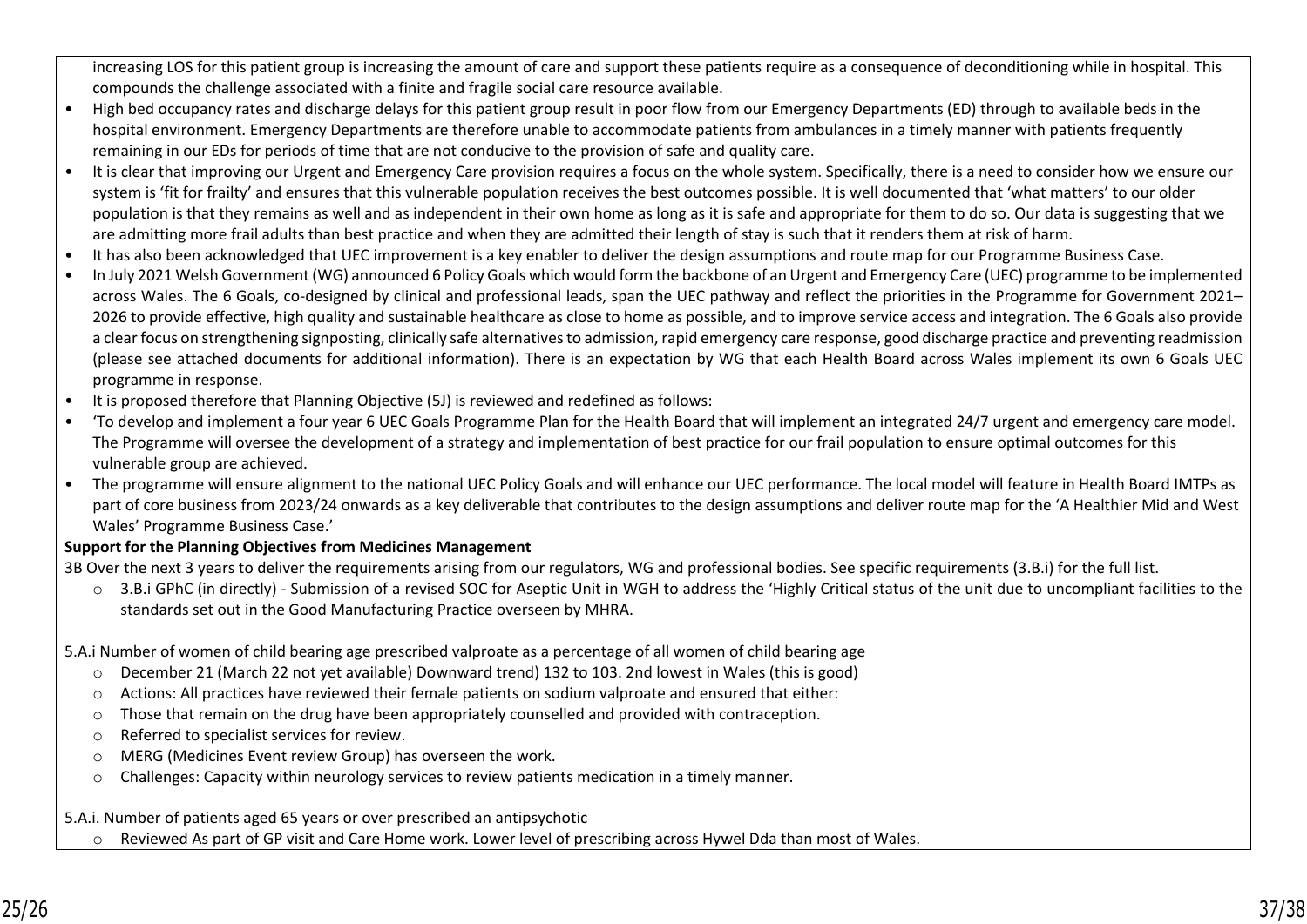increasing LOS for this patient group is increasing the amount of care and support these patients require as a consequence of deconditioning while in hospital. This compounds the challenge associated with a finite and fragile social care resource available.

- High bed occupancy rates and discharge delays for this patient group result in poor flow from our Emergency Departments (ED) through to available beds in the hospital environment. Emergency Departments are therefore unable to accommodate patients from ambulances in a timely manner with patients frequently remaining in our EDs for periods of time that are not conducive to the provision of safe and quality care.
- It is clear that improving our Urgent and Emergency Care provision requires a focus on the whole system. Specifically, there is a need to consider how we ensure our system is 'fit for frailty' and ensures that this vulnerable population receives the best outcomes possible. It is well documented that 'what matters' to our older population is that they remains as well and as independent in their own home as long as it is safe and appropriate for them to do so. Our data is suggesting that we are admitting more frail adults than best practice and when they are admitted their length of stay is such that it renders them at risk of harm.
- It has also been acknowledged that UEC improvement is a key enabler to deliver the design assumptions and route map for our Programme Business Case.
- In July 2021 Welsh Government (WG) announced 6 Policy Goals which would form the backbone of an Urgent and Emergency Care (UEC) programme to be implemented across Wales. The 6 Goals, co-designed by clinical and professional leads, span the UEC pathway and reflect the priorities in the Programme for Government 2021– 2026 to provide effective, high quality and sustainable healthcare as close to home as possible, and to improve service access and integration. The 6 Goals also provide a clear focus on strengthening signposting, clinically safe alternatives to admission, rapid emergency care response, good discharge practice and preventing readmission (please see attached documents for additional information). There is an expectation by WG that each Health Board across Wales implement its own 6 Goals UEC programme in response.
- It is proposed therefore that Planning Objective (5J) is reviewed and redefined as follows:
- 'To develop and implement a four year 6 UEC Goals Programme Plan for the Health Board that will implement an integrated 24/7 urgent and emergency care model. The Programme will oversee the development of a strategy and implementation of best practice for our frail population to ensure optimal outcomes for this vulnerable group are achieved.
- The programme will ensure alignment to the national UEC Policy Goals and will enhance our UEC performance. The local model will feature in Health Board IMTPs as part of core business from 2023/24 onwards as a key deliverable that contributes to the design assumptions and deliver route map for the 'A Healthier Mid and West Wales' Programme Business Case.'

## **Support for the Planning Objectives from Medicines Management**

3B Over the next 3 years to deliver the requirements arising from our regulators, WG and professional bodies. See specific requirements (3.B.i) for the full list.

- o 3.B.i GPhC (in directly) Submission of a revised SOC for Aseptic Unit in WGH to address the 'Highly Critical status of the unit due to uncompliant facilities to the standards set out in the Good Manufacturing Practice overseen by MHRA.
- 5.A.i Number of women of child bearing age prescribed valproate as a percentage of all women of child bearing age
	- o December 21 (March 22 not yet available) Downward trend) 132 to 103. 2nd lowest in Wales (this is good)
	- o Actions: All practices have reviewed their female patients on sodium valproate and ensured that either:
	- $\circ$  Those that remain on the drug have been appropriately counselled and provided with contraception.
	- o Referred to specialist services for review.
	- o MERG (Medicines Event review Group) has overseen the work.
	- o Challenges: Capacity within neurology services to review patients medication in a timely manner.

5.A.i. Number of patients aged 65 years or over prescribed an antipsychotic

Reviewed As part of GP visit and Care Home work. Lower level of prescribing across Hywel Dda than most of Wales.